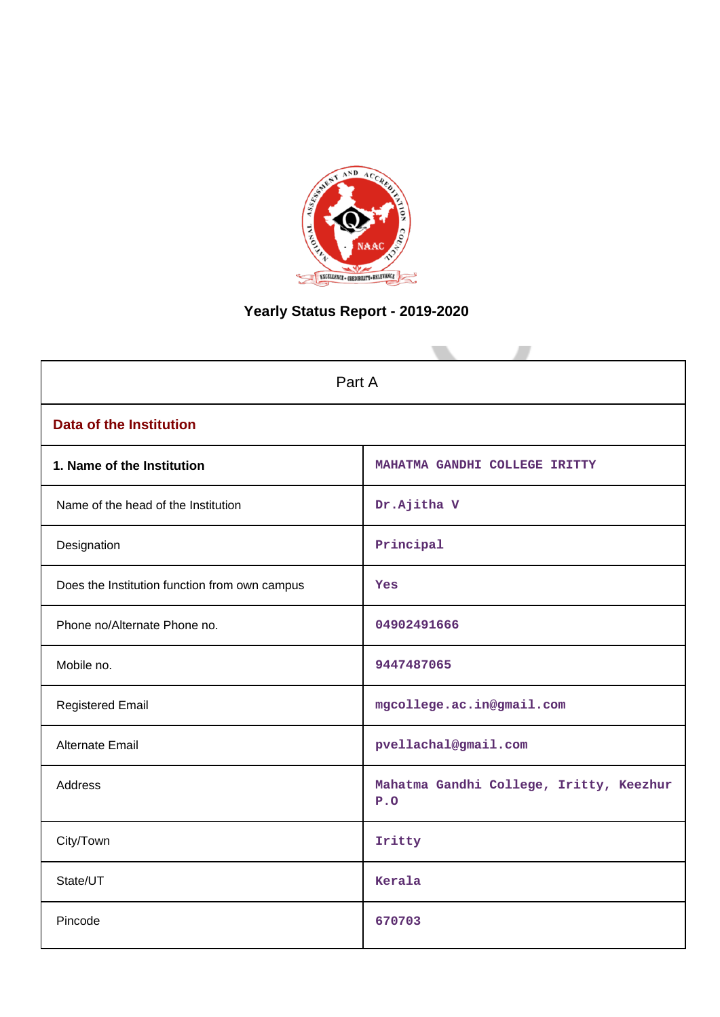

# **Yearly Status Report - 2019-2020**

| Part A                                        |                                                |  |  |  |
|-----------------------------------------------|------------------------------------------------|--|--|--|
| <b>Data of the Institution</b>                |                                                |  |  |  |
| 1. Name of the Institution                    | MAHATMA GANDHI COLLEGE IRITTY                  |  |  |  |
| Name of the head of the Institution           | Dr.Ajitha V                                    |  |  |  |
| Designation                                   | Principal                                      |  |  |  |
| Does the Institution function from own campus | Yes                                            |  |  |  |
| Phone no/Alternate Phone no.                  | 04902491666                                    |  |  |  |
| Mobile no.                                    | 9447487065                                     |  |  |  |
| <b>Registered Email</b>                       | mgcollege.ac.in@gmail.com                      |  |  |  |
| Alternate Email                               | pvellachal@gmail.com                           |  |  |  |
| Address                                       | Mahatma Gandhi College, Iritty, Keezhur<br>P.0 |  |  |  |
| City/Town                                     | Iritty                                         |  |  |  |
| State/UT                                      | Kerala                                         |  |  |  |
| Pincode                                       | 670703                                         |  |  |  |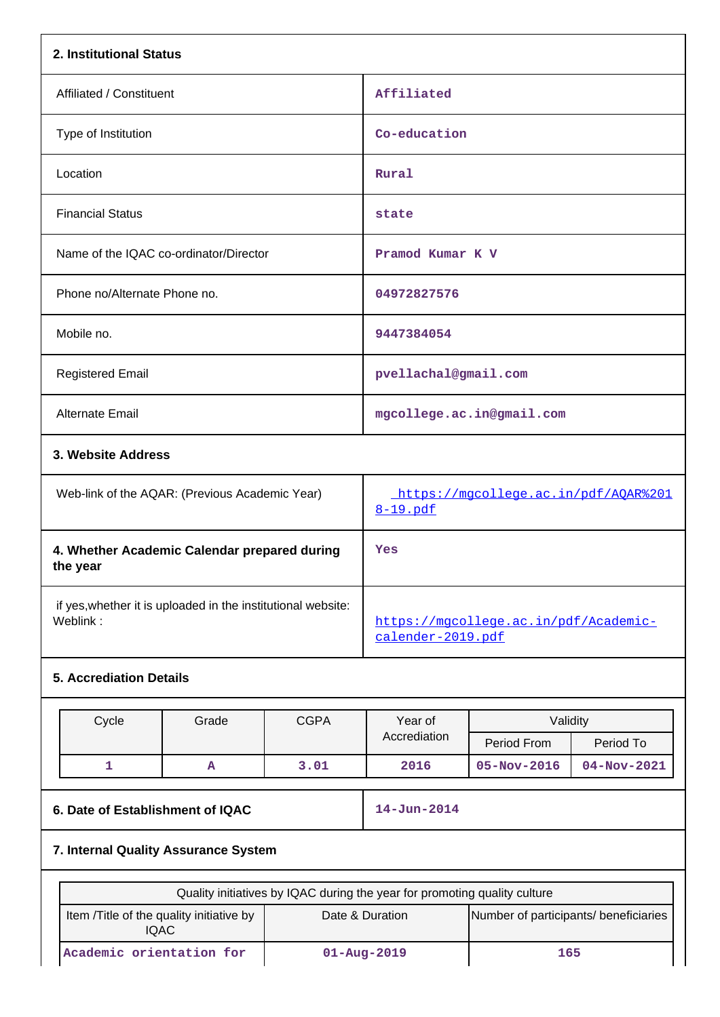| 2. Institutional Status                                                  |                                  |             |                                                                           |                                       |                          |
|--------------------------------------------------------------------------|----------------------------------|-------------|---------------------------------------------------------------------------|---------------------------------------|--------------------------|
| Affiliated / Constituent                                                 |                                  |             | Affiliated                                                                |                                       |                          |
| Type of Institution                                                      |                                  |             | Co-education                                                              |                                       |                          |
| Location                                                                 |                                  |             | Rural                                                                     |                                       |                          |
| <b>Financial Status</b>                                                  |                                  |             | state                                                                     |                                       |                          |
| Name of the IQAC co-ordinator/Director                                   |                                  |             | Pramod Kumar K V                                                          |                                       |                          |
| Phone no/Alternate Phone no.                                             |                                  |             | 04972827576                                                               |                                       |                          |
| Mobile no.                                                               |                                  |             | 9447384054                                                                |                                       |                          |
| <b>Registered Email</b>                                                  |                                  |             | pvellachal@gmail.com                                                      |                                       |                          |
| Alternate Email                                                          |                                  |             |                                                                           | mgcollege.ac.in@gmail.com             |                          |
| 3. Website Address                                                       |                                  |             |                                                                           |                                       |                          |
| Web-link of the AQAR: (Previous Academic Year)                           |                                  |             | https://mgcollege.ac.in/pdf/AQAR%201<br>8-19.pdf                          |                                       |                          |
| 4. Whether Academic Calendar prepared during<br>the year                 |                                  |             | Yes                                                                       |                                       |                          |
| if yes, whether it is uploaded in the institutional website:<br>Weblink: |                                  |             | https://mqcollege.ac.in/pdf/Academic-<br>calender-2019.pdf                |                                       |                          |
| <b>5. Accrediation Details</b>                                           |                                  |             |                                                                           |                                       |                          |
| Cycle                                                                    | Grade                            | <b>CGPA</b> | Year of<br>Accrediation                                                   | Validity                              |                          |
| 1                                                                        | А                                | 3.01        | 2016                                                                      | Period From<br>$05 - Nov - 2016$      | Period To<br>04-Nov-2021 |
|                                                                          |                                  |             |                                                                           |                                       |                          |
|                                                                          | 6. Date of Establishment of IQAC |             |                                                                           |                                       |                          |
| 7. Internal Quality Assurance System                                     |                                  |             |                                                                           |                                       |                          |
|                                                                          |                                  |             | Quality initiatives by IQAC during the year for promoting quality culture |                                       |                          |
| Item /Title of the quality initiative by<br><b>IQAC</b>                  |                                  |             | Date & Duration                                                           | Number of participants/ beneficiaries |                          |
| Academic orientation for                                                 |                                  |             | $01 - Aug - 2019$                                                         | 165                                   |                          |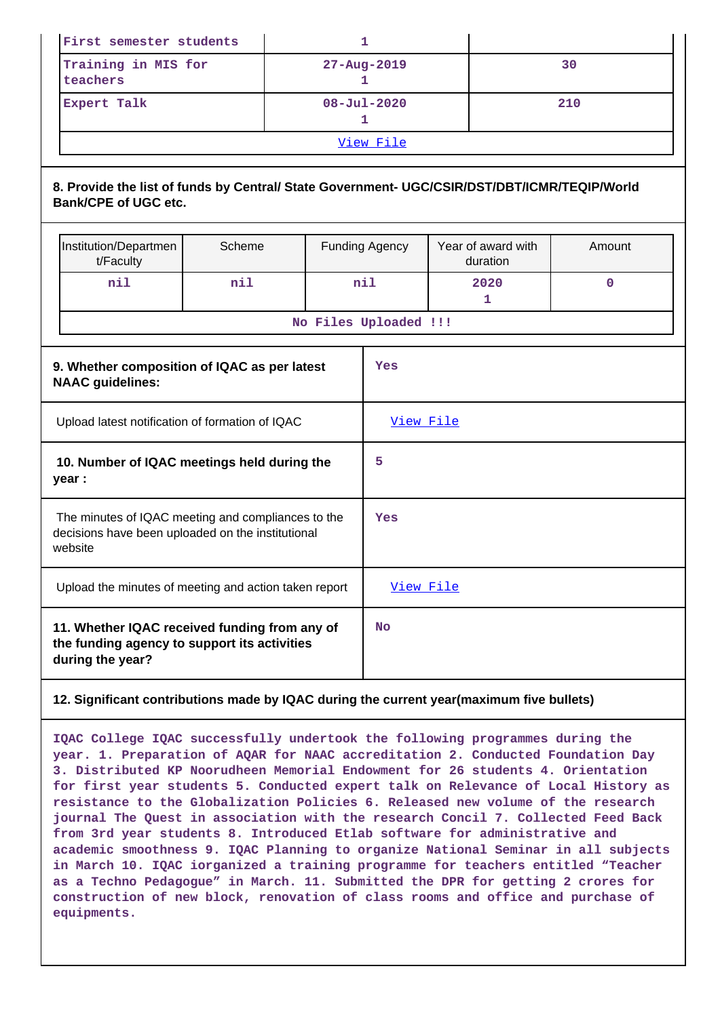| First semester students                                                                                                     |                                                                                                                    |     |    | 1         |                        |  |                                |             |
|-----------------------------------------------------------------------------------------------------------------------------|--------------------------------------------------------------------------------------------------------------------|-----|----|-----------|------------------------|--|--------------------------------|-------------|
|                                                                                                                             | Training in MIS for<br>teachers                                                                                    |     |    |           | 27-Aug-2019<br>1       |  | 30                             |             |
|                                                                                                                             | Expert Talk                                                                                                        |     |    |           | $08 - Jul - 2020$<br>1 |  |                                | 210         |
|                                                                                                                             |                                                                                                                    |     |    |           | View File              |  |                                |             |
| 8. Provide the list of funds by Central/ State Government- UGC/CSIR/DST/DBT/ICMR/TEQIP/World<br><b>Bank/CPE of UGC etc.</b> |                                                                                                                    |     |    |           |                        |  |                                |             |
|                                                                                                                             | Institution/Departmen<br>Scheme<br>t/Faculty                                                                       |     |    |           | <b>Funding Agency</b>  |  | Year of award with<br>duration | Amount      |
|                                                                                                                             | nil                                                                                                                | nil |    |           | nil                    |  | 2020<br>1                      | $\mathbf 0$ |
|                                                                                                                             |                                                                                                                    |     |    |           | No Files Uploaded !!!  |  |                                |             |
| 9. Whether composition of IQAC as per latest<br><b>NAAC</b> guidelines:                                                     |                                                                                                                    |     |    | Yes       |                        |  |                                |             |
|                                                                                                                             | Upload latest notification of formation of IQAC                                                                    |     |    |           | View File              |  |                                |             |
| 10. Number of IQAC meetings held during the<br>year :                                                                       |                                                                                                                    |     |    | 5         |                        |  |                                |             |
|                                                                                                                             | The minutes of IQAC meeting and compliances to the<br>decisions have been uploaded on the institutional<br>website |     |    | Yes       |                        |  |                                |             |
|                                                                                                                             | Upload the minutes of meeting and action taken report                                                              |     |    | View File |                        |  |                                |             |
| 11. Whether IQAC received funding from any of<br>the funding agency to support its activities<br>during the year?           |                                                                                                                    |     | No |           |                        |  |                                |             |

#### **12. Significant contributions made by IQAC during the current year(maximum five bullets)**

**IQAC College IQAC successfully undertook the following programmes during the year. 1. Preparation of AQAR for NAAC accreditation 2. Conducted Foundation Day 3. Distributed KP Noorudheen Memorial Endowment for 26 students 4. Orientation for first year students 5. Conducted expert talk on Relevance of Local History as resistance to the Globalization Policies 6. Released new volume of the research journal The Quest in association with the research Concil 7. Collected Feed Back from 3rd year students 8. Introduced Etlab software for administrative and academic smoothness 9. IQAC Planning to organize National Seminar in all subjects in March 10. IQAC iorganized a training programme for teachers entitled "Teacher as a Techno Pedagogue" in March. 11. Submitted the DPR for getting 2 crores for construction of new block, renovation of class rooms and office and purchase of equipments.**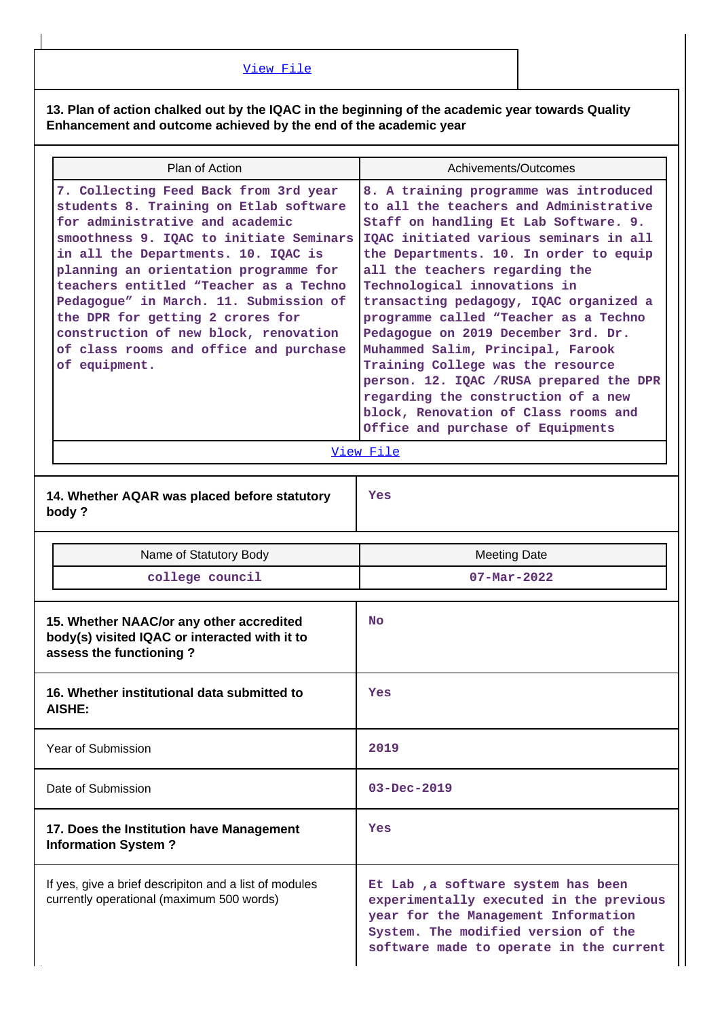[View File](https://assessmentonline.naac.gov.in/public/Postacc/Contribution/12981_Contribution.xlsx)

**13. Plan of action chalked out by the IQAC in the beginning of the academic year towards Quality Enhancement and outcome achieved by the end of the academic year**

|                                                                                                                                                                                                                                                                                                                                                                                                                                                                           | Plan of Action                                                                                                       | Achivements/Outcomes                                                                                                                                                                                                                                                                                                                                                                                                                                                                                                                                                                                                                               |
|---------------------------------------------------------------------------------------------------------------------------------------------------------------------------------------------------------------------------------------------------------------------------------------------------------------------------------------------------------------------------------------------------------------------------------------------------------------------------|----------------------------------------------------------------------------------------------------------------------|----------------------------------------------------------------------------------------------------------------------------------------------------------------------------------------------------------------------------------------------------------------------------------------------------------------------------------------------------------------------------------------------------------------------------------------------------------------------------------------------------------------------------------------------------------------------------------------------------------------------------------------------------|
| 7. Collecting Feed Back from 3rd year<br>students 8. Training on Etlab software<br>for administrative and academic<br>smoothness 9. IQAC to initiate Seminars<br>in all the Departments. 10. IQAC is<br>planning an orientation programme for<br>teachers entitled "Teacher as a Techno<br>Pedagogue" in March. 11. Submission of<br>the DPR for getting 2 crores for<br>construction of new block, renovation<br>of class rooms and office and purchase<br>of equipment. |                                                                                                                      | 8. A training programme was introduced<br>to all the teachers and Administrative<br>Staff on handling Et Lab Software. 9.<br>IQAC initiated various seminars in all<br>the Departments. 10. In order to equip<br>all the teachers regarding the<br>Technological innovations in<br>transacting pedagogy, IQAC organized a<br>programme called "Teacher as a Techno<br>Pedagogue on 2019 December 3rd. Dr.<br>Muhammed Salim, Principal, Farook<br>Training College was the resource<br>person. 12. IQAC /RUSA prepared the DPR<br>regarding the construction of a new<br>block, Renovation of Class rooms and<br>Office and purchase of Equipments |
|                                                                                                                                                                                                                                                                                                                                                                                                                                                                           |                                                                                                                      | View File                                                                                                                                                                                                                                                                                                                                                                                                                                                                                                                                                                                                                                          |
|                                                                                                                                                                                                                                                                                                                                                                                                                                                                           | 14. Whether AQAR was placed before statutory<br>body?                                                                | Yes                                                                                                                                                                                                                                                                                                                                                                                                                                                                                                                                                                                                                                                |
|                                                                                                                                                                                                                                                                                                                                                                                                                                                                           | Name of Statutory Body                                                                                               | <b>Meeting Date</b>                                                                                                                                                                                                                                                                                                                                                                                                                                                                                                                                                                                                                                |
|                                                                                                                                                                                                                                                                                                                                                                                                                                                                           | college council                                                                                                      | $07 - Mar - 2022$                                                                                                                                                                                                                                                                                                                                                                                                                                                                                                                                                                                                                                  |
|                                                                                                                                                                                                                                                                                                                                                                                                                                                                           | 15. Whether NAAC/or any other accredited<br>body(s) visited IQAC or interacted with it to<br>assess the functioning? | <b>No</b>                                                                                                                                                                                                                                                                                                                                                                                                                                                                                                                                                                                                                                          |
|                                                                                                                                                                                                                                                                                                                                                                                                                                                                           | 16. Whether institutional data submitted to<br><b>AISHE:</b>                                                         | Yes                                                                                                                                                                                                                                                                                                                                                                                                                                                                                                                                                                                                                                                |
|                                                                                                                                                                                                                                                                                                                                                                                                                                                                           | Year of Submission                                                                                                   | 2019                                                                                                                                                                                                                                                                                                                                                                                                                                                                                                                                                                                                                                               |
|                                                                                                                                                                                                                                                                                                                                                                                                                                                                           | Date of Submission                                                                                                   | $03 - Dec - 2019$                                                                                                                                                                                                                                                                                                                                                                                                                                                                                                                                                                                                                                  |
| 17. Does the Institution have Management<br><b>Information System?</b>                                                                                                                                                                                                                                                                                                                                                                                                    |                                                                                                                      | Yes                                                                                                                                                                                                                                                                                                                                                                                                                                                                                                                                                                                                                                                |
|                                                                                                                                                                                                                                                                                                                                                                                                                                                                           | If yes, give a brief descripiton and a list of modules<br>currently operational (maximum 500 words)                  | Et Lab, a software system has been<br>experimentally executed in the previous<br>year for the Management Information<br>System. The modified version of the<br>software made to operate in the current                                                                                                                                                                                                                                                                                                                                                                                                                                             |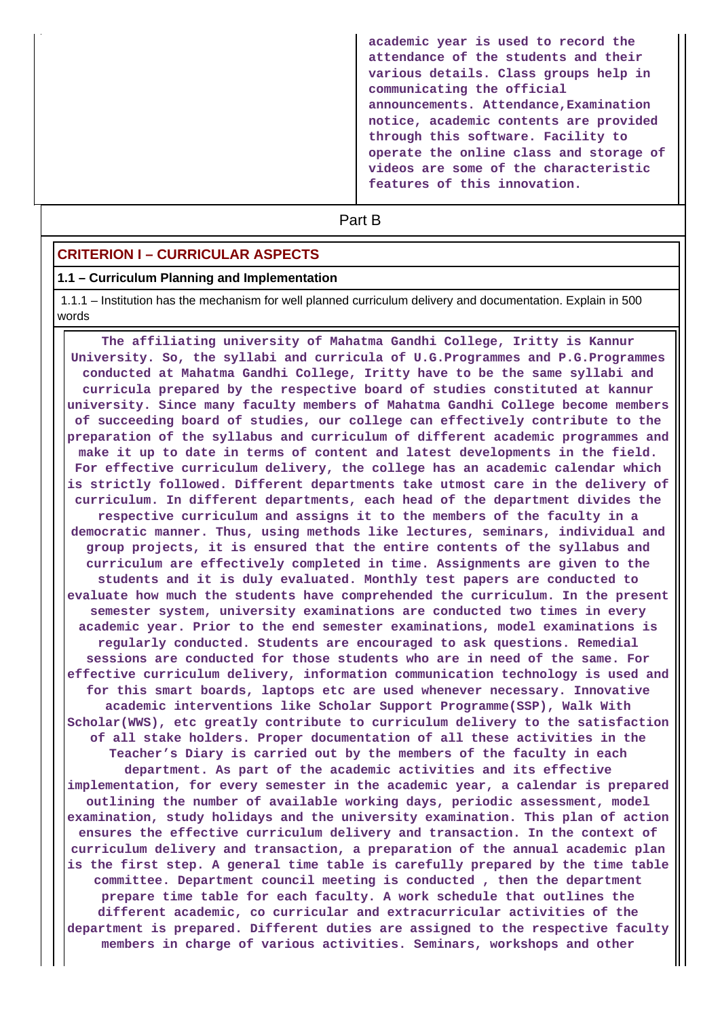**academic year is used to record the attendance of the students and their various details. Class groups help in communicating the official announcements. Attendance,Examination notice, academic contents are provided through this software. Facility to operate the online class and storage of videos are some of the characteristic features of this innovation.**

# **Part B**

#### **CRITERION I – CURRICULAR ASPECTS**

#### **1.1 – Curriculum Planning and Implementation**

 1.1.1 – Institution has the mechanism for well planned curriculum delivery and documentation. Explain in 500 words

 **The affiliating university of Mahatma Gandhi College, Iritty is Kannur University. So, the syllabi and curricula of U.G.Programmes and P.G.Programmes conducted at Mahatma Gandhi College, Iritty have to be the same syllabi and curricula prepared by the respective board of studies constituted at kannur university. Since many faculty members of Mahatma Gandhi College become members of succeeding board of studies, our college can effectively contribute to the preparation of the syllabus and curriculum of different academic programmes and make it up to date in terms of content and latest developments in the field. For effective curriculum delivery, the college has an academic calendar which is strictly followed. Different departments take utmost care in the delivery of curriculum. In different departments, each head of the department divides the respective curriculum and assigns it to the members of the faculty in a democratic manner. Thus, using methods like lectures, seminars, individual and group projects, it is ensured that the entire contents of the syllabus and curriculum are effectively completed in time. Assignments are given to the students and it is duly evaluated. Monthly test papers are conducted to evaluate how much the students have comprehended the curriculum. In the present semester system, university examinations are conducted two times in every academic year. Prior to the end semester examinations, model examinations is regularly conducted. Students are encouraged to ask questions. Remedial sessions are conducted for those students who are in need of the same. For effective curriculum delivery, information communication technology is used and for this smart boards, laptops etc are used whenever necessary. Innovative academic interventions like Scholar Support Programme(SSP), Walk With Scholar(WWS), etc greatly contribute to curriculum delivery to the satisfaction of all stake holders. Proper documentation of all these activities in the Teacher's Diary is carried out by the members of the faculty in each department. As part of the academic activities and its effective implementation, for every semester in the academic year, a calendar is prepared outlining the number of available working days, periodic assessment, model examination, study holidays and the university examination. This plan of action ensures the effective curriculum delivery and transaction. In the context of curriculum delivery and transaction, a preparation of the annual academic plan is the first step. A general time table is carefully prepared by the time table committee. Department council meeting is conducted , then the department prepare time table for each faculty. A work schedule that outlines the different academic, co curricular and extracurricular activities of the department is prepared. Different duties are assigned to the respective faculty members in charge of various activities. Seminars, workshops and other**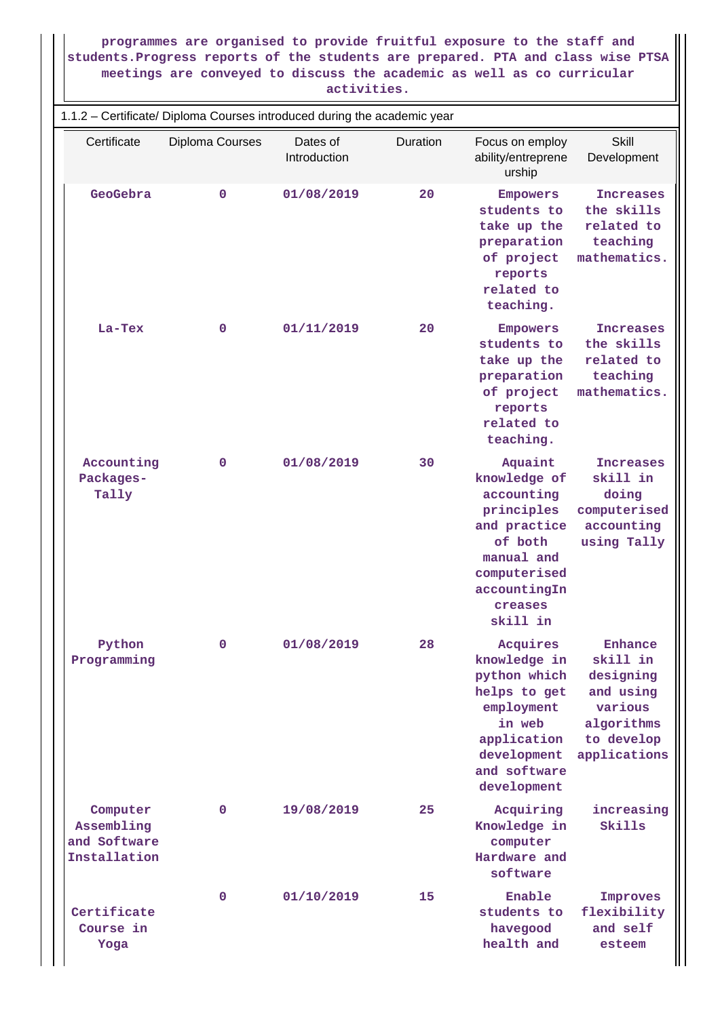#### **programmes are organised to provide fruitful exposure to the staff and students.Progress reports of the students are prepared. PTA and class wise PTSA meetings are conveyed to discuss the academic as well as co curricular activities.**

| 1.1.2 - Certificate/ Diploma Courses introduced during the academic year |                 |                          |          |                                                                                                                                                     |                                                                                                      |  |
|--------------------------------------------------------------------------|-----------------|--------------------------|----------|-----------------------------------------------------------------------------------------------------------------------------------------------------|------------------------------------------------------------------------------------------------------|--|
| Certificate                                                              | Diploma Courses | Dates of<br>Introduction | Duration | Focus on employ<br>ability/entreprene<br>urship                                                                                                     | Skill<br>Development                                                                                 |  |
| GeoGebra                                                                 | $\mathbf 0$     | 01/08/2019               | 20       | <b>Empowers</b><br>students to<br>take up the<br>preparation<br>of project<br>reports<br>related to<br>teaching.                                    | <b>Increases</b><br>the skills<br>related to<br>teaching<br>mathematics.                             |  |
| La-Tex                                                                   | 0               | 01/11/2019               | 20       | <b>Empowers</b><br>students to<br>take up the<br>preparation<br>of project<br>reports<br>related to<br>teaching.                                    | <b>Increases</b><br>the skills<br>related to<br>teaching<br>mathematics.                             |  |
| Accounting<br>Packages-<br>Tally                                         | 0               | 01/08/2019               | 30       | Aquaint<br>knowledge of<br>accounting<br>principles<br>and practice<br>of both<br>manual and<br>computerised<br>accountingIn<br>creases<br>skill in | <b>Increases</b><br>skill in<br>doing<br>computerised<br>accounting<br>using Tally                   |  |
| Python<br>Programming                                                    | 0               | 01/08/2019               | 28       | Acquires<br>knowledge in<br>python which<br>helps to get<br>employment<br>in web<br>application<br>development<br>and software<br>development       | Enhance<br>skill in<br>designing<br>and using<br>various<br>algorithms<br>to develop<br>applications |  |
| Computer<br>Assembling<br>and Software<br>Installation                   | 0               | 19/08/2019               | 25       | Acquiring<br>Knowledge in<br>computer<br>Hardware and<br>software                                                                                   | increasing<br>Skills                                                                                 |  |
| Certificate<br>Course in<br>Yoga                                         | 0               | 01/10/2019               | 15       | Enable<br>students to<br>havegood<br>health and                                                                                                     | Improves<br>flexibility<br>and self<br>esteem                                                        |  |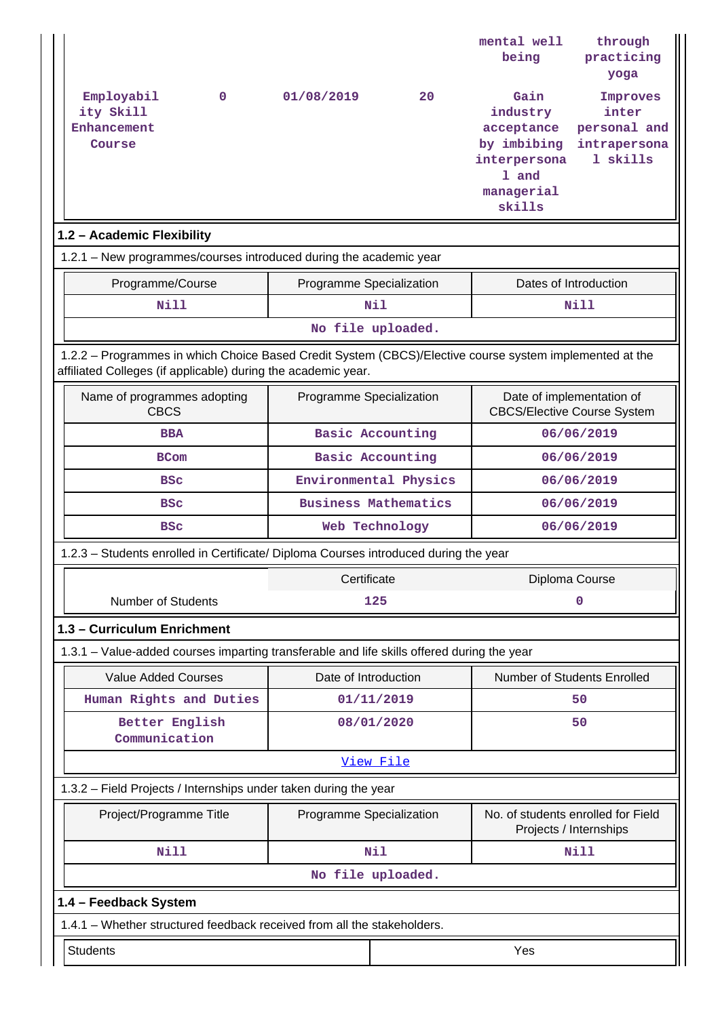|                                                                                                                                                                          |                                                   |                             | mental well<br>being        | through<br>practicing                                           |  |  |  |
|--------------------------------------------------------------------------------------------------------------------------------------------------------------------------|---------------------------------------------------|-----------------------------|-----------------------------|-----------------------------------------------------------------|--|--|--|
|                                                                                                                                                                          |                                                   |                             |                             | yoga                                                            |  |  |  |
| Employabil<br>$\mathbf 0$                                                                                                                                                | 01/08/2019                                        | 20                          | Gain                        | Improves                                                        |  |  |  |
| ity Skill<br>Enhancement                                                                                                                                                 |                                                   |                             | industry<br>acceptance      | inter<br>personal and                                           |  |  |  |
| Course                                                                                                                                                                   |                                                   |                             | by imbibing                 | intrapersona                                                    |  |  |  |
|                                                                                                                                                                          |                                                   |                             | interpersona                | 1 skills                                                        |  |  |  |
|                                                                                                                                                                          |                                                   |                             | 1 and<br>managerial         |                                                                 |  |  |  |
|                                                                                                                                                                          |                                                   |                             | skills                      |                                                                 |  |  |  |
| 1.2 - Academic Flexibility                                                                                                                                               |                                                   |                             |                             |                                                                 |  |  |  |
| 1.2.1 - New programmes/courses introduced during the academic year                                                                                                       |                                                   |                             |                             |                                                                 |  |  |  |
| Programme/Course                                                                                                                                                         | Dates of Introduction<br>Programme Specialization |                             |                             |                                                                 |  |  |  |
| <b>Nill</b>                                                                                                                                                              |                                                   | Nil                         |                             | Nill                                                            |  |  |  |
|                                                                                                                                                                          |                                                   | No file uploaded.           |                             |                                                                 |  |  |  |
| 1.2.2 - Programmes in which Choice Based Credit System (CBCS)/Elective course system implemented at the<br>affiliated Colleges (if applicable) during the academic year. |                                                   |                             |                             |                                                                 |  |  |  |
| Name of programmes adopting<br><b>CBCS</b>                                                                                                                               | Programme Specialization                          |                             |                             | Date of implementation of<br><b>CBCS/Elective Course System</b> |  |  |  |
| <b>BBA</b>                                                                                                                                                               |                                                   | <b>Basic Accounting</b>     | 06/06/2019                  |                                                                 |  |  |  |
| <b>BCom</b>                                                                                                                                                              |                                                   | <b>Basic Accounting</b>     | 06/06/2019                  |                                                                 |  |  |  |
| <b>BSC</b>                                                                                                                                                               |                                                   | Environmental Physics       |                             | 06/06/2019                                                      |  |  |  |
| <b>BSC</b>                                                                                                                                                               |                                                   | <b>Business Mathematics</b> |                             | 06/06/2019                                                      |  |  |  |
| <b>BSC</b>                                                                                                                                                               |                                                   | Web Technology              |                             | 06/06/2019                                                      |  |  |  |
| 1.2.3 - Students enrolled in Certificate/ Diploma Courses introduced during the year                                                                                     |                                                   |                             |                             |                                                                 |  |  |  |
|                                                                                                                                                                          | Certificate                                       |                             |                             | Diploma Course                                                  |  |  |  |
| <b>Number of Students</b>                                                                                                                                                |                                                   | 125                         |                             | 0                                                               |  |  |  |
| 1.3 - Curriculum Enrichment                                                                                                                                              |                                                   |                             |                             |                                                                 |  |  |  |
| 1.3.1 – Value-added courses imparting transferable and life skills offered during the year                                                                               |                                                   |                             |                             |                                                                 |  |  |  |
| <b>Value Added Courses</b>                                                                                                                                               | Date of Introduction                              |                             | Number of Students Enrolled |                                                                 |  |  |  |
| Human Rights and Duties                                                                                                                                                  |                                                   | 01/11/2019                  |                             | 50                                                              |  |  |  |
| Better English<br>Communication                                                                                                                                          |                                                   | 08/01/2020                  |                             | 50                                                              |  |  |  |
|                                                                                                                                                                          |                                                   | View File                   |                             |                                                                 |  |  |  |
| 1.3.2 - Field Projects / Internships under taken during the year                                                                                                         |                                                   |                             |                             |                                                                 |  |  |  |
| Project/Programme Title                                                                                                                                                  | Programme Specialization                          |                             |                             | No. of students enrolled for Field<br>Projects / Internships    |  |  |  |
| <b>Nill</b>                                                                                                                                                              |                                                   | Nil                         |                             | <b>Nill</b>                                                     |  |  |  |
|                                                                                                                                                                          |                                                   | No file uploaded.           |                             |                                                                 |  |  |  |
| 1.4 - Feedback System                                                                                                                                                    |                                                   |                             |                             |                                                                 |  |  |  |
| 1.4.1 - Whether structured feedback received from all the stakeholders.                                                                                                  |                                                   |                             |                             |                                                                 |  |  |  |
| <b>Students</b>                                                                                                                                                          |                                                   |                             | Yes                         |                                                                 |  |  |  |
|                                                                                                                                                                          |                                                   |                             |                             |                                                                 |  |  |  |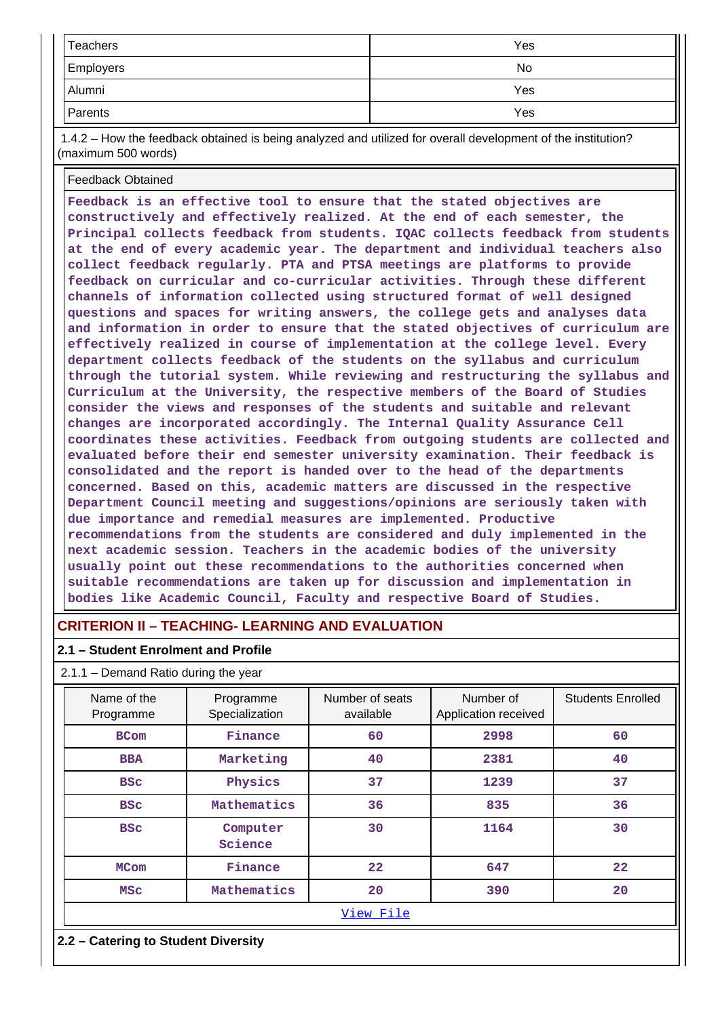| Teachers         | Yes |
|------------------|-----|
| <b>Employers</b> | No  |
| Alumni           | Yes |
| Parents          | Yes |

 1.4.2 – How the feedback obtained is being analyzed and utilized for overall development of the institution? (maximum 500 words)

#### Feedback Obtained

**Feedback is an effective tool to ensure that the stated objectives are constructively and effectively realized. At the end of each semester, the Principal collects feedback from students. IQAC collects feedback from students at the end of every academic year. The department and individual teachers also collect feedback regularly. PTA and PTSA meetings are platforms to provide feedback on curricular and co-curricular activities. Through these different channels of information collected using structured format of well designed questions and spaces for writing answers, the college gets and analyses data and information in order to ensure that the stated objectives of curriculum are effectively realized in course of implementation at the college level. Every department collects feedback of the students on the syllabus and curriculum through the tutorial system. While reviewing and restructuring the syllabus and Curriculum at the University, the respective members of the Board of Studies consider the views and responses of the students and suitable and relevant changes are incorporated accordingly. The Internal Quality Assurance Cell coordinates these activities. Feedback from outgoing students are collected and evaluated before their end semester university examination. Their feedback is consolidated and the report is handed over to the head of the departments concerned. Based on this, academic matters are discussed in the respective Department Council meeting and suggestions/opinions are seriously taken with due importance and remedial measures are implemented. Productive recommendations from the students are considered and duly implemented in the next academic session. Teachers in the academic bodies of the university usually point out these recommendations to the authorities concerned when suitable recommendations are taken up for discussion and implementation in bodies like Academic Council, Faculty and respective Board of Studies.**

# **CRITERION II – TEACHING- LEARNING AND EVALUATION**

#### **2.1 – Student Enrolment and Profile**

#### 2.1.1 – Demand Ratio during the year

| Name of the<br>Programme | Programme<br>Specialization | Number of seats<br>available | Number of<br>Application received | <b>Students Enrolled</b> |
|--------------------------|-----------------------------|------------------------------|-----------------------------------|--------------------------|
| <b>BCom</b>              | Finance                     | 60                           | 2998                              | 60                       |
| <b>BBA</b>               | Marketing                   | 40                           | 2381                              | 40                       |
| <b>BSC</b>               | Physics                     | 37                           | 1239                              | 37                       |
| <b>BSC</b>               | Mathematics                 | 36                           | 835                               | 36                       |
| <b>BSC</b>               | Computer<br>Science         | 30                           | 1164                              | 30                       |
| <b>MCom</b>              | Finance                     | 22                           | 647                               | 22                       |
| <b>MSC</b>               | Mathematics                 | 20                           | 390                               | 20                       |
|                          |                             | View File                    |                                   |                          |

#### **2.2 – Catering to Student Diversity**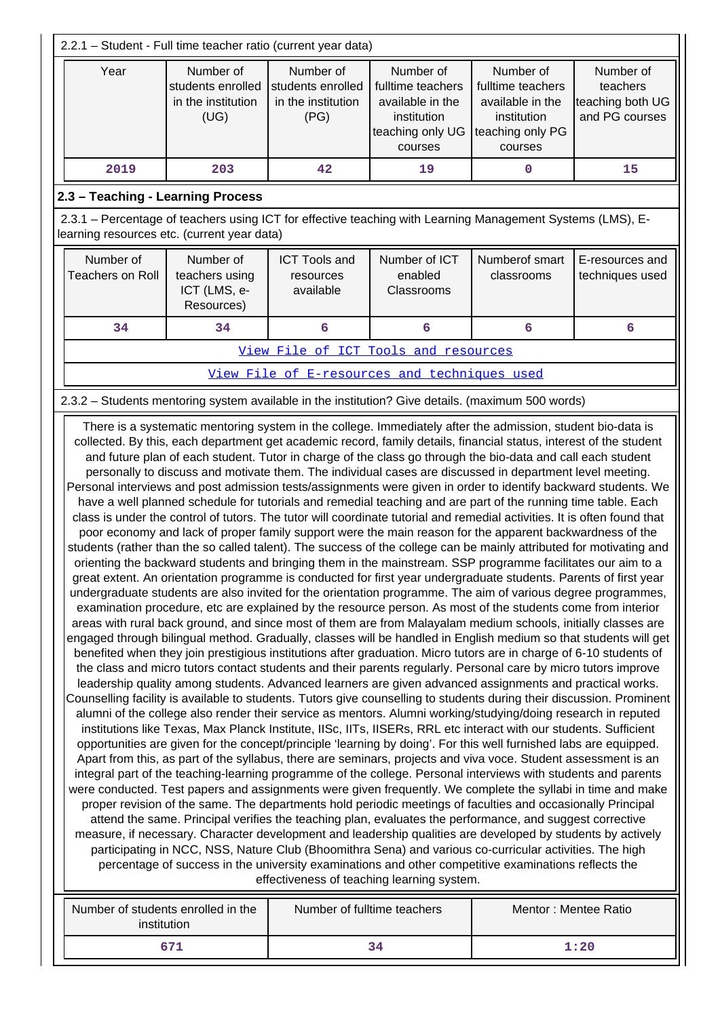| 2.2.1 - Student - Full time teacher ratio (current year data)                                                                                                                                                                                                                                                                                                                                                                                                                                                                                                                                                                                                                                                                                                                                                                                                                                                                                                                                                                                                                                                                                                                                                                                                                                                                                                                                                                                                                                                                                                                                                                                                                                                                                                                                                                                                                                                                                                                                                                                                                                                                                                                                                                                                                                                                                                                                                                                                                                                                                                                                                                                                                                                                                                                                                                                                                                                                                                                                                                                                                                                                                                                                                                                                                                                                                                                                                                                                                                                                                                               |                                                              |                                                              |                                                                                                  |                                                                                                  |                                                             |  |  |
|-----------------------------------------------------------------------------------------------------------------------------------------------------------------------------------------------------------------------------------------------------------------------------------------------------------------------------------------------------------------------------------------------------------------------------------------------------------------------------------------------------------------------------------------------------------------------------------------------------------------------------------------------------------------------------------------------------------------------------------------------------------------------------------------------------------------------------------------------------------------------------------------------------------------------------------------------------------------------------------------------------------------------------------------------------------------------------------------------------------------------------------------------------------------------------------------------------------------------------------------------------------------------------------------------------------------------------------------------------------------------------------------------------------------------------------------------------------------------------------------------------------------------------------------------------------------------------------------------------------------------------------------------------------------------------------------------------------------------------------------------------------------------------------------------------------------------------------------------------------------------------------------------------------------------------------------------------------------------------------------------------------------------------------------------------------------------------------------------------------------------------------------------------------------------------------------------------------------------------------------------------------------------------------------------------------------------------------------------------------------------------------------------------------------------------------------------------------------------------------------------------------------------------------------------------------------------------------------------------------------------------------------------------------------------------------------------------------------------------------------------------------------------------------------------------------------------------------------------------------------------------------------------------------------------------------------------------------------------------------------------------------------------------------------------------------------------------------------------------------------------------------------------------------------------------------------------------------------------------------------------------------------------------------------------------------------------------------------------------------------------------------------------------------------------------------------------------------------------------------------------------------------------------------------------------------------------------|--------------------------------------------------------------|--------------------------------------------------------------|--------------------------------------------------------------------------------------------------|--------------------------------------------------------------------------------------------------|-------------------------------------------------------------|--|--|
| Year                                                                                                                                                                                                                                                                                                                                                                                                                                                                                                                                                                                                                                                                                                                                                                                                                                                                                                                                                                                                                                                                                                                                                                                                                                                                                                                                                                                                                                                                                                                                                                                                                                                                                                                                                                                                                                                                                                                                                                                                                                                                                                                                                                                                                                                                                                                                                                                                                                                                                                                                                                                                                                                                                                                                                                                                                                                                                                                                                                                                                                                                                                                                                                                                                                                                                                                                                                                                                                                                                                                                                                        | Number of<br>students enrolled<br>in the institution<br>(UG) | Number of<br>students enrolled<br>in the institution<br>(PG) | Number of<br>fulltime teachers<br>available in the<br>institution<br>teaching only UG<br>courses | Number of<br>fulltime teachers<br>available in the<br>institution<br>teaching only PG<br>courses | Number of<br>teachers<br>teaching both UG<br>and PG courses |  |  |
| 2019                                                                                                                                                                                                                                                                                                                                                                                                                                                                                                                                                                                                                                                                                                                                                                                                                                                                                                                                                                                                                                                                                                                                                                                                                                                                                                                                                                                                                                                                                                                                                                                                                                                                                                                                                                                                                                                                                                                                                                                                                                                                                                                                                                                                                                                                                                                                                                                                                                                                                                                                                                                                                                                                                                                                                                                                                                                                                                                                                                                                                                                                                                                                                                                                                                                                                                                                                                                                                                                                                                                                                                        | 203                                                          | 42                                                           | 19                                                                                               | 0                                                                                                | 15                                                          |  |  |
|                                                                                                                                                                                                                                                                                                                                                                                                                                                                                                                                                                                                                                                                                                                                                                                                                                                                                                                                                                                                                                                                                                                                                                                                                                                                                                                                                                                                                                                                                                                                                                                                                                                                                                                                                                                                                                                                                                                                                                                                                                                                                                                                                                                                                                                                                                                                                                                                                                                                                                                                                                                                                                                                                                                                                                                                                                                                                                                                                                                                                                                                                                                                                                                                                                                                                                                                                                                                                                                                                                                                                                             | 2.3 - Teaching - Learning Process                            |                                                              |                                                                                                  |                                                                                                  |                                                             |  |  |
| 2.3.1 - Percentage of teachers using ICT for effective teaching with Learning Management Systems (LMS), E-<br>learning resources etc. (current year data)                                                                                                                                                                                                                                                                                                                                                                                                                                                                                                                                                                                                                                                                                                                                                                                                                                                                                                                                                                                                                                                                                                                                                                                                                                                                                                                                                                                                                                                                                                                                                                                                                                                                                                                                                                                                                                                                                                                                                                                                                                                                                                                                                                                                                                                                                                                                                                                                                                                                                                                                                                                                                                                                                                                                                                                                                                                                                                                                                                                                                                                                                                                                                                                                                                                                                                                                                                                                                   |                                                              |                                                              |                                                                                                  |                                                                                                  |                                                             |  |  |
| Number of<br><b>Teachers on Roll</b>                                                                                                                                                                                                                                                                                                                                                                                                                                                                                                                                                                                                                                                                                                                                                                                                                                                                                                                                                                                                                                                                                                                                                                                                                                                                                                                                                                                                                                                                                                                                                                                                                                                                                                                                                                                                                                                                                                                                                                                                                                                                                                                                                                                                                                                                                                                                                                                                                                                                                                                                                                                                                                                                                                                                                                                                                                                                                                                                                                                                                                                                                                                                                                                                                                                                                                                                                                                                                                                                                                                                        | Number of<br>teachers using<br>ICT (LMS, e-<br>Resources)    | <b>ICT Tools and</b><br>resources<br>available               | Number of ICT<br>enabled<br>Classrooms                                                           | Numberof smart<br>classrooms                                                                     | E-resources and<br>techniques used                          |  |  |
| 34                                                                                                                                                                                                                                                                                                                                                                                                                                                                                                                                                                                                                                                                                                                                                                                                                                                                                                                                                                                                                                                                                                                                                                                                                                                                                                                                                                                                                                                                                                                                                                                                                                                                                                                                                                                                                                                                                                                                                                                                                                                                                                                                                                                                                                                                                                                                                                                                                                                                                                                                                                                                                                                                                                                                                                                                                                                                                                                                                                                                                                                                                                                                                                                                                                                                                                                                                                                                                                                                                                                                                                          | 34                                                           | 6                                                            | 6                                                                                                | 6                                                                                                | 6                                                           |  |  |
|                                                                                                                                                                                                                                                                                                                                                                                                                                                                                                                                                                                                                                                                                                                                                                                                                                                                                                                                                                                                                                                                                                                                                                                                                                                                                                                                                                                                                                                                                                                                                                                                                                                                                                                                                                                                                                                                                                                                                                                                                                                                                                                                                                                                                                                                                                                                                                                                                                                                                                                                                                                                                                                                                                                                                                                                                                                                                                                                                                                                                                                                                                                                                                                                                                                                                                                                                                                                                                                                                                                                                                             |                                                              |                                                              | View File of ICT Tools and resources                                                             |                                                                                                  |                                                             |  |  |
|                                                                                                                                                                                                                                                                                                                                                                                                                                                                                                                                                                                                                                                                                                                                                                                                                                                                                                                                                                                                                                                                                                                                                                                                                                                                                                                                                                                                                                                                                                                                                                                                                                                                                                                                                                                                                                                                                                                                                                                                                                                                                                                                                                                                                                                                                                                                                                                                                                                                                                                                                                                                                                                                                                                                                                                                                                                                                                                                                                                                                                                                                                                                                                                                                                                                                                                                                                                                                                                                                                                                                                             |                                                              |                                                              | View File of E-resources and techniques used                                                     |                                                                                                  |                                                             |  |  |
| 2.3.2 - Students mentoring system available in the institution? Give details. (maximum 500 words)                                                                                                                                                                                                                                                                                                                                                                                                                                                                                                                                                                                                                                                                                                                                                                                                                                                                                                                                                                                                                                                                                                                                                                                                                                                                                                                                                                                                                                                                                                                                                                                                                                                                                                                                                                                                                                                                                                                                                                                                                                                                                                                                                                                                                                                                                                                                                                                                                                                                                                                                                                                                                                                                                                                                                                                                                                                                                                                                                                                                                                                                                                                                                                                                                                                                                                                                                                                                                                                                           |                                                              |                                                              |                                                                                                  |                                                                                                  |                                                             |  |  |
| There is a systematic mentoring system in the college. Immediately after the admission, student bio-data is<br>collected. By this, each department get academic record, family details, financial status, interest of the student<br>and future plan of each student. Tutor in charge of the class go through the bio-data and call each student<br>personally to discuss and motivate them. The individual cases are discussed in department level meeting.<br>Personal interviews and post admission tests/assignments were given in order to identify backward students. We<br>have a well planned schedule for tutorials and remedial teaching and are part of the running time table. Each<br>class is under the control of tutors. The tutor will coordinate tutorial and remedial activities. It is often found that<br>poor economy and lack of proper family support were the main reason for the apparent backwardness of the<br>students (rather than the so called talent). The success of the college can be mainly attributed for motivating and<br>orienting the backward students and bringing them in the mainstream. SSP programme facilitates our aim to a<br>great extent. An orientation programme is conducted for first year undergraduate students. Parents of first year<br>undergraduate students are also invited for the orientation programme. The aim of various degree programmes,<br>examination procedure, etc are explained by the resource person. As most of the students come from interior<br>areas with rural back ground, and since most of them are from Malayalam medium schools, initially classes are<br>engaged through bilingual method. Gradually, classes will be handled in English medium so that students will get<br>benefited when they join prestigious institutions after graduation. Micro tutors are in charge of 6-10 students of<br>the class and micro tutors contact students and their parents regularly. Personal care by micro tutors improve<br>leadership quality among students. Advanced learners are given advanced assignments and practical works.<br>Counselling facility is available to students. Tutors give counselling to students during their discussion. Prominent<br>alumni of the college also render their service as mentors. Alumni working/studying/doing research in reputed<br>institutions like Texas, Max Planck Institute, IISc, IITs, IISERs, RRL etc interact with our students. Sufficient<br>opportunities are given for the concept/principle 'learning by doing'. For this well furnished labs are equipped.<br>Apart from this, as part of the syllabus, there are seminars, projects and viva voce. Student assessment is an<br>integral part of the teaching-learning programme of the college. Personal interviews with students and parents<br>were conducted. Test papers and assignments were given frequently. We complete the syllabi in time and make<br>proper revision of the same. The departments hold periodic meetings of faculties and occasionally Principal<br>attend the same. Principal verifies the teaching plan, evaluates the performance, and suggest corrective<br>measure, if necessary. Character development and leadership qualities are developed by students by actively<br>participating in NCC, NSS, Nature Club (Bhoomithra Sena) and various co-curricular activities. The high<br>percentage of success in the university examinations and other competitive examinations reflects the<br>effectiveness of teaching learning system. |                                                              |                                                              |                                                                                                  |                                                                                                  |                                                             |  |  |
| institution                                                                                                                                                                                                                                                                                                                                                                                                                                                                                                                                                                                                                                                                                                                                                                                                                                                                                                                                                                                                                                                                                                                                                                                                                                                                                                                                                                                                                                                                                                                                                                                                                                                                                                                                                                                                                                                                                                                                                                                                                                                                                                                                                                                                                                                                                                                                                                                                                                                                                                                                                                                                                                                                                                                                                                                                                                                                                                                                                                                                                                                                                                                                                                                                                                                                                                                                                                                                                                                                                                                                                                 | Number of students enrolled in the                           | Number of fulltime teachers                                  |                                                                                                  | Mentor: Mentee Ratio                                                                             |                                                             |  |  |
|                                                                                                                                                                                                                                                                                                                                                                                                                                                                                                                                                                                                                                                                                                                                                                                                                                                                                                                                                                                                                                                                                                                                                                                                                                                                                                                                                                                                                                                                                                                                                                                                                                                                                                                                                                                                                                                                                                                                                                                                                                                                                                                                                                                                                                                                                                                                                                                                                                                                                                                                                                                                                                                                                                                                                                                                                                                                                                                                                                                                                                                                                                                                                                                                                                                                                                                                                                                                                                                                                                                                                                             | 671                                                          |                                                              | 34                                                                                               |                                                                                                  | 1:20                                                        |  |  |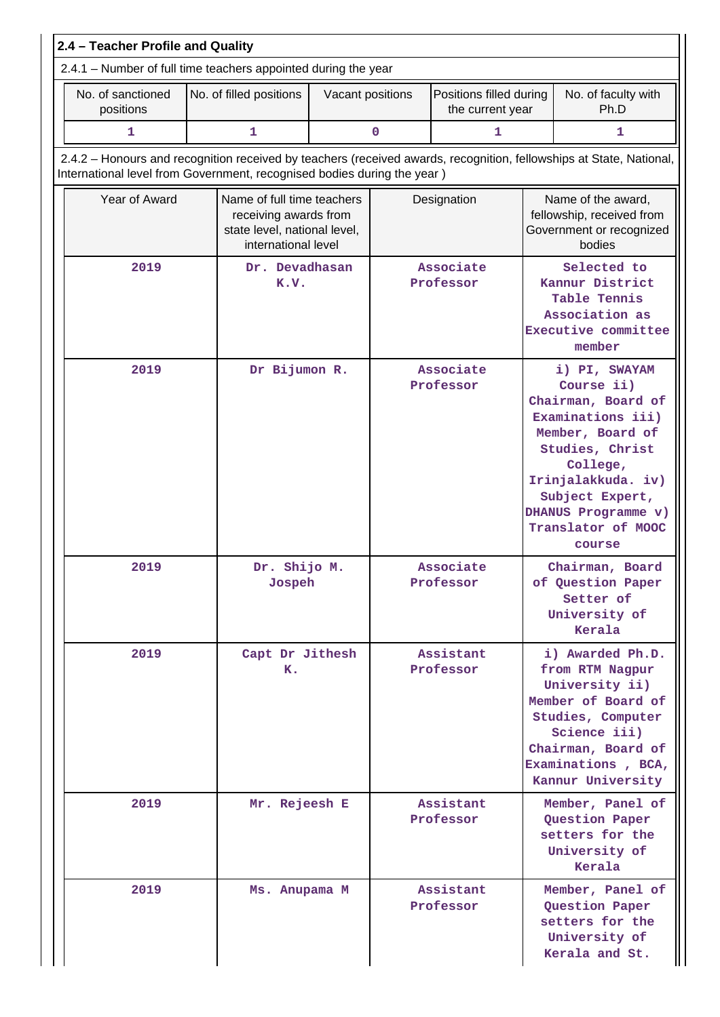| 2.4 - Teacher Profile and Quality                                                                                                                                                              |                       |                                                                                                            |  |                        |                             |                                                                                                                                                                                   |                                                                                                                                                                                                                           |
|------------------------------------------------------------------------------------------------------------------------------------------------------------------------------------------------|-----------------------|------------------------------------------------------------------------------------------------------------|--|------------------------|-----------------------------|-----------------------------------------------------------------------------------------------------------------------------------------------------------------------------------|---------------------------------------------------------------------------------------------------------------------------------------------------------------------------------------------------------------------------|
| 2.4.1 - Number of full time teachers appointed during the year                                                                                                                                 |                       |                                                                                                            |  |                        |                             |                                                                                                                                                                                   |                                                                                                                                                                                                                           |
| No. of sanctioned<br>positions                                                                                                                                                                 |                       | No. of filled positions<br>Positions filled during<br>Vacant positions<br>the current year                 |  |                        | No. of faculty with<br>Ph.D |                                                                                                                                                                                   |                                                                                                                                                                                                                           |
| 1                                                                                                                                                                                              |                       | $\mathbf{1}$                                                                                               |  | $\mathbf 0$            | 1                           |                                                                                                                                                                                   | 1                                                                                                                                                                                                                         |
| 2.4.2 - Honours and recognition received by teachers (received awards, recognition, fellowships at State, National,<br>International level from Government, recognised bodies during the year) |                       |                                                                                                            |  |                        |                             |                                                                                                                                                                                   |                                                                                                                                                                                                                           |
| Year of Award                                                                                                                                                                                  |                       | Name of full time teachers<br>receiving awards from<br>state level, national level,<br>international level |  | Designation            |                             | Name of the award,<br>fellowship, received from<br>Government or recognized<br>bodies                                                                                             |                                                                                                                                                                                                                           |
| 2019<br>Dr. Devadhasan<br>K.V.                                                                                                                                                                 |                       |                                                                                                            |  | Associate<br>Professor |                             | Selected to<br>Kannur District<br>Table Tennis<br>Association as<br>Executive committee<br>member                                                                                 |                                                                                                                                                                                                                           |
| 2019                                                                                                                                                                                           | Dr Bijumon R.         |                                                                                                            |  |                        | Associate<br>Professor      |                                                                                                                                                                                   | i) PI, SWAYAM<br>Course ii)<br>Chairman, Board of<br>Examinations iii)<br>Member, Board of<br>Studies, Christ<br>College,<br>Irinjalakkuda. iv)<br>Subject Expert,<br>DHANUS Programme v)<br>Translator of MOOC<br>course |
| 2019                                                                                                                                                                                           |                       | Dr. Shijo M.<br>Jospeh                                                                                     |  |                        | Associate<br>Professor      |                                                                                                                                                                                   | Chairman, Board<br>of Question Paper<br>Setter of<br>University of<br>Kerala                                                                                                                                              |
| 2019                                                                                                                                                                                           | Capt Dr Jithesh<br>к. |                                                                                                            |  | Assistant<br>Professor |                             | i) Awarded Ph.D.<br>from RTM Nagpur<br>University ii)<br>Member of Board of<br>Studies, Computer<br>Science iii)<br>Chairman, Board of<br>Examinations, BCA,<br>Kannur University |                                                                                                                                                                                                                           |
| 2019                                                                                                                                                                                           |                       | Mr. Rejeesh E                                                                                              |  |                        | Assistant<br>Professor      |                                                                                                                                                                                   | Member, Panel of<br>Question Paper<br>setters for the<br>University of<br>Kerala                                                                                                                                          |
| 2019                                                                                                                                                                                           |                       | Ms. Anupama M                                                                                              |  |                        | Assistant<br>Professor      |                                                                                                                                                                                   | Member, Panel of<br>Question Paper<br>setters for the<br>University of<br>Kerala and St.                                                                                                                                  |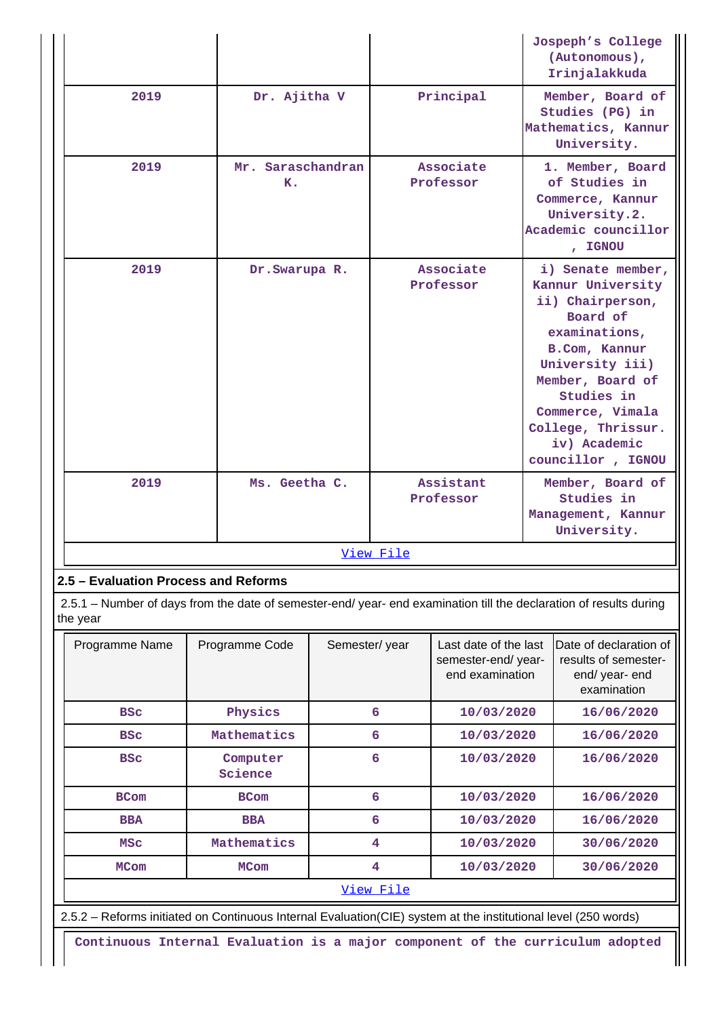|           |                         |                        | Jospeph's College<br>(Autonomous),<br>Irinjalakkuda                                                                                                                                                                                          |  |  |  |
|-----------|-------------------------|------------------------|----------------------------------------------------------------------------------------------------------------------------------------------------------------------------------------------------------------------------------------------|--|--|--|
| 2019      | Dr. Ajitha V            | Principal              | Member, Board of<br>Studies (PG) in<br>Mathematics, Kannur<br>University.                                                                                                                                                                    |  |  |  |
| 2019      | Mr. Saraschandran<br>K. | Associate<br>Professor | 1. Member, Board<br>of Studies in<br>Commerce, Kannur<br>University.2.<br>Academic councillor<br>, IGNOU                                                                                                                                     |  |  |  |
| 2019      | Dr. Swarupa R.          | Associate<br>Professor | i) Senate member,<br>Kannur University<br>ii) Chairperson,<br>Board of<br>examinations,<br>B.Com, Kannur<br>University iii)<br>Member, Board of<br>Studies in<br>Commerce, Vimala<br>College, Thrissur.<br>iv) Academic<br>councillor, IGNOU |  |  |  |
| 2019      | Ms. Geetha C.           | Assistant<br>Professor | Member, Board of<br>Studies in<br>Management, Kannur<br>University.                                                                                                                                                                          |  |  |  |
| View File |                         |                        |                                                                                                                                                                                                                                              |  |  |  |

# **2.5 – Evaluation Process and Reforms**

 2.5.1 – Number of days from the date of semester-end/ year- end examination till the declaration of results during the year

| Programme Name | Programme Code      | Semester/year | Last date of the last<br>semester-end/year-<br>end examination | Date of declaration of<br>results of semester-<br>end/ year- end<br>examination |  |  |  |
|----------------|---------------------|---------------|----------------------------------------------------------------|---------------------------------------------------------------------------------|--|--|--|
| <b>BSC</b>     | Physics             | 6             | 10/03/2020                                                     | 16/06/2020                                                                      |  |  |  |
| <b>BSC</b>     | Mathematics         | 6             | 10/03/2020                                                     | 16/06/2020                                                                      |  |  |  |
| <b>BSC</b>     | Computer<br>Science | 6             | 10/03/2020                                                     | 16/06/2020                                                                      |  |  |  |
| <b>BCom</b>    | <b>BCom</b>         | 6             | 10/03/2020                                                     | 16/06/2020                                                                      |  |  |  |
| <b>BBA</b>     | <b>BBA</b>          | 6             | 10/03/2020                                                     | 16/06/2020                                                                      |  |  |  |
| <b>MSC</b>     | Mathematics         | 4             | 10/03/2020                                                     | 30/06/2020                                                                      |  |  |  |
| <b>MCom</b>    | <b>MCom</b>         | 4             | 10/03/2020                                                     | 30/06/2020                                                                      |  |  |  |
|                | <u>View File</u>    |               |                                                                |                                                                                 |  |  |  |

2.5.2 – Reforms initiated on Continuous Internal Evaluation(CIE) system at the institutional level (250 words)

**Continuous Internal Evaluation is a major component of the curriculum adopted**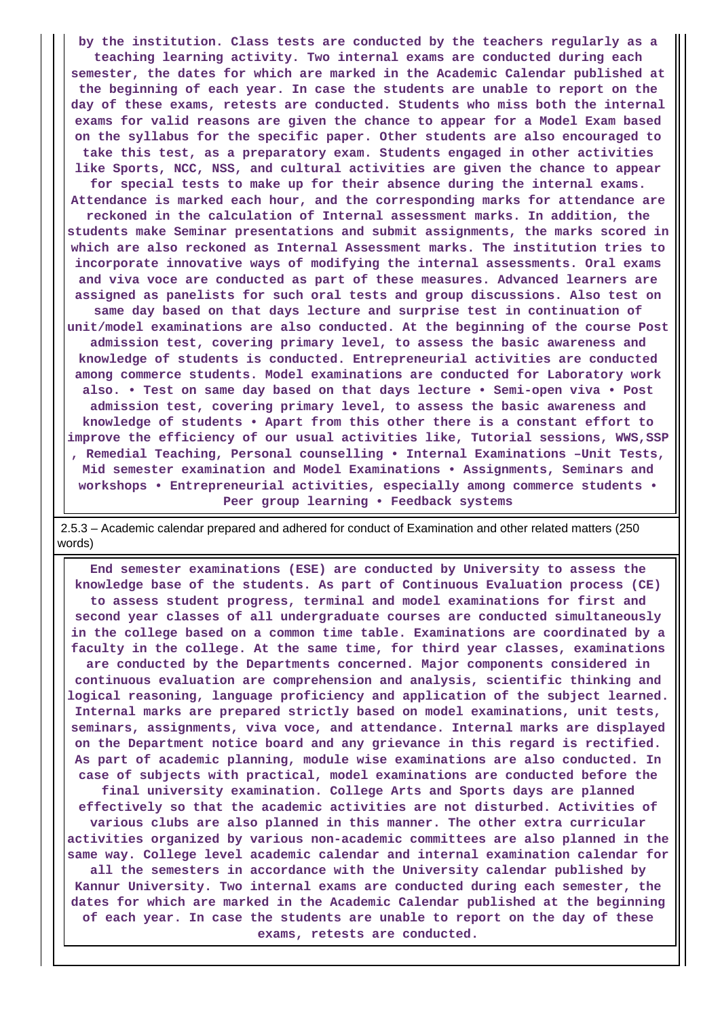**by the institution. Class tests are conducted by the teachers regularly as a teaching learning activity. Two internal exams are conducted during each semester, the dates for which are marked in the Academic Calendar published at the beginning of each year. In case the students are unable to report on the day of these exams, retests are conducted. Students who miss both the internal exams for valid reasons are given the chance to appear for a Model Exam based on the syllabus for the specific paper. Other students are also encouraged to take this test, as a preparatory exam. Students engaged in other activities like Sports, NCC, NSS, and cultural activities are given the chance to appear for special tests to make up for their absence during the internal exams. Attendance is marked each hour, and the corresponding marks for attendance are reckoned in the calculation of Internal assessment marks. In addition, the students make Seminar presentations and submit assignments, the marks scored in which are also reckoned as Internal Assessment marks. The institution tries to incorporate innovative ways of modifying the internal assessments. Oral exams and viva voce are conducted as part of these measures. Advanced learners are assigned as panelists for such oral tests and group discussions. Also test on same day based on that days lecture and surprise test in continuation of unit/model examinations are also conducted. At the beginning of the course Post**

**admission test, covering primary level, to assess the basic awareness and knowledge of students is conducted. Entrepreneurial activities are conducted among commerce students. Model examinations are conducted for Laboratory work also. • Test on same day based on that days lecture • Semi-open viva • Post admission test, covering primary level, to assess the basic awareness and knowledge of students • Apart from this other there is a constant effort to improve the efficiency of our usual activities like, Tutorial sessions, WWS,SSP , Remedial Teaching, Personal counselling • Internal Examinations –Unit Tests, Mid semester examination and Model Examinations • Assignments, Seminars and workshops • Entrepreneurial activities, especially among commerce students • Peer group learning • Feedback systems**

 2.5.3 – Academic calendar prepared and adhered for conduct of Examination and other related matters (250 words)

 **End semester examinations (ESE) are conducted by University to assess the knowledge base of the students. As part of Continuous Evaluation process (CE) to assess student progress, terminal and model examinations for first and second year classes of all undergraduate courses are conducted simultaneously in the college based on a common time table. Examinations are coordinated by a faculty in the college. At the same time, for third year classes, examinations are conducted by the Departments concerned. Major components considered in continuous evaluation are comprehension and analysis, scientific thinking and logical reasoning, language proficiency and application of the subject learned. Internal marks are prepared strictly based on model examinations, unit tests, seminars, assignments, viva voce, and attendance. Internal marks are displayed on the Department notice board and any grievance in this regard is rectified. As part of academic planning, module wise examinations are also conducted. In case of subjects with practical, model examinations are conducted before the final university examination. College Arts and Sports days are planned effectively so that the academic activities are not disturbed. Activities of various clubs are also planned in this manner. The other extra curricular activities organized by various non-academic committees are also planned in the same way. College level academic calendar and internal examination calendar for all the semesters in accordance with the University calendar published by Kannur University. Two internal exams are conducted during each semester, the dates for which are marked in the Academic Calendar published at the beginning of each year. In case the students are unable to report on the day of these exams, retests are conducted.**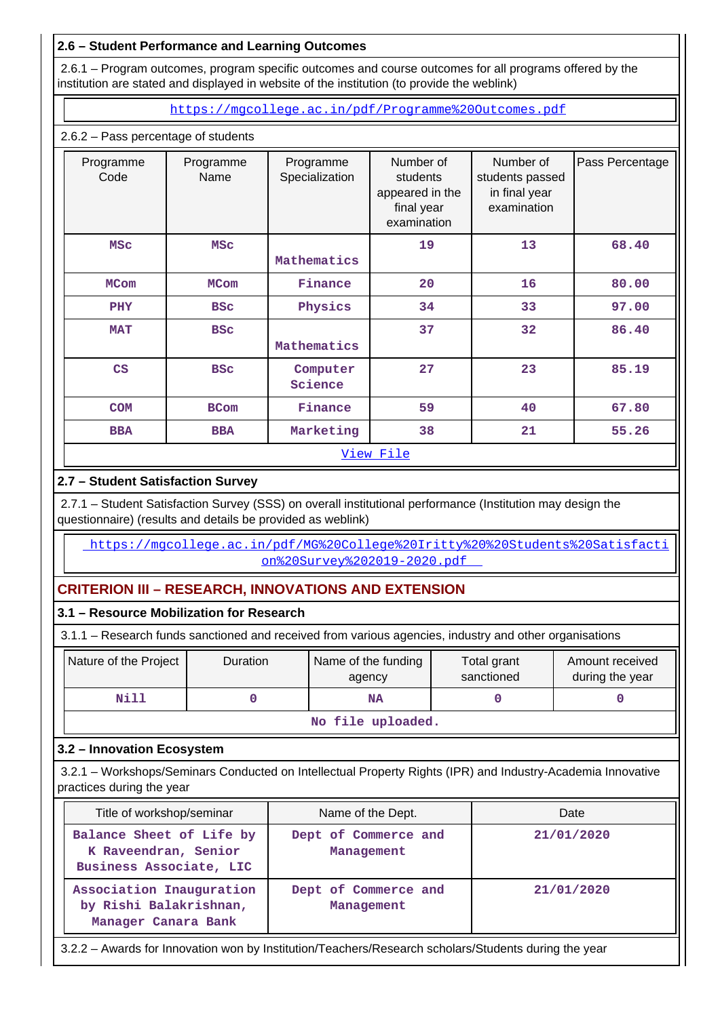# **2.6 – Student Performance and Learning Outcomes**

 2.6.1 – Program outcomes, program specific outcomes and course outcomes for all programs offered by the institution are stated and displayed in website of the institution (to provide the weblink)

<https://mgcollege.ac.in/pdf/Programme%20Outcomes.pdf>

## 2.6.2 – Pass percentage of students

| Programme<br>Code | Programme<br>Name | Programme<br>Specialization | Number of<br>students<br>appeared in the<br>final year<br>examination | Number of<br>students passed<br>in final year<br>examination | Pass Percentage |
|-------------------|-------------------|-----------------------------|-----------------------------------------------------------------------|--------------------------------------------------------------|-----------------|
| <b>MSC</b>        | <b>MSC</b>        | Mathematics                 | 19                                                                    | 13                                                           | 68.40           |
| <b>MCom</b>       | <b>MCom</b>       | Finance                     | 20                                                                    | 16                                                           | 80.00           |
| <b>PHY</b>        | <b>BSC</b>        | Physics                     | 34                                                                    | 33                                                           | 97.00           |
| <b>MAT</b>        | <b>BSC</b>        | Mathematics                 | 37                                                                    | 32                                                           | 86.40           |
| CS                | <b>BSC</b>        | Computer<br>Science         | 27                                                                    | 23                                                           | 85.19           |
| <b>COM</b>        | <b>BCom</b>       | Finance                     | 59                                                                    | 40                                                           | 67.80           |
| <b>BBA</b>        | <b>BBA</b>        | Marketing                   | 38                                                                    | 21                                                           | 55.26           |
|                   |                   |                             | View File                                                             |                                                              |                 |

# **2.7 – Student Satisfaction Survey**

 2.7.1 – Student Satisfaction Survey (SSS) on overall institutional performance (Institution may design the questionnaire) (results and details be provided as weblink)

 [https://mgcollege.ac.in/pdf/MG%20College%20Iritty%20%20Students%20Satisfacti](https://mgcollege.ac.in/pdf/MG%20College%20Iritty%20%20Students%20Satisfaction%20Survey%202019-2020.pdf) [on%20Survey%202019-2020.pdf](https://mgcollege.ac.in/pdf/MG%20College%20Iritty%20%20Students%20Satisfaction%20Survey%202019-2020.pdf) 

# **CRITERION III – RESEARCH, INNOVATIONS AND EXTENSION**

# **3.1 – Resource Mobilization for Research**

3.1.1 – Research funds sanctioned and received from various agencies, industry and other organisations

| Nature of the Project | <b>Duration</b>           | Name of the funding<br>agency | Total grant<br>sanctioned | Amount received<br>during the year |  |  |  |  |  |  |  |
|-----------------------|---------------------------|-------------------------------|---------------------------|------------------------------------|--|--|--|--|--|--|--|
| Nill                  |                           | <b>NA</b>                     |                           |                                    |  |  |  |  |  |  |  |
|                       | メディー・バス スーパー・シー・スーパー スーパー |                               |                           |                                    |  |  |  |  |  |  |  |

**No file uploaded.**

# **3.2 – Innovation Ecosystem**

 3.2.1 – Workshops/Seminars Conducted on Intellectual Property Rights (IPR) and Industry-Academia Innovative practices during the year

| Title of workshop/seminar                                                   | Name of the Dept.                  | Date       |
|-----------------------------------------------------------------------------|------------------------------------|------------|
| Balance Sheet of Life by<br>K Raveendran, Senior<br>Business Associate, LIC | Dept of Commerce and<br>Management | 21/01/2020 |
| Association Inauguration<br>by Rishi Balakrishnan,<br>Manager Canara Bank   | Dept of Commerce and<br>Management | 21/01/2020 |

3.2.2 – Awards for Innovation won by Institution/Teachers/Research scholars/Students during the year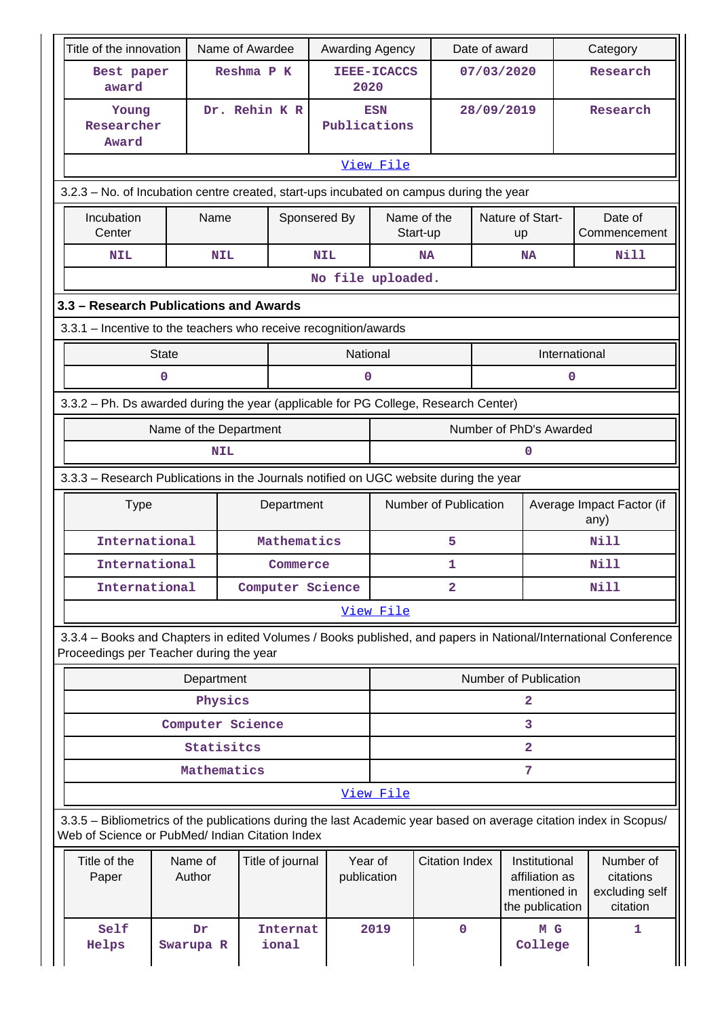| Title of the innovation                                                                                                                                               |                                                                  | Name of Awardee          | Awarding Agency   |                            |                         | Date of award |                                                                    |          | Category                                             |  |
|-----------------------------------------------------------------------------------------------------------------------------------------------------------------------|------------------------------------------------------------------|--------------------------|-------------------|----------------------------|-------------------------|---------------|--------------------------------------------------------------------|----------|------------------------------------------------------|--|
| Best paper<br>award                                                                                                                                                   |                                                                  | Reshma P K               |                   | <b>IEEE-ICACCS</b><br>2020 |                         | 07/03/2020    |                                                                    | Research |                                                      |  |
| Young<br>Researcher<br>Award                                                                                                                                          |                                                                  | Dr. Rehin K R            |                   | <b>ESN</b><br>Publications |                         | 28/09/2019    |                                                                    |          | Research                                             |  |
|                                                                                                                                                                       |                                                                  |                          |                   | View File                  |                         |               |                                                                    |          |                                                      |  |
| 3.2.3 - No. of Incubation centre created, start-ups incubated on campus during the year                                                                               |                                                                  |                          |                   |                            |                         |               |                                                                    |          |                                                      |  |
| Incubation<br>Center                                                                                                                                                  | Name                                                             |                          | Sponsered By      |                            | Name of the<br>Start-up |               | Nature of Start-<br>up                                             |          | Date of<br>Commencement                              |  |
| <b>NIL</b>                                                                                                                                                            | <b>NIL</b>                                                       |                          | <b>NIL</b>        |                            | <b>NA</b>               |               | NA                                                                 |          | <b>Nill</b>                                          |  |
|                                                                                                                                                                       |                                                                  |                          | No file uploaded. |                            |                         |               |                                                                    |          |                                                      |  |
| 3.3 - Research Publications and Awards                                                                                                                                |                                                                  |                          |                   |                            |                         |               |                                                                    |          |                                                      |  |
|                                                                                                                                                                       | 3.3.1 - Incentive to the teachers who receive recognition/awards |                          |                   |                            |                         |               |                                                                    |          |                                                      |  |
| <b>State</b>                                                                                                                                                          |                                                                  |                          |                   | National                   |                         |               | International                                                      |          |                                                      |  |
| 0                                                                                                                                                                     |                                                                  |                          |                   | O                          |                         |               |                                                                    | 0        |                                                      |  |
| 3.3.2 - Ph. Ds awarded during the year (applicable for PG College, Research Center)                                                                                   |                                                                  |                          |                   |                            |                         |               |                                                                    |          |                                                      |  |
|                                                                                                                                                                       | Name of the Department                                           |                          |                   |                            | Number of PhD's Awarded |               |                                                                    |          |                                                      |  |
|                                                                                                                                                                       | <b>NIL</b>                                                       |                          |                   |                            |                         |               | $\mathbf 0$                                                        |          |                                                      |  |
| 3.3.3 - Research Publications in the Journals notified on UGC website during the year                                                                                 |                                                                  |                          |                   |                            |                         |               |                                                                    |          |                                                      |  |
| <b>Type</b>                                                                                                                                                           |                                                                  | Department               |                   |                            | Number of Publication   |               |                                                                    |          | Average Impact Factor (if<br>any)                    |  |
| International                                                                                                                                                         |                                                                  | Mathematics              |                   | 5                          |                         |               |                                                                    |          | N <sub>i</sub> 11                                    |  |
| International                                                                                                                                                         |                                                                  | Commerce                 |                   |                            | 1                       |               |                                                                    |          | Nill                                                 |  |
| International                                                                                                                                                         |                                                                  | Computer Science         |                   | $\overline{2}$             |                         |               |                                                                    |          | <b>Nill</b>                                          |  |
|                                                                                                                                                                       |                                                                  |                          |                   | View File                  |                         |               |                                                                    |          |                                                      |  |
| 3.3.4 - Books and Chapters in edited Volumes / Books published, and papers in National/International Conference<br>Proceedings per Teacher during the year            |                                                                  |                          |                   |                            |                         |               |                                                                    |          |                                                      |  |
|                                                                                                                                                                       | Department                                                       |                          |                   |                            |                         |               | Number of Publication                                              |          |                                                      |  |
|                                                                                                                                                                       | Physics                                                          |                          |                   |                            |                         |               | $\overline{2}$                                                     |          |                                                      |  |
|                                                                                                                                                                       | Computer Science                                                 |                          |                   |                            |                         |               | 3                                                                  |          |                                                      |  |
|                                                                                                                                                                       | Statisites                                                       |                          |                   |                            |                         |               | $\overline{2}$                                                     |          |                                                      |  |
|                                                                                                                                                                       | Mathematics                                                      |                          |                   |                            |                         |               | $7\phantom{.0}$                                                    |          |                                                      |  |
|                                                                                                                                                                       | View File                                                        |                          |                   |                            |                         |               |                                                                    |          |                                                      |  |
| 3.3.5 - Bibliometrics of the publications during the last Academic year based on average citation index in Scopus/<br>Web of Science or PubMed/ Indian Citation Index |                                                                  |                          |                   |                            |                         |               |                                                                    |          |                                                      |  |
| Title of the<br>Paper                                                                                                                                                 | Name of<br>Author                                                | Title of journal         |                   | Year of<br>publication     | <b>Citation Index</b>   |               | Institutional<br>affiliation as<br>mentioned in<br>the publication |          | Number of<br>citations<br>excluding self<br>citation |  |
| Self<br>Helps                                                                                                                                                         | Dr<br>Swarupa R                                                  | <b>Internat</b><br>ional |                   | 2019                       | $\mathbf 0$             |               | M G<br>College                                                     |          | 1                                                    |  |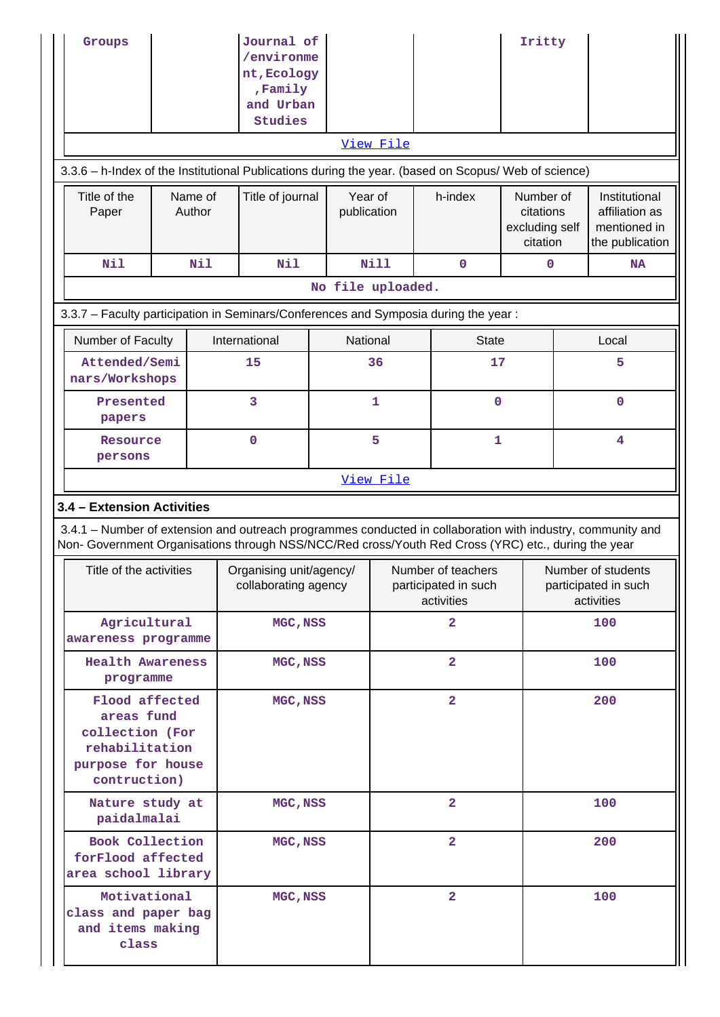| Groups                                                                                                                                                                                                             |     |  | Journal of<br>/environme<br>nt, Ecology<br>Family<br>and Urban<br><b>Studies</b> |                   |                        |                                                          |                         | Iritty |                                                          |                                                                    |  |
|--------------------------------------------------------------------------------------------------------------------------------------------------------------------------------------------------------------------|-----|--|----------------------------------------------------------------------------------|-------------------|------------------------|----------------------------------------------------------|-------------------------|--------|----------------------------------------------------------|--------------------------------------------------------------------|--|
|                                                                                                                                                                                                                    |     |  |                                                                                  |                   | View File              |                                                          |                         |        |                                                          |                                                                    |  |
| 3.3.6 - h-Index of the Institutional Publications during the year. (based on Scopus/ Web of science)                                                                                                               |     |  |                                                                                  |                   |                        |                                                          |                         |        |                                                          |                                                                    |  |
| Title of the<br>Name of<br>Author<br>Paper                                                                                                                                                                         |     |  | Title of journal                                                                 |                   | Year of<br>publication |                                                          | h-index                 |        | Number of<br>citations<br>excluding self<br>citation     | Institutional<br>affiliation as<br>mentioned in<br>the publication |  |
| Nil                                                                                                                                                                                                                | Nil |  | Nil                                                                              |                   | Nill                   |                                                          | $\mathbf 0$             | 0      |                                                          | <b>NA</b>                                                          |  |
|                                                                                                                                                                                                                    |     |  |                                                                                  | No file uploaded. |                        |                                                          |                         |        |                                                          |                                                                    |  |
| 3.3.7 - Faculty participation in Seminars/Conferences and Symposia during the year:                                                                                                                                |     |  |                                                                                  |                   |                        |                                                          |                         |        |                                                          |                                                                    |  |
| Number of Faculty                                                                                                                                                                                                  |     |  | International                                                                    |                   | National               |                                                          | <b>State</b>            |        |                                                          | Local                                                              |  |
| Attended/Semi<br>nars/Workshops                                                                                                                                                                                    |     |  | 15                                                                               |                   | 36                     |                                                          | 17                      |        |                                                          | 5                                                                  |  |
| Presented<br>papers                                                                                                                                                                                                |     |  | 3                                                                                |                   | $\mathbf{1}$           |                                                          | 0                       |        |                                                          | $\mathbf{O}$                                                       |  |
| Resource<br>persons                                                                                                                                                                                                |     |  | $\mathbf 0$                                                                      | 5                 |                        |                                                          | $\mathbf{1}$            |        |                                                          | 4                                                                  |  |
|                                                                                                                                                                                                                    |     |  |                                                                                  |                   | View File              |                                                          |                         |        |                                                          |                                                                    |  |
| 3.4 - Extension Activities                                                                                                                                                                                         |     |  |                                                                                  |                   |                        |                                                          |                         |        |                                                          |                                                                    |  |
| 3.4.1 – Number of extension and outreach programmes conducted in collaboration with industry, community and<br>Non- Government Organisations through NSS/NCC/Red cross/Youth Red Cross (YRC) etc., during the year |     |  |                                                                                  |                   |                        |                                                          |                         |        |                                                          |                                                                    |  |
| Title of the activities                                                                                                                                                                                            |     |  | Organising unit/agency/<br>collaborating agency                                  |                   |                        | Number of teachers<br>participated in such<br>activities |                         |        | Number of students<br>participated in such<br>activities |                                                                    |  |
| Agricultural<br>awareness programme                                                                                                                                                                                |     |  | MGC, NSS                                                                         |                   |                        | $\overline{\mathbf{2}}$                                  |                         |        | 100                                                      |                                                                    |  |
| <b>Health Awareness</b><br>programme                                                                                                                                                                               |     |  | MGC, NSS                                                                         |                   |                        | $\overline{\mathbf{2}}$                                  |                         |        |                                                          | 100                                                                |  |
| Flood affected<br>areas fund<br>collection (For<br>rehabilitation<br>purpose for house<br>contruction)                                                                                                             |     |  | MGC, NSS                                                                         |                   |                        |                                                          | $\overline{2}$          |        | 200                                                      |                                                                    |  |
| Nature study at<br>paidalmalai                                                                                                                                                                                     |     |  | MGC, NSS                                                                         |                   |                        |                                                          | $\overline{2}$          |        |                                                          | 100                                                                |  |
| Book Collection<br>MGC, NSS<br>forFlood affected<br>area school library                                                                                                                                            |     |  |                                                                                  |                   |                        | $\overline{\mathbf{2}}$                                  |                         |        |                                                          | 200                                                                |  |
| Motivational<br>class and paper bag<br>and items making<br>class                                                                                                                                                   |     |  | MGC, NSS                                                                         |                   |                        |                                                          | $\overline{\mathbf{2}}$ |        |                                                          | 100                                                                |  |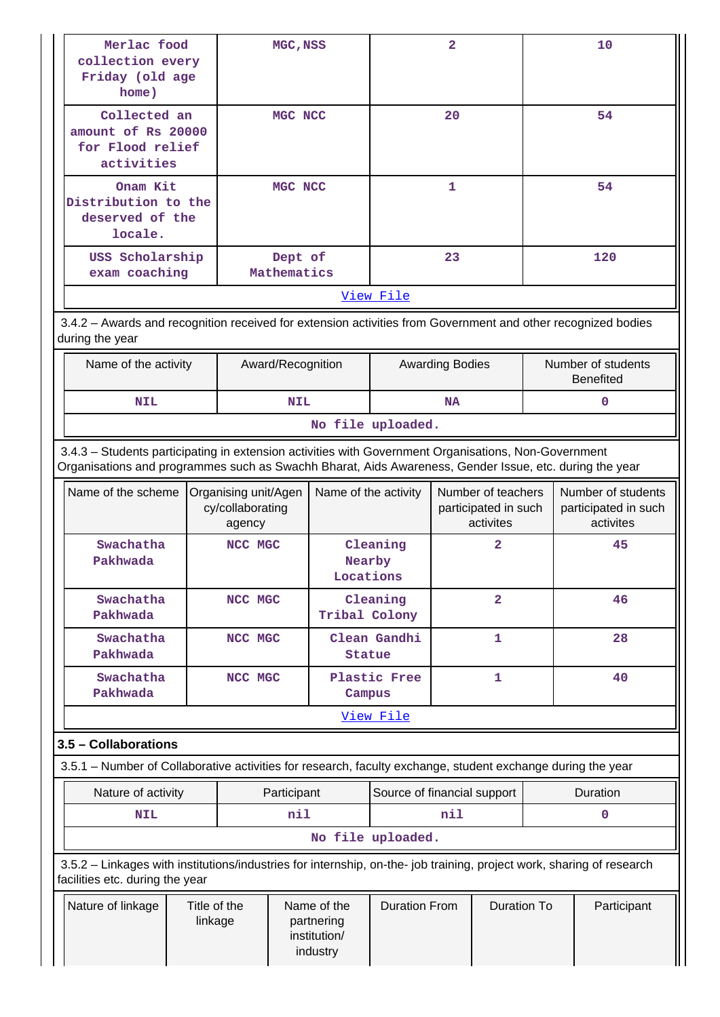| home)                                                                                                                                                                                                          | Merlac food<br>collection every<br>Friday (old age |                                                    |             | MGC, NSS                                              |                                            |                |                                                         | 10          |                                                         |  |
|----------------------------------------------------------------------------------------------------------------------------------------------------------------------------------------------------------------|----------------------------------------------------|----------------------------------------------------|-------------|-------------------------------------------------------|--------------------------------------------|----------------|---------------------------------------------------------|-------------|---------------------------------------------------------|--|
| Collected an<br>amount of Rs 20000<br>for Flood relief<br>activities                                                                                                                                           |                                                    |                                                    | MGC NCC     |                                                       | 20                                         |                |                                                         | 54          |                                                         |  |
| Onam Kit<br>Distribution to the<br>deserved of the<br>locale.                                                                                                                                                  |                                                    | MGC NCC                                            |             | 1                                                     |                                            | 54             |                                                         |             |                                                         |  |
| USS Scholarship<br>exam coaching                                                                                                                                                                               |                                                    | Dept of<br>Mathematics                             |             | 23                                                    |                                            |                | 120                                                     |             |                                                         |  |
|                                                                                                                                                                                                                |                                                    |                                                    |             |                                                       | View File                                  |                |                                                         |             |                                                         |  |
| 3.4.2 - Awards and recognition received for extension activities from Government and other recognized bodies<br>during the year                                                                                |                                                    |                                                    |             |                                                       |                                            |                |                                                         |             |                                                         |  |
| Number of students<br>Name of the activity<br>Award/Recognition<br><b>Awarding Bodies</b><br><b>Benefited</b>                                                                                                  |                                                    |                                                    |             |                                                       |                                            |                |                                                         |             |                                                         |  |
| <b>NIL</b>                                                                                                                                                                                                     |                                                    |                                                    | <b>NIL</b>  |                                                       |                                            | <b>NA</b>      |                                                         |             | $\Omega$                                                |  |
|                                                                                                                                                                                                                |                                                    |                                                    |             |                                                       | No file uploaded.                          |                |                                                         |             |                                                         |  |
| 3.4.3 - Students participating in extension activities with Government Organisations, Non-Government<br>Organisations and programmes such as Swachh Bharat, Aids Awareness, Gender Issue, etc. during the year |                                                    |                                                    |             |                                                       |                                            |                |                                                         |             |                                                         |  |
| Name of the scheme                                                                                                                                                                                             |                                                    | Organising unit/Agen<br>cy/collaborating<br>agency |             | Name of the activity                                  |                                            |                | Number of teachers<br>participated in such<br>activites |             | Number of students<br>participated in such<br>activites |  |
| Swachatha<br>Pakhwada                                                                                                                                                                                          |                                                    | NCC MGC                                            |             | Nearby<br>Locations                                   | Cleaning                                   | 2              |                                                         |             | 45                                                      |  |
| Swachatha<br>Pakhwada                                                                                                                                                                                          |                                                    | NCC MGC                                            |             | Tribal Colony                                         | Cleaning                                   | $\overline{2}$ |                                                         |             | 46                                                      |  |
| Swachatha<br>Pakhwada                                                                                                                                                                                          |                                                    | NCC MGC                                            |             | <b>Statue</b>                                         | Clean Gandhi                               |                | $\mathbf{1}$                                            |             | 28                                                      |  |
| Swachatha<br>Pakhwada                                                                                                                                                                                          |                                                    | NCC MGC                                            |             | Campus                                                | Plastic Free                               |                | $\mathbf{1}$                                            |             | 40                                                      |  |
|                                                                                                                                                                                                                |                                                    |                                                    |             |                                                       | View File                                  |                |                                                         |             |                                                         |  |
| 3.5 - Collaborations                                                                                                                                                                                           |                                                    |                                                    |             |                                                       |                                            |                |                                                         |             |                                                         |  |
| 3.5.1 – Number of Collaborative activities for research, faculty exchange, student exchange during the year                                                                                                    |                                                    |                                                    |             |                                                       |                                            |                |                                                         |             |                                                         |  |
| Nature of activity                                                                                                                                                                                             |                                                    |                                                    | Participant |                                                       | Source of financial support                |                |                                                         |             | Duration                                                |  |
| <b>NIL</b>                                                                                                                                                                                                     |                                                    |                                                    | nil         |                                                       |                                            | nil            |                                                         |             | 0                                                       |  |
|                                                                                                                                                                                                                |                                                    |                                                    |             | No file uploaded.                                     |                                            |                |                                                         |             |                                                         |  |
| 3.5.2 - Linkages with institutions/industries for internship, on-the- job training, project work, sharing of research<br>facilities etc. during the year                                                       |                                                    |                                                    |             |                                                       |                                            |                |                                                         |             |                                                         |  |
| Nature of linkage                                                                                                                                                                                              | Title of the<br>linkage                            |                                                    |             | Name of the<br>partnering<br>institution/<br>industry | <b>Duration From</b><br><b>Duration To</b> |                |                                                         | Participant |                                                         |  |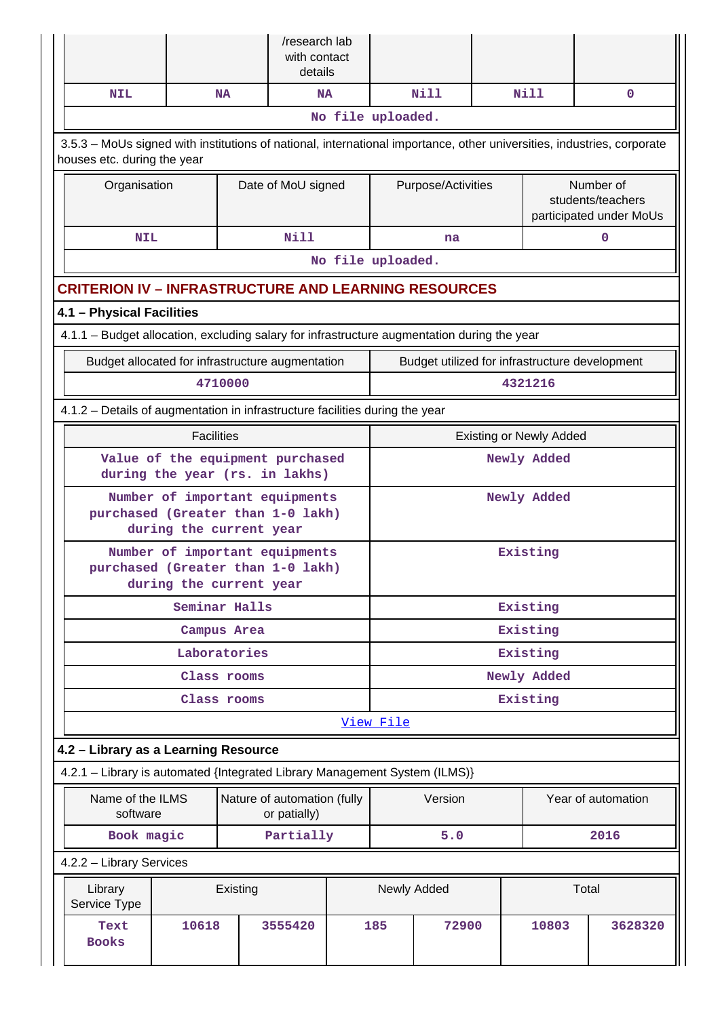|                                                                                                                                                       |                                                                    |              | /research lab<br>with contact<br>details    |  |                                |                    |  |             |                                                           |
|-------------------------------------------------------------------------------------------------------------------------------------------------------|--------------------------------------------------------------------|--------------|---------------------------------------------|--|--------------------------------|--------------------|--|-------------|-----------------------------------------------------------|
| <b>NIL</b>                                                                                                                                            |                                                                    | <b>NA</b>    | <b>NA</b>                                   |  |                                | Nill               |  | <b>Nill</b> | $\mathbf{0}$                                              |
|                                                                                                                                                       |                                                                    |              |                                             |  | No file uploaded.              |                    |  |             |                                                           |
| 3.5.3 – MoUs signed with institutions of national, international importance, other universities, industries, corporate<br>houses etc. during the year |                                                                    |              |                                             |  |                                |                    |  |             |                                                           |
| Organisation                                                                                                                                          |                                                                    |              | Date of MoU signed                          |  |                                | Purpose/Activities |  |             | Number of<br>students/teachers<br>participated under MoUs |
| <b>NIL</b>                                                                                                                                            |                                                                    |              | <b>Nill</b>                                 |  |                                | na                 |  |             | 0                                                         |
|                                                                                                                                                       |                                                                    |              |                                             |  | No file uploaded.              |                    |  |             |                                                           |
| <b>CRITERION IV - INFRASTRUCTURE AND LEARNING RESOURCES</b>                                                                                           |                                                                    |              |                                             |  |                                |                    |  |             |                                                           |
| 4.1 - Physical Facilities                                                                                                                             |                                                                    |              |                                             |  |                                |                    |  |             |                                                           |
| 4.1.1 - Budget allocation, excluding salary for infrastructure augmentation during the year                                                           |                                                                    |              |                                             |  |                                |                    |  |             |                                                           |
| Budget allocated for infrastructure augmentation                                                                                                      |                                                                    |              |                                             |  |                                |                    |  |             | Budget utilized for infrastructure development            |
|                                                                                                                                                       |                                                                    | 4710000      |                                             |  |                                |                    |  | 4321216     |                                                           |
| 4.1.2 - Details of augmentation in infrastructure facilities during the year                                                                          |                                                                    |              |                                             |  |                                |                    |  |             |                                                           |
|                                                                                                                                                       | <b>Facilities</b>                                                  |              |                                             |  | <b>Existing or Newly Added</b> |                    |  |             |                                                           |
|                                                                                                                                                       | Value of the equipment purchased<br>during the year (rs. in lakhs) |              |                                             |  |                                |                    |  | Newly Added |                                                           |
| purchased (Greater than 1-0 lakh)                                                                                                                     | Number of important equipments<br>during the current year          |              |                                             |  |                                |                    |  | Newly Added |                                                           |
| purchased (Greater than 1-0 lakh)                                                                                                                     | Number of important equipments<br>during the current year          |              |                                             |  | Existing                       |                    |  |             |                                                           |
|                                                                                                                                                       | Seminar Halls                                                      |              |                                             |  | Existing                       |                    |  |             |                                                           |
|                                                                                                                                                       |                                                                    | Campus Area  |                                             |  | Existing                       |                    |  |             |                                                           |
|                                                                                                                                                       |                                                                    | Laboratories |                                             |  |                                |                    |  | Existing    |                                                           |
|                                                                                                                                                       |                                                                    | Class rooms  |                                             |  |                                |                    |  | Newly Added |                                                           |
|                                                                                                                                                       |                                                                    | Class rooms  |                                             |  |                                |                    |  | Existing    |                                                           |
|                                                                                                                                                       |                                                                    |              |                                             |  | View File                      |                    |  |             |                                                           |
| 4.2 - Library as a Learning Resource                                                                                                                  |                                                                    |              |                                             |  |                                |                    |  |             |                                                           |
| 4.2.1 - Library is automated {Integrated Library Management System (ILMS)}                                                                            |                                                                    |              |                                             |  |                                |                    |  |             |                                                           |
| Name of the ILMS<br>software                                                                                                                          |                                                                    |              | Nature of automation (fully<br>or patially) |  |                                | Version            |  |             | Year of automation                                        |
| Book magic                                                                                                                                            |                                                                    |              | Partially                                   |  |                                | 5.0                |  |             | 2016                                                      |
| 4.2.2 - Library Services                                                                                                                              |                                                                    |              |                                             |  |                                |                    |  |             |                                                           |
| Library<br>Service Type                                                                                                                               |                                                                    | Existing     |                                             |  | Newly Added                    |                    |  |             | Total                                                     |
| Text<br><b>Books</b>                                                                                                                                  | 10618                                                              |              | 3555420                                     |  | 185                            | 72900              |  | 10803       | 3628320                                                   |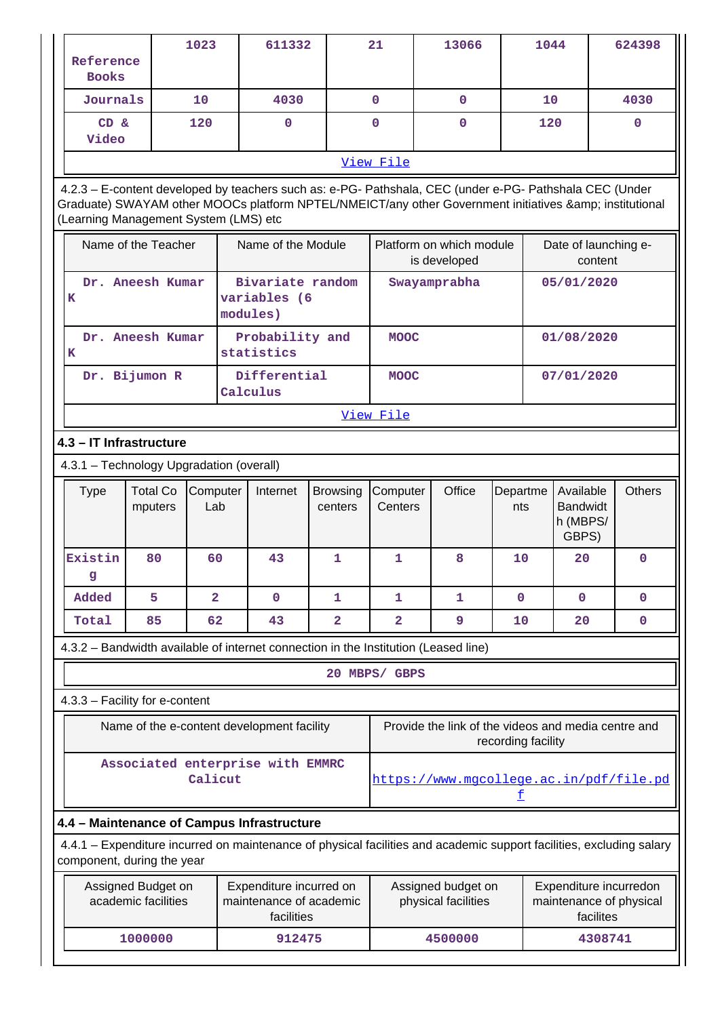| Reference<br><b>Books</b>                                                                                                                          |                                           | 1023                    |  | 611332                                                           |                            | 21                  | 13066                                                                                                                                                                                                          |                    | 1044 |                                                   |           | 624398                                            |
|----------------------------------------------------------------------------------------------------------------------------------------------------|-------------------------------------------|-------------------------|--|------------------------------------------------------------------|----------------------------|---------------------|----------------------------------------------------------------------------------------------------------------------------------------------------------------------------------------------------------------|--------------------|------|---------------------------------------------------|-----------|---------------------------------------------------|
| Journals                                                                                                                                           |                                           | 10                      |  | 4030                                                             |                            | $\mathbf{0}$        | $\mathbf{0}$                                                                                                                                                                                                   |                    | 10   |                                                   |           | 4030                                              |
| CD &<br>Video                                                                                                                                      |                                           | 120                     |  | $\mathbf 0$                                                      |                            | $\mathbf 0$         | 0                                                                                                                                                                                                              |                    | 120  |                                                   |           | 0                                                 |
|                                                                                                                                                    |                                           |                         |  |                                                                  |                            | View File           |                                                                                                                                                                                                                |                    |      |                                                   |           |                                                   |
| (Learning Management System (LMS) etc                                                                                                              |                                           |                         |  |                                                                  |                            |                     | 4.2.3 - E-content developed by teachers such as: e-PG- Pathshala, CEC (under e-PG- Pathshala CEC (Under<br>Graduate) SWAYAM other MOOCs platform NPTEL/NMEICT/any other Government initiatives & institutional |                    |      |                                                   |           |                                                   |
|                                                                                                                                                    | Name of the Teacher                       |                         |  | Name of the Module                                               |                            |                     | Platform on which module<br>is developed                                                                                                                                                                       |                    |      | Date of launching e-                              | content   |                                                   |
| K                                                                                                                                                  | Dr. Aneesh Kumar                          |                         |  | Bivariate random<br>variables (6<br>modules)                     |                            |                     | Swayamprabha                                                                                                                                                                                                   |                    |      | 05/01/2020                                        |           |                                                   |
| к                                                                                                                                                  | Dr. Aneesh Kumar                          |                         |  | Probability and<br>statistics                                    |                            | <b>MOOC</b>         |                                                                                                                                                                                                                |                    |      | 01/08/2020                                        |           |                                                   |
|                                                                                                                                                    | Dr. Bijumon R                             |                         |  | Differential<br>Calculus                                         |                            | <b>MOOC</b>         |                                                                                                                                                                                                                |                    |      | 07/01/2020                                        |           |                                                   |
|                                                                                                                                                    |                                           |                         |  |                                                                  |                            | View File           |                                                                                                                                                                                                                |                    |      |                                                   |           |                                                   |
| 4.3 - IT Infrastructure                                                                                                                            |                                           |                         |  |                                                                  |                            |                     |                                                                                                                                                                                                                |                    |      |                                                   |           |                                                   |
| 4.3.1 - Technology Upgradation (overall)                                                                                                           |                                           |                         |  |                                                                  |                            |                     |                                                                                                                                                                                                                |                    |      |                                                   |           |                                                   |
| <b>Type</b>                                                                                                                                        | <b>Total Co</b><br>mputers                | Computer<br>Lab         |  | Internet                                                         | <b>Browsing</b><br>centers | Computer<br>Centers | Office                                                                                                                                                                                                         | Departme<br>nts    |      | Available<br><b>Bandwidt</b><br>h (MBPS/<br>GBPS) |           | <b>Others</b>                                     |
| Existin<br>g                                                                                                                                       | 80                                        | 60                      |  | 43                                                               | $\mathbf{1}$               | 1                   | 8                                                                                                                                                                                                              | 10                 |      | 20                                                |           | $\mathbf 0$                                       |
| Added                                                                                                                                              | 5                                         | $\overline{\mathbf{2}}$ |  | $\mathbf 0$                                                      | 1                          | 1                   | 1                                                                                                                                                                                                              | $\mathbf 0$        |      | $\mathbf 0$                                       |           | $\mathbf 0$                                       |
| Total                                                                                                                                              | 85                                        | 62                      |  | 43                                                               | 2                          | 2                   | 9                                                                                                                                                                                                              | 10                 |      | 20                                                |           | $\mathbf 0$                                       |
|                                                                                                                                                    |                                           |                         |  |                                                                  |                            |                     | 4.3.2 - Bandwidth available of internet connection in the Institution (Leased line)                                                                                                                            |                    |      |                                                   |           |                                                   |
|                                                                                                                                                    |                                           |                         |  |                                                                  |                            | 20 MBPS/ GBPS       |                                                                                                                                                                                                                |                    |      |                                                   |           |                                                   |
| 4.3.3 - Facility for e-content                                                                                                                     |                                           |                         |  |                                                                  |                            |                     |                                                                                                                                                                                                                |                    |      |                                                   |           |                                                   |
|                                                                                                                                                    |                                           |                         |  | Name of the e-content development facility                       |                            |                     | Provide the link of the videos and media centre and                                                                                                                                                            | recording facility |      |                                                   |           |                                                   |
| Associated enterprise with EMMRC<br>Calicut<br>https://www.mqcollege.ac.in/pdf/file.pd<br>£                                                        |                                           |                         |  |                                                                  |                            |                     |                                                                                                                                                                                                                |                    |      |                                                   |           |                                                   |
| 4.4 - Maintenance of Campus Infrastructure                                                                                                         |                                           |                         |  |                                                                  |                            |                     |                                                                                                                                                                                                                |                    |      |                                                   |           |                                                   |
| 4.4.1 – Expenditure incurred on maintenance of physical facilities and academic support facilities, excluding salary<br>component, during the year |                                           |                         |  |                                                                  |                            |                     |                                                                                                                                                                                                                |                    |      |                                                   |           |                                                   |
|                                                                                                                                                    | Assigned Budget on<br>academic facilities |                         |  | Expenditure incurred on<br>maintenance of academic<br>facilities |                            |                     | Assigned budget on<br>physical facilities                                                                                                                                                                      |                    |      |                                                   | facilites | Expenditure incurredon<br>maintenance of physical |
|                                                                                                                                                    | 1000000                                   |                         |  | 912475                                                           |                            |                     | 4500000                                                                                                                                                                                                        |                    |      |                                                   | 4308741   |                                                   |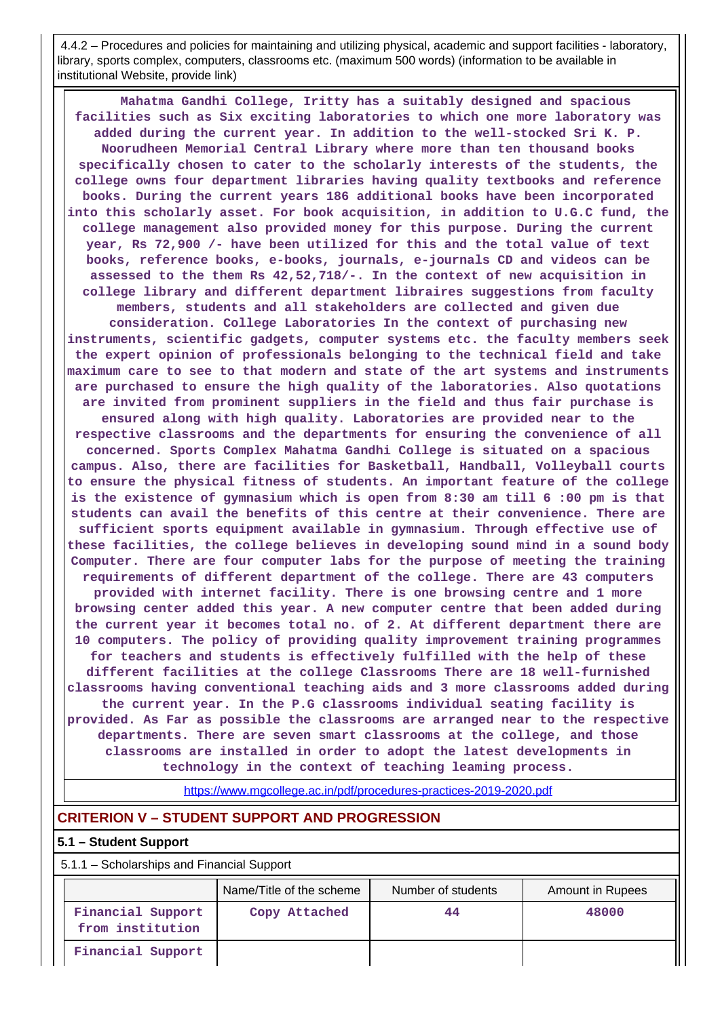4.4.2 – Procedures and policies for maintaining and utilizing physical, academic and support facilities - laboratory, library, sports complex, computers, classrooms etc. (maximum 500 words) (information to be available in institutional Website, provide link)

 **Mahatma Gandhi College, Iritty has a suitably designed and spacious facilities such as Six exciting laboratories to which one more laboratory was added during the current year. In addition to the well-stocked Sri K. P. Noorudheen Memorial Central Library where more than ten thousand books specifically chosen to cater to the scholarly interests of the students, the college owns four department libraries having quality textbooks and reference books. During the current years 186 additional books have been incorporated into this scholarly asset. For book acquisition, in addition to U.G.C fund, the college management also provided money for this purpose. During the current year, Rs 72,900 /- have been utilized for this and the total value of text books, reference books, e-books, journals, e-journals CD and videos can be assessed to the them Rs 42,52,718/-. In the context of new acquisition in college library and different department libraires suggestions from faculty members, students and all stakeholders are collected and given due consideration. College Laboratories In the context of purchasing new instruments, scientific gadgets, computer systems etc. the faculty members seek the expert opinion of professionals belonging to the technical field and take maximum care to see to that modern and state of the art systems and instruments are purchased to ensure the high quality of the laboratories. Also quotations are invited from prominent suppliers in the field and thus fair purchase is ensured along with high quality. Laboratories are provided near to the respective classrooms and the departments for ensuring the convenience of all concerned. Sports Complex Mahatma Gandhi College is situated on a spacious campus. Also, there are facilities for Basketball, Handball, Volleyball courts to ensure the physical fitness of students. An important feature of the college is the existence of gymnasium which is open from 8:30 am till 6 :00 pm is that students can avail the benefits of this centre at their convenience. There are sufficient sports equipment available in gymnasium. Through effective use of these facilities, the college believes in developing sound mind in a sound body Computer. There are four computer labs for the purpose of meeting the training requirements of different department of the college. There are 43 computers provided with internet facility. There is one browsing centre and 1 more browsing center added this year. A new computer centre that been added during the current year it becomes total no. of 2. At different department there are 10 computers. The policy of providing quality improvement training programmes for teachers and students is effectively fulfilled with the help of these different facilities at the college Classrooms There are 18 well-furnished classrooms having conventional teaching aids and 3 more classrooms added during the current year. In the P.G classrooms individual seating facility is provided. As Far as possible the classrooms are arranged near to the respective departments. There are seven smart classrooms at the college, and those classrooms are installed in order to adopt the latest developments in technology in the context of teaching leaming process.**

<https://www.mgcollege.ac.in/pdf/procedures-practices-2019-2020.pdf>

# **CRITERION V – STUDENT SUPPORT AND PROGRESSION**

#### **5.1 – Student Support**

5.1.1 – Scholarships and Financial Support

|                                       | Name/Title of the scheme | Number of students | <b>Amount in Rupees</b> |
|---------------------------------------|--------------------------|--------------------|-------------------------|
| Financial Support<br>from institution | Copy Attached            | 44                 | 48000                   |
| Financial Support                     |                          |                    |                         |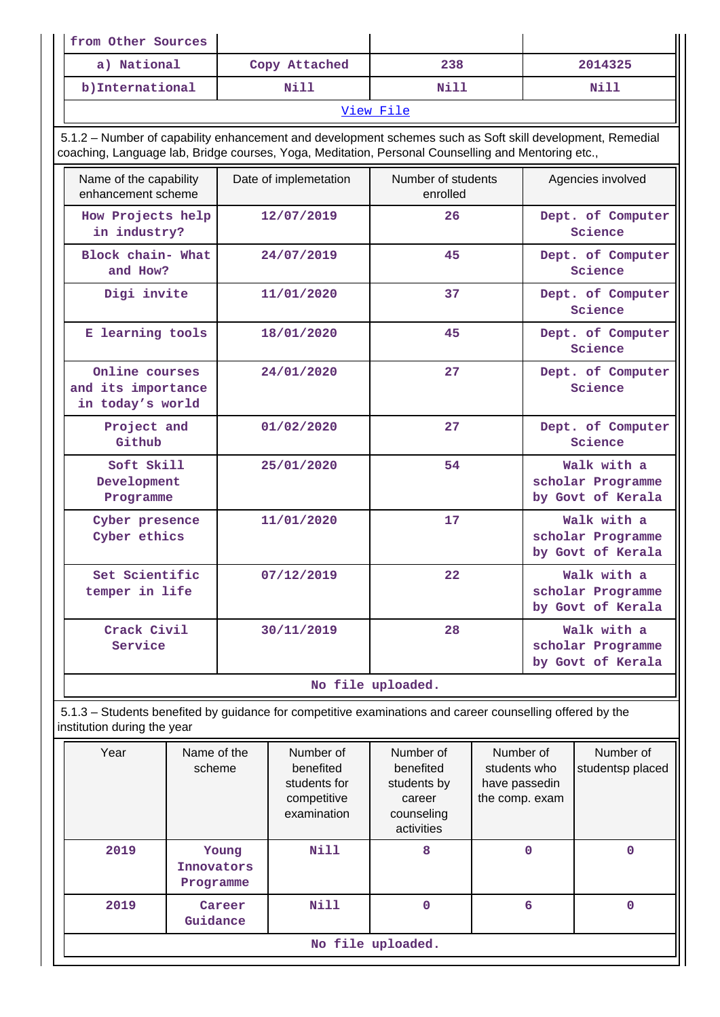| from Other Sources                                                                                                                                                                                              |                       |                        |                                |                           |                                                       |                                                       |
|-----------------------------------------------------------------------------------------------------------------------------------------------------------------------------------------------------------------|-----------------------|------------------------|--------------------------------|---------------------------|-------------------------------------------------------|-------------------------------------------------------|
| a) National                                                                                                                                                                                                     |                       | Copy Attached          | 238                            |                           |                                                       | 2014325                                               |
| b)International                                                                                                                                                                                                 |                       | Nill                   | Nill                           |                           |                                                       | Nill                                                  |
|                                                                                                                                                                                                                 |                       |                        | View File                      |                           |                                                       |                                                       |
| 5.1.2 - Number of capability enhancement and development schemes such as Soft skill development, Remedial<br>coaching, Language lab, Bridge courses, Yoga, Meditation, Personal Counselling and Mentoring etc., |                       |                        |                                |                           |                                                       |                                                       |
| Name of the capability<br>enhancement scheme                                                                                                                                                                    |                       | Date of implemetation  | Number of students<br>enrolled |                           |                                                       | Agencies involved                                     |
| How Projects help<br>in industry?                                                                                                                                                                               |                       | 12/07/2019             | 26                             |                           |                                                       | Dept. of Computer<br>Science                          |
| Block chain- What<br>and How?                                                                                                                                                                                   |                       | 24/07/2019             | 45                             |                           |                                                       | Dept. of Computer<br>Science                          |
| Digi invite                                                                                                                                                                                                     |                       | 11/01/2020             | 37                             |                           |                                                       | Dept. of Computer<br>Science                          |
| E learning tools                                                                                                                                                                                                |                       | 18/01/2020             | 45                             |                           | Dept. of Computer<br>Science                          |                                                       |
| Online courses<br>and its importance<br>in today's world                                                                                                                                                        |                       | 24/01/2020             | 27                             |                           |                                                       | Dept. of Computer<br>Science                          |
| Project and<br>Github                                                                                                                                                                                           |                       | 01/02/2020             | 27                             |                           |                                                       | Dept. of Computer<br>Science                          |
| Soft Skill<br>Development<br>Programme                                                                                                                                                                          |                       | 25/01/2020             | 54                             |                           |                                                       | Walk with a<br>scholar Programme<br>by Govt of Kerala |
| Cyber presence<br>Cyber ethics                                                                                                                                                                                  |                       | 11/01/2020             | 17                             |                           | Walk with a<br>scholar Programme<br>by Govt of Kerala |                                                       |
| Set Scientific<br>temper in life                                                                                                                                                                                |                       | 07/12/2019             | 22                             |                           | Walk with a<br>scholar Programme<br>by Govt of Kerala |                                                       |
| Crack Civil<br>Service                                                                                                                                                                                          |                       | 30/11/2019             | 28                             |                           | Walk with a<br>scholar Programme<br>by Govt of Kerala |                                                       |
|                                                                                                                                                                                                                 |                       |                        | No file uploaded.              |                           |                                                       |                                                       |
| 5.1.3 - Students benefited by guidance for competitive examinations and career counselling offered by the<br>institution during the year                                                                        |                       |                        |                                |                           |                                                       |                                                       |
| Year                                                                                                                                                                                                            | Name of the<br>scheme | Number of<br>benefited | Number of<br>benefited         | Number of<br>students who |                                                       | Number of<br>studentsp placed                         |

| i vui | <b>IVALLIC UL UIC</b><br>scheme  | ו שעווווער<br>benefited<br>students for<br>competitive<br>examination | ivuiiivui vi<br>benefited<br>students by<br>career<br>counseling<br>activities | ivullivul vi<br>students who<br>have passedin<br>the comp. exam | TULIIDUL UL<br>studentsp placed |
|-------|----------------------------------|-----------------------------------------------------------------------|--------------------------------------------------------------------------------|-----------------------------------------------------------------|---------------------------------|
| 2019  | Young<br>Innovators<br>Programme | <b>Nill</b>                                                           | 8                                                                              | 0                                                               | 0                               |
| 2019  | Career<br>Guidance               | Nill                                                                  | 0                                                                              | 6                                                               | 0                               |
|       |                                  |                                                                       | No file uploaded.                                                              |                                                                 |                                 |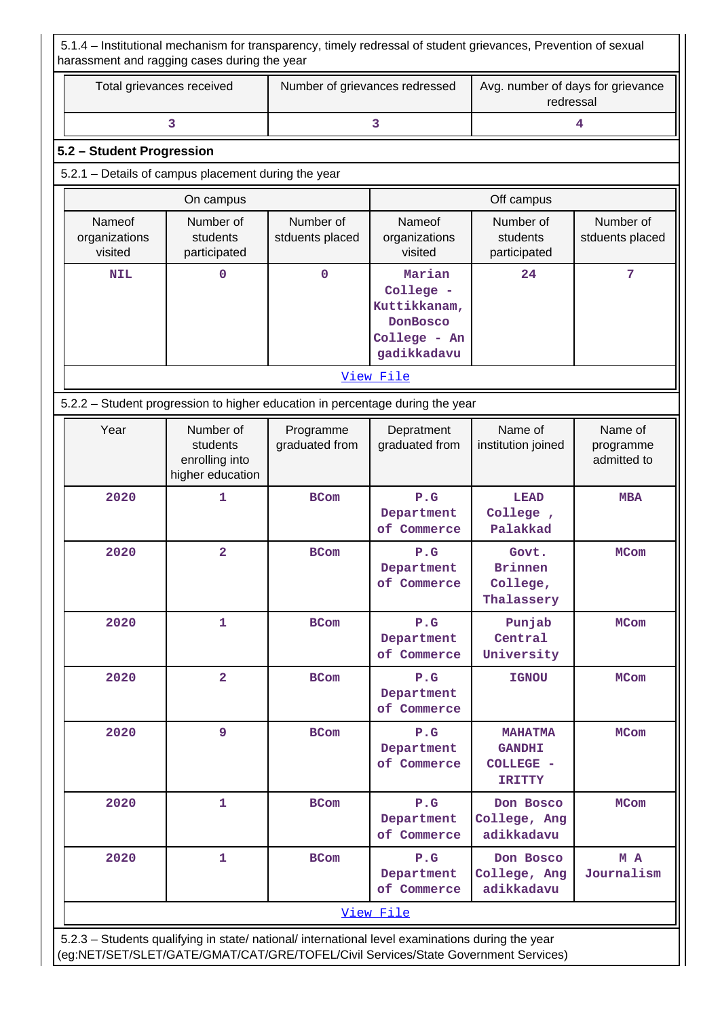5.1.4 – Institutional mechanism for transparency, timely redressal of student grievances, Prevention of sexual harassment and ragging cases during the year

| Total grievances received                                                     |                                                                                                                                             | Number of grievances redressed |                                                                                       | Avg. number of days for grievance<br>redressal    |                                     |  |  |  |  |  |  |
|-------------------------------------------------------------------------------|---------------------------------------------------------------------------------------------------------------------------------------------|--------------------------------|---------------------------------------------------------------------------------------|---------------------------------------------------|-------------------------------------|--|--|--|--|--|--|
|                                                                               | 3                                                                                                                                           |                                | 3                                                                                     |                                                   | 4                                   |  |  |  |  |  |  |
| 5.2 - Student Progression                                                     |                                                                                                                                             |                                |                                                                                       |                                                   |                                     |  |  |  |  |  |  |
| 5.2.1 - Details of campus placement during the year                           |                                                                                                                                             |                                |                                                                                       |                                                   |                                     |  |  |  |  |  |  |
|                                                                               | On campus                                                                                                                                   |                                |                                                                                       | Off campus                                        |                                     |  |  |  |  |  |  |
| Nameof<br>organizations<br>visited                                            | Number of<br>students<br>participated                                                                                                       | Number of<br>stduents placed   | Nameof<br>organizations<br>visited                                                    | Number of<br>students<br>participated             | Number of<br>stduents placed        |  |  |  |  |  |  |
| <b>NIL</b>                                                                    | $\mathbf 0$                                                                                                                                 | $\mathbf 0$                    | Marian<br>College -<br>Kuttikkanam,<br><b>DonBosco</b><br>College - An<br>gadikkadavu | 24                                                | $\overline{7}$                      |  |  |  |  |  |  |
| View File                                                                     |                                                                                                                                             |                                |                                                                                       |                                                   |                                     |  |  |  |  |  |  |
| 5.2.2 - Student progression to higher education in percentage during the year |                                                                                                                                             |                                |                                                                                       |                                                   |                                     |  |  |  |  |  |  |
| Year                                                                          | Number of<br>students<br>enrolling into<br>higher education                                                                                 | Programme<br>graduated from    | Depratment<br>graduated from                                                          | Name of<br>institution joined                     | Name of<br>programme<br>admitted to |  |  |  |  |  |  |
| 2020                                                                          | 1                                                                                                                                           | <b>BCom</b>                    | P.G<br>Department<br>of Commerce                                                      | <b>LEAD</b><br>College,<br>Palakkad               | <b>MBA</b>                          |  |  |  |  |  |  |
| 2020                                                                          | $\overline{\mathbf{2}}$                                                                                                                     | <b>BCom</b>                    | P.G<br>Department<br>of Commerce                                                      | Govt.<br><b>Brinnen</b><br>College,<br>Thalassery | <b>MCom</b>                         |  |  |  |  |  |  |
| 2020                                                                          | $\mathbf{1}$                                                                                                                                | <b>BCom</b>                    | P.G<br>Department<br>of Commerce                                                      | Punjab<br>Central<br>University                   | <b>MCom</b>                         |  |  |  |  |  |  |
| 2020                                                                          | $\overline{2}$                                                                                                                              | <b>BCom</b>                    | P.G<br>Department<br>of Commerce                                                      | <b>IGNOU</b>                                      | <b>MCom</b>                         |  |  |  |  |  |  |
| 2020                                                                          | 9<br>P.G<br><b>BCom</b><br><b>MCom</b><br><b>MAHATMA</b><br>Department<br><b>GANDHI</b><br>of Commerce<br><b>COLLEGE -</b><br><b>IRITTY</b> |                                |                                                                                       |                                                   |                                     |  |  |  |  |  |  |
| 2020                                                                          | $\mathbf{1}$                                                                                                                                | <b>BCom</b>                    | P.G<br>Department<br>of Commerce                                                      | Don Bosco<br>College, Ang<br>adikkadavu           | <b>MCom</b>                         |  |  |  |  |  |  |
| 2020                                                                          | $\mathbf{1}$                                                                                                                                | <b>BCom</b>                    | P.G<br>Department<br>of Commerce                                                      | Don Bosco<br>College, Ang<br>adikkadavu           | M A<br>Journalism                   |  |  |  |  |  |  |
|                                                                               | 5.23 - Students qualifying in state/ pational/international level examinations during the year                                              |                                | View File                                                                             |                                                   |                                     |  |  |  |  |  |  |

 5.2.3 – Students qualifying in state/ national/ international level examinations during the year (eg:NET/SET/SLET/GATE/GMAT/CAT/GRE/TOFEL/Civil Services/State Government Services)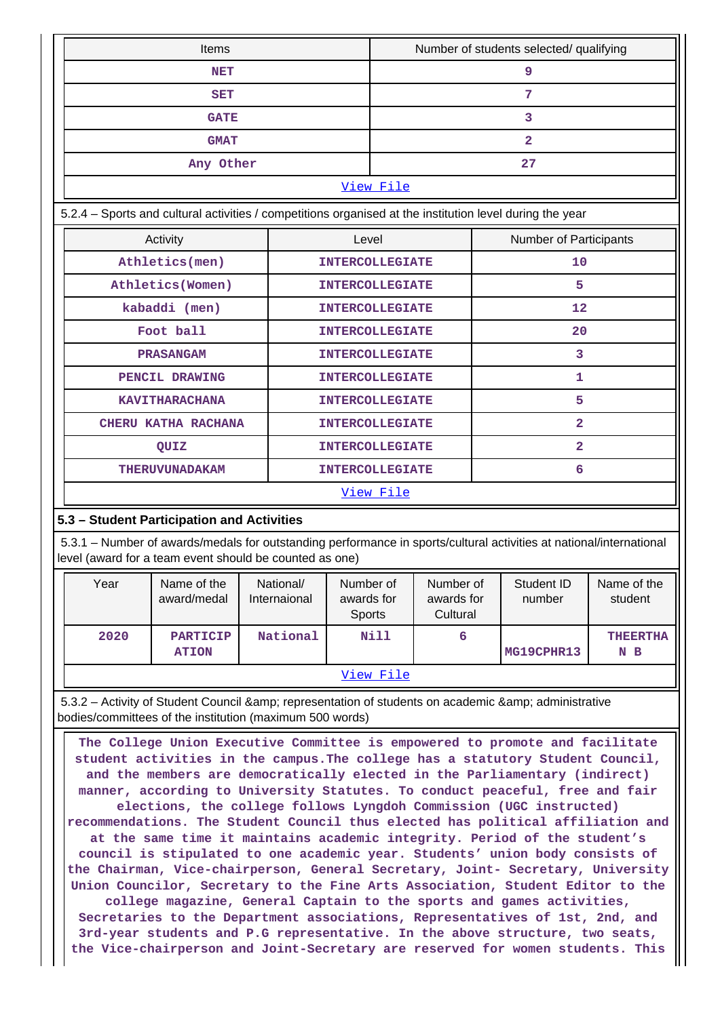|                                                                                                                                                                                                                                                                                                                                                                                                                                                                                                                                                                                                                                                                                                                                                                                                                                                                                                                                                                                                                                                                                                                                                                                                                                                                                                                           | Items                                                                                                    |                           |                                          | Number of students selected/ qualifying |                                                                                                                     |                        |  |
|---------------------------------------------------------------------------------------------------------------------------------------------------------------------------------------------------------------------------------------------------------------------------------------------------------------------------------------------------------------------------------------------------------------------------------------------------------------------------------------------------------------------------------------------------------------------------------------------------------------------------------------------------------------------------------------------------------------------------------------------------------------------------------------------------------------------------------------------------------------------------------------------------------------------------------------------------------------------------------------------------------------------------------------------------------------------------------------------------------------------------------------------------------------------------------------------------------------------------------------------------------------------------------------------------------------------------|----------------------------------------------------------------------------------------------------------|---------------------------|------------------------------------------|-----------------------------------------|---------------------------------------------------------------------------------------------------------------------|------------------------|--|
| <b>NET</b>                                                                                                                                                                                                                                                                                                                                                                                                                                                                                                                                                                                                                                                                                                                                                                                                                                                                                                                                                                                                                                                                                                                                                                                                                                                                                                                |                                                                                                          |                           |                                          | 9                                       |                                                                                                                     |                        |  |
| <b>SET</b>                                                                                                                                                                                                                                                                                                                                                                                                                                                                                                                                                                                                                                                                                                                                                                                                                                                                                                                                                                                                                                                                                                                                                                                                                                                                                                                |                                                                                                          |                           |                                          | 7                                       |                                                                                                                     |                        |  |
|                                                                                                                                                                                                                                                                                                                                                                                                                                                                                                                                                                                                                                                                                                                                                                                                                                                                                                                                                                                                                                                                                                                                                                                                                                                                                                                           | <b>GATE</b>                                                                                              |                           |                                          |                                         | 3                                                                                                                   |                        |  |
|                                                                                                                                                                                                                                                                                                                                                                                                                                                                                                                                                                                                                                                                                                                                                                                                                                                                                                                                                                                                                                                                                                                                                                                                                                                                                                                           | <b>GMAT</b>                                                                                              |                           |                                          |                                         | $\mathbf{2}$                                                                                                        |                        |  |
|                                                                                                                                                                                                                                                                                                                                                                                                                                                                                                                                                                                                                                                                                                                                                                                                                                                                                                                                                                                                                                                                                                                                                                                                                                                                                                                           | Any Other                                                                                                |                           |                                          |                                         | 27                                                                                                                  |                        |  |
|                                                                                                                                                                                                                                                                                                                                                                                                                                                                                                                                                                                                                                                                                                                                                                                                                                                                                                                                                                                                                                                                                                                                                                                                                                                                                                                           |                                                                                                          |                           | View File                                |                                         |                                                                                                                     |                        |  |
|                                                                                                                                                                                                                                                                                                                                                                                                                                                                                                                                                                                                                                                                                                                                                                                                                                                                                                                                                                                                                                                                                                                                                                                                                                                                                                                           | 5.2.4 - Sports and cultural activities / competitions organised at the institution level during the year |                           |                                          |                                         |                                                                                                                     |                        |  |
|                                                                                                                                                                                                                                                                                                                                                                                                                                                                                                                                                                                                                                                                                                                                                                                                                                                                                                                                                                                                                                                                                                                                                                                                                                                                                                                           | Activity                                                                                                 |                           | Level                                    |                                         | Number of Participants                                                                                              |                        |  |
|                                                                                                                                                                                                                                                                                                                                                                                                                                                                                                                                                                                                                                                                                                                                                                                                                                                                                                                                                                                                                                                                                                                                                                                                                                                                                                                           | Athletics(men)                                                                                           |                           | <b>INTERCOLLEGIATE</b>                   |                                         | 10                                                                                                                  |                        |  |
|                                                                                                                                                                                                                                                                                                                                                                                                                                                                                                                                                                                                                                                                                                                                                                                                                                                                                                                                                                                                                                                                                                                                                                                                                                                                                                                           | Athletics (Women)                                                                                        |                           | <b>INTERCOLLEGIATE</b>                   |                                         | 5                                                                                                                   |                        |  |
|                                                                                                                                                                                                                                                                                                                                                                                                                                                                                                                                                                                                                                                                                                                                                                                                                                                                                                                                                                                                                                                                                                                                                                                                                                                                                                                           | kabaddi (men)                                                                                            |                           | <b>INTERCOLLEGIATE</b>                   |                                         | 12                                                                                                                  |                        |  |
|                                                                                                                                                                                                                                                                                                                                                                                                                                                                                                                                                                                                                                                                                                                                                                                                                                                                                                                                                                                                                                                                                                                                                                                                                                                                                                                           | Foot ball                                                                                                |                           | <b>INTERCOLLEGIATE</b>                   |                                         | 20                                                                                                                  |                        |  |
|                                                                                                                                                                                                                                                                                                                                                                                                                                                                                                                                                                                                                                                                                                                                                                                                                                                                                                                                                                                                                                                                                                                                                                                                                                                                                                                           | <b>PRASANGAM</b>                                                                                         |                           | <b>INTERCOLLEGIATE</b>                   |                                         | 3                                                                                                                   |                        |  |
|                                                                                                                                                                                                                                                                                                                                                                                                                                                                                                                                                                                                                                                                                                                                                                                                                                                                                                                                                                                                                                                                                                                                                                                                                                                                                                                           | PENCIL DRAWING                                                                                           |                           | <b>INTERCOLLEGIATE</b>                   |                                         | 1                                                                                                                   |                        |  |
|                                                                                                                                                                                                                                                                                                                                                                                                                                                                                                                                                                                                                                                                                                                                                                                                                                                                                                                                                                                                                                                                                                                                                                                                                                                                                                                           | <b>KAVITHARACHANA</b>                                                                                    |                           | <b>INTERCOLLEGIATE</b>                   |                                         | 5                                                                                                                   |                        |  |
|                                                                                                                                                                                                                                                                                                                                                                                                                                                                                                                                                                                                                                                                                                                                                                                                                                                                                                                                                                                                                                                                                                                                                                                                                                                                                                                           | CHERU KATHA RACHANA                                                                                      |                           | <b>INTERCOLLEGIATE</b>                   |                                         | $\mathbf{2}$                                                                                                        |                        |  |
|                                                                                                                                                                                                                                                                                                                                                                                                                                                                                                                                                                                                                                                                                                                                                                                                                                                                                                                                                                                                                                                                                                                                                                                                                                                                                                                           | QUIZ                                                                                                     |                           | <b>INTERCOLLEGIATE</b>                   |                                         | $\mathbf{2}$                                                                                                        |                        |  |
|                                                                                                                                                                                                                                                                                                                                                                                                                                                                                                                                                                                                                                                                                                                                                                                                                                                                                                                                                                                                                                                                                                                                                                                                                                                                                                                           | <b>THERUVUNADAKAM</b>                                                                                    |                           |                                          | <b>INTERCOLLEGIATE</b>                  | 6                                                                                                                   |                        |  |
|                                                                                                                                                                                                                                                                                                                                                                                                                                                                                                                                                                                                                                                                                                                                                                                                                                                                                                                                                                                                                                                                                                                                                                                                                                                                                                                           |                                                                                                          |                           | View File                                |                                         |                                                                                                                     |                        |  |
| 5.3 - Student Participation and Activities                                                                                                                                                                                                                                                                                                                                                                                                                                                                                                                                                                                                                                                                                                                                                                                                                                                                                                                                                                                                                                                                                                                                                                                                                                                                                |                                                                                                          |                           |                                          |                                         |                                                                                                                     |                        |  |
| level (award for a team event should be counted as one)                                                                                                                                                                                                                                                                                                                                                                                                                                                                                                                                                                                                                                                                                                                                                                                                                                                                                                                                                                                                                                                                                                                                                                                                                                                                   |                                                                                                          |                           |                                          |                                         | 5.3.1 – Number of awards/medals for outstanding performance in sports/cultural activities at national/international |                        |  |
| Year                                                                                                                                                                                                                                                                                                                                                                                                                                                                                                                                                                                                                                                                                                                                                                                                                                                                                                                                                                                                                                                                                                                                                                                                                                                                                                                      | Name of the<br>award/medal                                                                               | National/<br>Internaional | Number of<br>awards for<br><b>Sports</b> | Number of<br>awards for<br>Cultural     | Student ID<br>number                                                                                                | Name of the<br>student |  |
| 2020                                                                                                                                                                                                                                                                                                                                                                                                                                                                                                                                                                                                                                                                                                                                                                                                                                                                                                                                                                                                                                                                                                                                                                                                                                                                                                                      | <b>PARTICIP</b><br><b>ATION</b>                                                                          | National                  | Nill                                     | 6                                       | MG19CPHR13                                                                                                          | <b>THEERTHA</b><br>N B |  |
|                                                                                                                                                                                                                                                                                                                                                                                                                                                                                                                                                                                                                                                                                                                                                                                                                                                                                                                                                                                                                                                                                                                                                                                                                                                                                                                           |                                                                                                          |                           | View File                                |                                         |                                                                                                                     |                        |  |
|                                                                                                                                                                                                                                                                                                                                                                                                                                                                                                                                                                                                                                                                                                                                                                                                                                                                                                                                                                                                                                                                                                                                                                                                                                                                                                                           |                                                                                                          |                           |                                          |                                         |                                                                                                                     |                        |  |
| 5.3.2 - Activity of Student Council & amp; representation of students on academic & amp; administrative<br>bodies/committees of the institution (maximum 500 words)<br>The College Union Executive Committee is empowered to promote and facilitate<br>student activities in the campus. The college has a statutory Student Council,<br>and the members are democratically elected in the Parliamentary (indirect)<br>manner, according to University Statutes. To conduct peaceful, free and fair<br>elections, the college follows Lyngdoh Commission (UGC instructed)<br>recommendations. The Student Council thus elected has political affiliation and<br>at the same time it maintains academic integrity. Period of the student's<br>council is stipulated to one academic year. Students' union body consists of<br>the Chairman, Vice-chairperson, General Secretary, Joint- Secretary, University<br>Union Councilor, Secretary to the Fine Arts Association, Student Editor to the<br>college magazine, General Captain to the sports and games activities,<br>Secretaries to the Department associations, Representatives of 1st, 2nd, and<br>3rd-year students and P.G representative. In the above structure, two seats,<br>the Vice-chairperson and Joint-Secretary are reserved for women students. This |                                                                                                          |                           |                                          |                                         |                                                                                                                     |                        |  |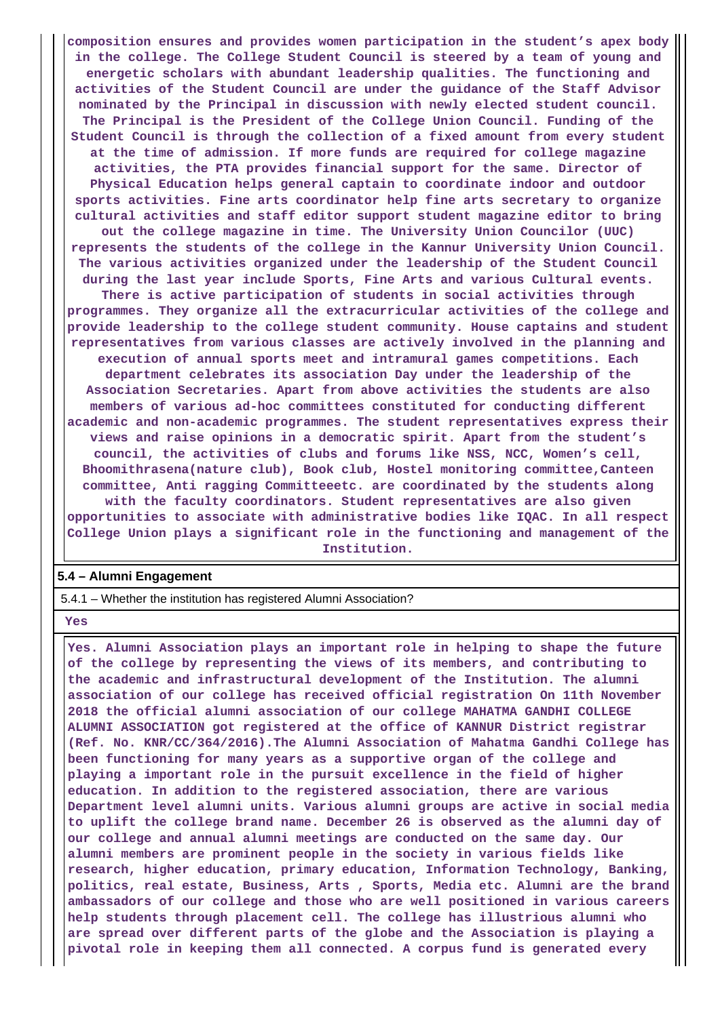**composition ensures and provides women participation in the student's apex body in the college. The College Student Council is steered by a team of young and energetic scholars with abundant leadership qualities. The functioning and activities of the Student Council are under the guidance of the Staff Advisor nominated by the Principal in discussion with newly elected student council. The Principal is the President of the College Union Council. Funding of the Student Council is through the collection of a fixed amount from every student at the time of admission. If more funds are required for college magazine activities, the PTA provides financial support for the same. Director of Physical Education helps general captain to coordinate indoor and outdoor sports activities. Fine arts coordinator help fine arts secretary to organize cultural activities and staff editor support student magazine editor to bring out the college magazine in time. The University Union Councilor (UUC) represents the students of the college in the Kannur University Union Council. The various activities organized under the leadership of the Student Council during the last year include Sports, Fine Arts and various Cultural events. There is active participation of students in social activities through programmes. They organize all the extracurricular activities of the college and provide leadership to the college student community. House captains and student representatives from various classes are actively involved in the planning and execution of annual sports meet and intramural games competitions. Each department celebrates its association Day under the leadership of the Association Secretaries. Apart from above activities the students are also members of various ad-hoc committees constituted for conducting different academic and non-academic programmes. The student representatives express their views and raise opinions in a democratic spirit. Apart from the student's council, the activities of clubs and forums like NSS, NCC, Women's cell, Bhoomithrasena(nature club), Book club, Hostel monitoring committee,Canteen committee, Anti ragging Committeeetc. are coordinated by the students along with the faculty coordinators. Student representatives are also given opportunities to associate with administrative bodies like IQAC. In all respect College Union plays a significant role in the functioning and management of the**

#### **Institution.**

#### **5.4 – Alumni Engagement**

5.4.1 – Whether the institution has registered Alumni Association?

#### **Yes**

 **Yes. Alumni Association plays an important role in helping to shape the future of the college by representing the views of its members, and contributing to the academic and infrastructural development of the Institution. The alumni association of our college has received official registration On 11th November 2018 the official alumni association of our college MAHATMA GANDHI COLLEGE ALUMNI ASSOCIATION got registered at the office of KANNUR District registrar (Ref. No. KNR/CC/364/2016).The Alumni Association of Mahatma Gandhi College has been functioning for many years as a supportive organ of the college and playing a important role in the pursuit excellence in the field of higher education. In addition to the registered association, there are various Department level alumni units. Various alumni groups are active in social media to uplift the college brand name. December 26 is observed as the alumni day of our college and annual alumni meetings are conducted on the same day. Our alumni members are prominent people in the society in various fields like research, higher education, primary education, Information Technology, Banking, politics, real estate, Business, Arts , Sports, Media etc. Alumni are the brand ambassadors of our college and those who are well positioned in various careers help students through placement cell. The college has illustrious alumni who are spread over different parts of the globe and the Association is playing a pivotal role in keeping them all connected. A corpus fund is generated every**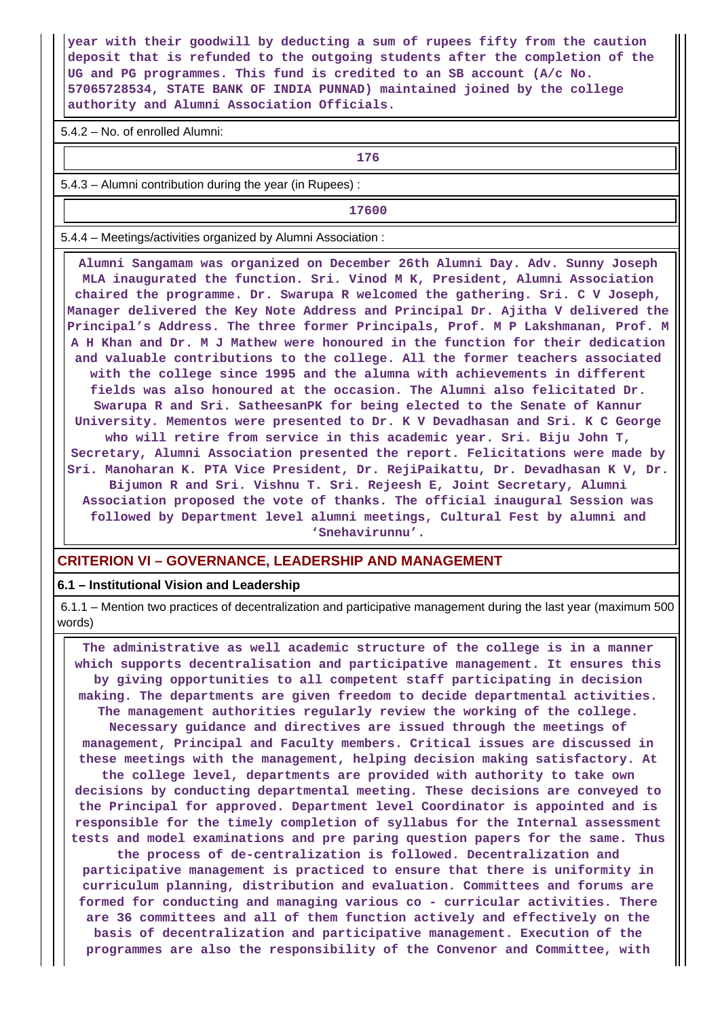**year with their goodwill by deducting a sum of rupees fifty from the caution deposit that is refunded to the outgoing students after the completion of the UG and PG programmes. This fund is credited to an SB account (A/c No. 57065728534, STATE BANK OF INDIA PUNNAD) maintained joined by the college authority and Alumni Association Officials.**

5.4.2 – No. of enrolled Alumni:

**176**

5.4.3 – Alumni contribution during the year (in Rupees) :

**17600**

5.4.4 – Meetings/activities organized by Alumni Association :

 **Alumni Sangamam was organized on December 26th Alumni Day. Adv. Sunny Joseph MLA inaugurated the function. Sri. Vinod M K, President, Alumni Association chaired the programme. Dr. Swarupa R welcomed the gathering. Sri. C V Joseph, Manager delivered the Key Note Address and Principal Dr. Ajitha V delivered the Principal's Address. The three former Principals, Prof. M P Lakshmanan, Prof. M A H Khan and Dr. M J Mathew were honoured in the function for their dedication and valuable contributions to the college. All the former teachers associated with the college since 1995 and the alumna with achievements in different fields was also honoured at the occasion. The Alumni also felicitated Dr. Swarupa R and Sri. SatheesanPK for being elected to the Senate of Kannur University. Mementos were presented to Dr. K V Devadhasan and Sri. K C George who will retire from service in this academic year. Sri. Biju John T, Secretary, Alumni Association presented the report. Felicitations were made by Sri. Manoharan K. PTA Vice President, Dr. RejiPaikattu, Dr. Devadhasan K V, Dr. Bijumon R and Sri. Vishnu T. Sri. Rejeesh E, Joint Secretary, Alumni Association proposed the vote of thanks. The official inaugural Session was followed by Department level alumni meetings, Cultural Fest by alumni and 'Snehavirunnu'.**

#### **CRITERION VI – GOVERNANCE, LEADERSHIP AND MANAGEMENT**

#### **6.1 – Institutional Vision and Leadership**

 6.1.1 – Mention two practices of decentralization and participative management during the last year (maximum 500 words)

 **The administrative as well academic structure of the college is in a manner which supports decentralisation and participative management. It ensures this by giving opportunities to all competent staff participating in decision making. The departments are given freedom to decide departmental activities. The management authorities regularly review the working of the college. Necessary guidance and directives are issued through the meetings of management, Principal and Faculty members. Critical issues are discussed in these meetings with the management, helping decision making satisfactory. At the college level, departments are provided with authority to take own decisions by conducting departmental meeting. These decisions are conveyed to the Principal for approved. Department level Coordinator is appointed and is**

**responsible for the timely completion of syllabus for the Internal assessment tests and model examinations and pre paring question papers for the same. Thus the process of de-centralization is followed. Decentralization and participative management is practiced to ensure that there is uniformity in curriculum planning, distribution and evaluation. Committees and forums are formed for conducting and managing various co - curricular activities. There are 36 committees and all of them function actively and effectively on the basis of decentralization and participative management. Execution of the programmes are also the responsibility of the Convenor and Committee, with**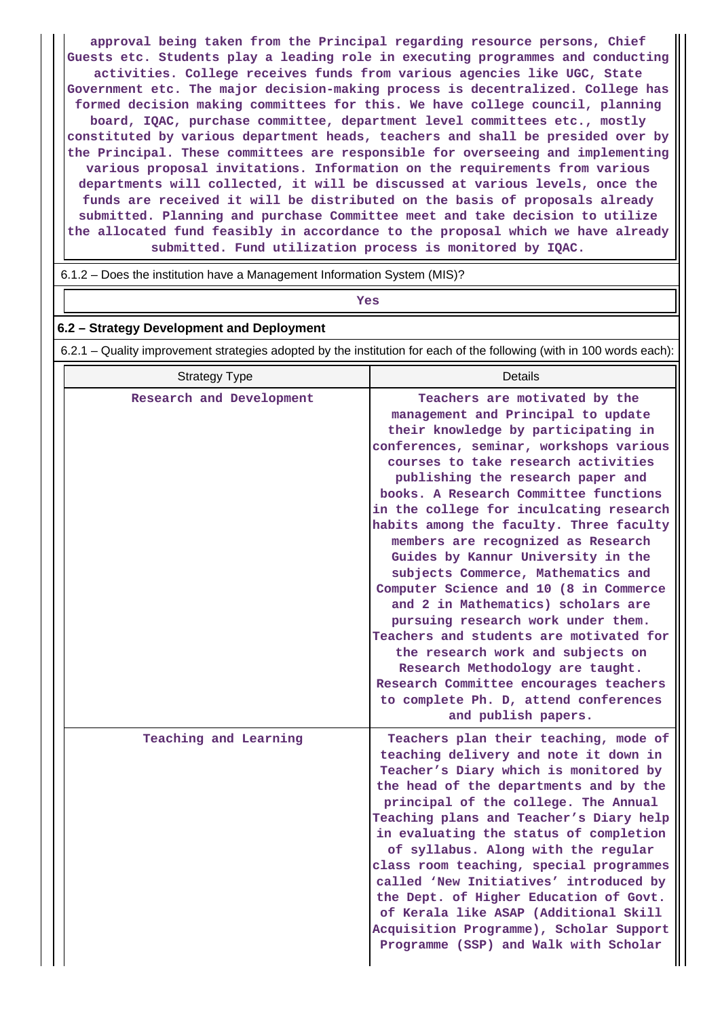**approval being taken from the Principal regarding resource persons, Chief Guests etc. Students play a leading role in executing programmes and conducting activities. College receives funds from various agencies like UGC, State Government etc. The major decision-making process is decentralized. College has formed decision making committees for this. We have college council, planning board, IQAC, purchase committee, department level committees etc., mostly constituted by various department heads, teachers and shall be presided over by the Principal. These committees are responsible for overseeing and implementing various proposal invitations. Information on the requirements from various departments will collected, it will be discussed at various levels, once the funds are received it will be distributed on the basis of proposals already submitted. Planning and purchase Committee meet and take decision to utilize the allocated fund feasibly in accordance to the proposal which we have already submitted. Fund utilization process is monitored by IQAC.**

6.1.2 – Does the institution have a Management Information System (MIS)?

# *Yes*

#### **6.2 – Strategy Development and Deployment**

6.2.1 – Quality improvement strategies adopted by the institution for each of the following (with in 100 words each):

| <b>Strategy Type</b>     | Details                                                                                                                                                                                                                                                                                                                                                                                                                                                                                                                                                                                                                                                                                                                                                                                                                                |
|--------------------------|----------------------------------------------------------------------------------------------------------------------------------------------------------------------------------------------------------------------------------------------------------------------------------------------------------------------------------------------------------------------------------------------------------------------------------------------------------------------------------------------------------------------------------------------------------------------------------------------------------------------------------------------------------------------------------------------------------------------------------------------------------------------------------------------------------------------------------------|
| Research and Development | Teachers are motivated by the<br>management and Principal to update<br>their knowledge by participating in<br>conferences, seminar, workshops various<br>courses to take research activities<br>publishing the research paper and<br>books. A Research Committee functions<br>in the college for inculcating research<br>habits among the faculty. Three faculty<br>members are recognized as Research<br>Guides by Kannur University in the<br>subjects Commerce, Mathematics and<br>Computer Science and 10 (8 in Commerce<br>and 2 in Mathematics) scholars are<br>pursuing research work under them.<br>Teachers and students are motivated for<br>the research work and subjects on<br>Research Methodology are taught.<br>Research Committee encourages teachers<br>to complete Ph. D, attend conferences<br>and publish papers. |
| Teaching and Learning    | Teachers plan their teaching, mode of<br>teaching delivery and note it down in<br>Teacher's Diary which is monitored by<br>the head of the departments and by the<br>principal of the college. The Annual<br>Teaching plans and Teacher's Diary help<br>in evaluating the status of completion<br>of syllabus. Along with the regular<br>class room teaching, special programmes<br>called 'New Initiatives' introduced by<br>the Dept. of Higher Education of Govt.<br>of Kerala like ASAP (Additional Skill<br>Acquisition Programme), Scholar Support<br>Programme (SSP) and Walk with Scholar                                                                                                                                                                                                                                      |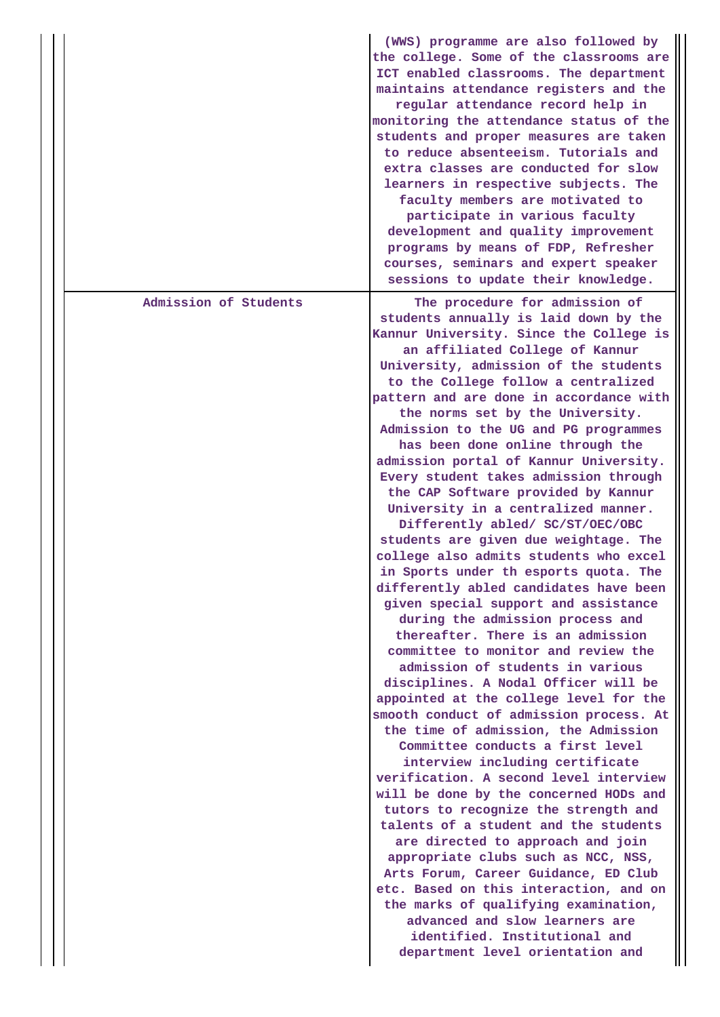|                       | (WWS) programme are also followed by<br>the college. Some of the classrooms are<br>ICT enabled classrooms. The department<br>maintains attendance registers and the<br>regular attendance record help in<br>monitoring the attendance status of the<br>students and proper measures are taken<br>to reduce absenteeism. Tutorials and<br>extra classes are conducted for slow<br>learners in respective subjects. The<br>faculty members are motivated to<br>participate in various faculty<br>development and quality improvement<br>programs by means of FDP, Refresher<br>courses, seminars and expert speaker<br>sessions to update their knowledge.                                                                                                                                                                                                                                                                                                                                                                                                                                                                                                                                                                                                                                                                                                                                                                                                                                                                                                                                                                                                                                               |
|-----------------------|--------------------------------------------------------------------------------------------------------------------------------------------------------------------------------------------------------------------------------------------------------------------------------------------------------------------------------------------------------------------------------------------------------------------------------------------------------------------------------------------------------------------------------------------------------------------------------------------------------------------------------------------------------------------------------------------------------------------------------------------------------------------------------------------------------------------------------------------------------------------------------------------------------------------------------------------------------------------------------------------------------------------------------------------------------------------------------------------------------------------------------------------------------------------------------------------------------------------------------------------------------------------------------------------------------------------------------------------------------------------------------------------------------------------------------------------------------------------------------------------------------------------------------------------------------------------------------------------------------------------------------------------------------------------------------------------------------|
| Admission of Students | The procedure for admission of<br>students annually is laid down by the<br>Kannur University. Since the College is<br>an affiliated College of Kannur<br>University, admission of the students<br>to the College follow a centralized<br>pattern and are done in accordance with<br>the norms set by the University.<br>Admission to the UG and PG programmes<br>has been done online through the<br>admission portal of Kannur University.<br>Every student takes admission through<br>the CAP Software provided by Kannur<br>University in a centralized manner.<br>Differently abled/ SC/ST/OEC/OBC<br>students are given due weightage. The<br>college also admits students who excel<br>in Sports under th esports quota. The<br>differently abled candidates have been<br>given special support and assistance<br>during the admission process and<br>thereafter. There is an admission<br>committee to monitor and review the<br>admission of students in various<br>disciplines. A Nodal Officer will be<br>appointed at the college level for the<br>smooth conduct of admission process. At<br>the time of admission, the Admission<br>Committee conducts a first level<br>interview including certificate<br>verification. A second level interview<br>will be done by the concerned HODs and<br>tutors to recognize the strength and<br>talents of a student and the students<br>are directed to approach and join<br>appropriate clubs such as NCC, NSS,<br>Arts Forum, Career Guidance, ED Club<br>etc. Based on this interaction, and on<br>the marks of qualifying examination,<br>advanced and slow learners are<br>identified. Institutional and<br>department level orientation and |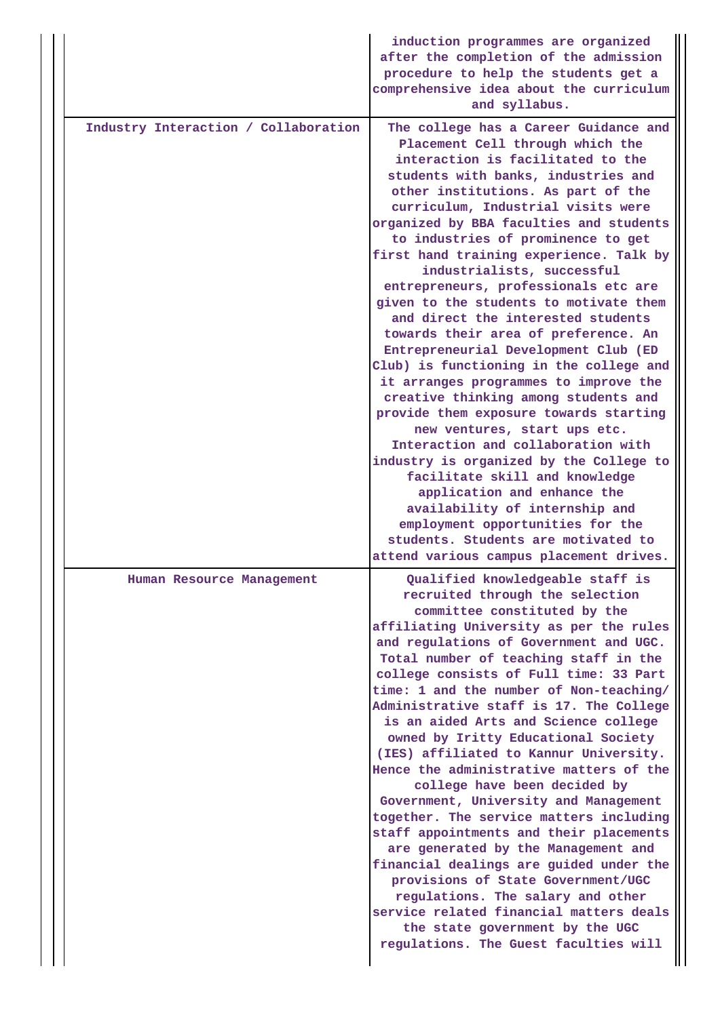|                                      | induction programmes are organized<br>after the completion of the admission<br>procedure to help the students get a<br>comprehensive idea about the curriculum<br>and syllabus.                                                                                                                                                                                                                                                                                                                                                                                                                                                                                                                                                                                                                                                                                                                                                                                                                                                                                                                                     |
|--------------------------------------|---------------------------------------------------------------------------------------------------------------------------------------------------------------------------------------------------------------------------------------------------------------------------------------------------------------------------------------------------------------------------------------------------------------------------------------------------------------------------------------------------------------------------------------------------------------------------------------------------------------------------------------------------------------------------------------------------------------------------------------------------------------------------------------------------------------------------------------------------------------------------------------------------------------------------------------------------------------------------------------------------------------------------------------------------------------------------------------------------------------------|
| Industry Interaction / Collaboration | The college has a Career Guidance and<br>Placement Cell through which the<br>interaction is facilitated to the<br>students with banks, industries and<br>other institutions. As part of the<br>curriculum, Industrial visits were<br>organized by BBA faculties and students<br>to industries of prominence to get<br>first hand training experience. Talk by<br>industrialists, successful<br>entrepreneurs, professionals etc are<br>given to the students to motivate them<br>and direct the interested students<br>towards their area of preference. An<br>Entrepreneurial Development Club (ED<br>Club) is functioning in the college and<br>it arranges programmes to improve the<br>creative thinking among students and<br>provide them exposure towards starting<br>new ventures, start ups etc.<br>Interaction and collaboration with<br>industry is organized by the College to<br>facilitate skill and knowledge<br>application and enhance the<br>availability of internship and<br>employment opportunities for the<br>students. Students are motivated to<br>attend various campus placement drives. |
| Human Resource Management            | Qualified knowledgeable staff is<br>recruited through the selection<br>committee constituted by the                                                                                                                                                                                                                                                                                                                                                                                                                                                                                                                                                                                                                                                                                                                                                                                                                                                                                                                                                                                                                 |
|                                      | affiliating University as per the rules<br>and regulations of Government and UGC.<br>Total number of teaching staff in the<br>college consists of Full time: 33 Part<br>time: 1 and the number of Non-teaching/<br>Administrative staff is 17. The College<br>is an aided Arts and Science college<br>owned by Iritty Educational Society<br>(IES) affiliated to Kannur University.<br>Hence the administrative matters of the<br>college have been decided by<br>Government, University and Management<br>together. The service matters including<br>staff appointments and their placements<br>are generated by the Management and<br>financial dealings are guided under the<br>provisions of State Government/UGC<br>regulations. The salary and other<br>service related financial matters deals<br>the state government by the UGC<br>regulations. The Guest faculties will                                                                                                                                                                                                                                   |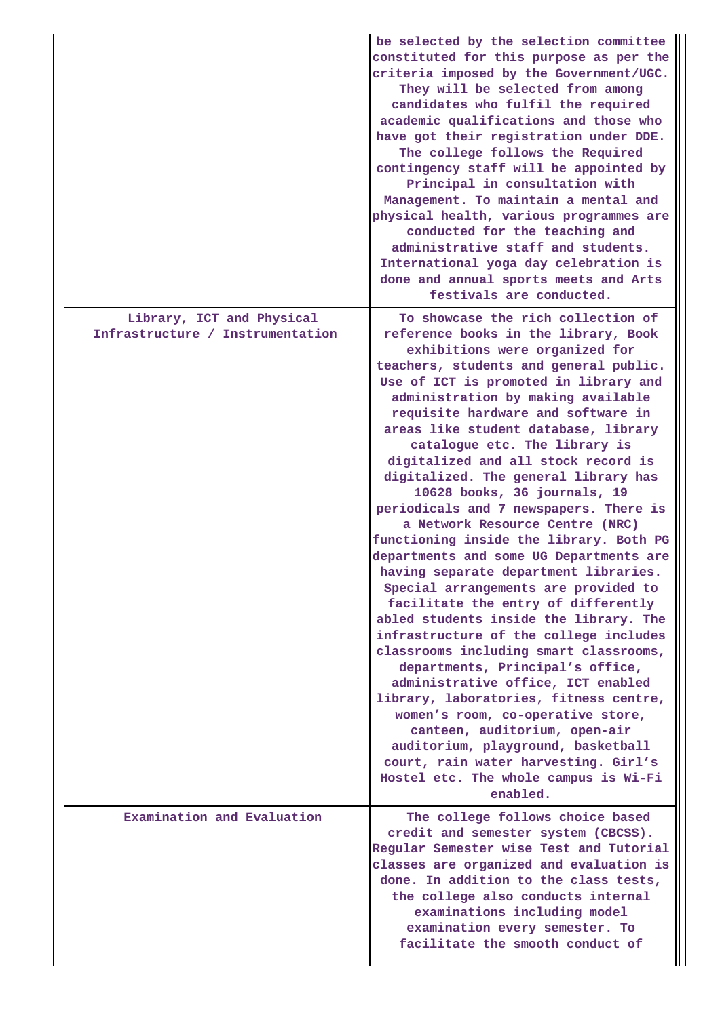|  |                                                               | be selected by the selection committee<br>constituted for this purpose as per the<br>criteria imposed by the Government/UGC.<br>They will be selected from among<br>candidates who fulfil the required<br>academic qualifications and those who<br>have got their registration under DDE.<br>The college follows the Required<br>contingency staff will be appointed by<br>Principal in consultation with<br>Management. To maintain a mental and<br>physical health, various programmes are<br>conducted for the teaching and<br>administrative staff and students.<br>International yoga day celebration is<br>done and annual sports meets and Arts<br>festivals are conducted.                                                                                                                                                                                                                                                                                                                                                                                                                                                                                                                                        |
|--|---------------------------------------------------------------|---------------------------------------------------------------------------------------------------------------------------------------------------------------------------------------------------------------------------------------------------------------------------------------------------------------------------------------------------------------------------------------------------------------------------------------------------------------------------------------------------------------------------------------------------------------------------------------------------------------------------------------------------------------------------------------------------------------------------------------------------------------------------------------------------------------------------------------------------------------------------------------------------------------------------------------------------------------------------------------------------------------------------------------------------------------------------------------------------------------------------------------------------------------------------------------------------------------------------|
|  | Library, ICT and Physical<br>Infrastructure / Instrumentation | To showcase the rich collection of<br>reference books in the library, Book<br>exhibitions were organized for<br>teachers, students and general public.<br>Use of ICT is promoted in library and<br>administration by making available<br>requisite hardware and software in<br>areas like student database, library<br>catalogue etc. The library is<br>digitalized and all stock record is<br>digitalized. The general library has<br>10628 books, 36 journals, 19<br>periodicals and 7 newspapers. There is<br>a Network Resource Centre (NRC)<br>functioning inside the library. Both PG<br>departments and some UG Departments are<br>having separate department libraries.<br>Special arrangements are provided to<br>facilitate the entry of differently<br>abled students inside the library. The<br>infrastructure of the college includes<br>classrooms including smart classrooms,<br>departments, Principal's office,<br>administrative office, ICT enabled<br>library, laboratories, fitness centre,<br>women's room, co-operative store,<br>canteen, auditorium, open-air<br>auditorium, playground, basketball<br>court, rain water harvesting. Girl's<br>Hostel etc. The whole campus is Wi-Fi<br>enabled. |
|  | Examination and Evaluation                                    | The college follows choice based<br>credit and semester system (CBCSS).<br>Regular Semester wise Test and Tutorial<br>classes are organized and evaluation is<br>done. In addition to the class tests,<br>the college also conducts internal<br>examinations including model<br>examination every semester. To<br>facilitate the smooth conduct of                                                                                                                                                                                                                                                                                                                                                                                                                                                                                                                                                                                                                                                                                                                                                                                                                                                                        |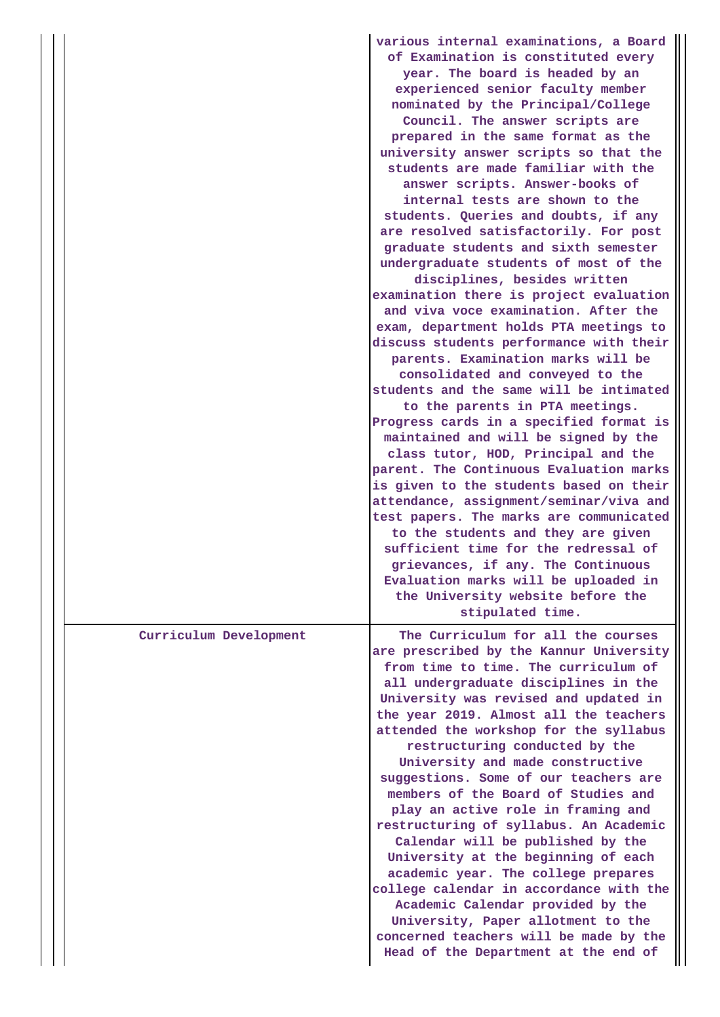|                        | various internal examinations, a Board<br>of Examination is constituted every<br>year. The board is headed by an<br>experienced senior faculty member<br>nominated by the Principal/College<br>Council. The answer scripts are<br>prepared in the same format as the<br>university answer scripts so that the<br>students are made familiar with the<br>answer scripts. Answer-books of<br>internal tests are shown to the<br>students. Queries and doubts, if any<br>are resolved satisfactorily. For post<br>graduate students and sixth semester<br>undergraduate students of most of the<br>disciplines, besides written<br>examination there is project evaluation<br>and viva voce examination. After the<br>exam, department holds PTA meetings to<br>discuss students performance with their<br>parents. Examination marks will be<br>consolidated and conveyed to the<br>students and the same will be intimated<br>to the parents in PTA meetings.<br>Progress cards in a specified format is<br>maintained and will be signed by the<br>class tutor, HOD, Principal and the<br>parent. The Continuous Evaluation marks<br>is given to the students based on their<br>attendance, assignment/seminar/viva and<br>test papers. The marks are communicated<br>to the students and they are given<br>sufficient time for the redressal of<br>grievances, if any. The Continuous |
|------------------------|----------------------------------------------------------------------------------------------------------------------------------------------------------------------------------------------------------------------------------------------------------------------------------------------------------------------------------------------------------------------------------------------------------------------------------------------------------------------------------------------------------------------------------------------------------------------------------------------------------------------------------------------------------------------------------------------------------------------------------------------------------------------------------------------------------------------------------------------------------------------------------------------------------------------------------------------------------------------------------------------------------------------------------------------------------------------------------------------------------------------------------------------------------------------------------------------------------------------------------------------------------------------------------------------------------------------------------------------------------------------------------------|
|                        | Evaluation marks will be uploaded in<br>the University website before the                                                                                                                                                                                                                                                                                                                                                                                                                                                                                                                                                                                                                                                                                                                                                                                                                                                                                                                                                                                                                                                                                                                                                                                                                                                                                                              |
|                        | stipulated time.                                                                                                                                                                                                                                                                                                                                                                                                                                                                                                                                                                                                                                                                                                                                                                                                                                                                                                                                                                                                                                                                                                                                                                                                                                                                                                                                                                       |
| Curriculum Development | The Curriculum for all the courses<br>are prescribed by the Kannur University<br>from time to time. The curriculum of<br>all undergraduate disciplines in the<br>University was revised and updated in<br>the year 2019. Almost all the teachers<br>attended the workshop for the syllabus<br>restructuring conducted by the<br>University and made constructive<br>suggestions. Some of our teachers are<br>members of the Board of Studies and<br>play an active role in framing and<br>restructuring of syllabus. An Academic<br>Calendar will be published by the<br>University at the beginning of each<br>academic year. The college prepares<br>college calendar in accordance with the<br>Academic Calendar provided by the<br>University, Paper allotment to the<br>concerned teachers will be made by the<br>Head of the Department at the end of                                                                                                                                                                                                                                                                                                                                                                                                                                                                                                                            |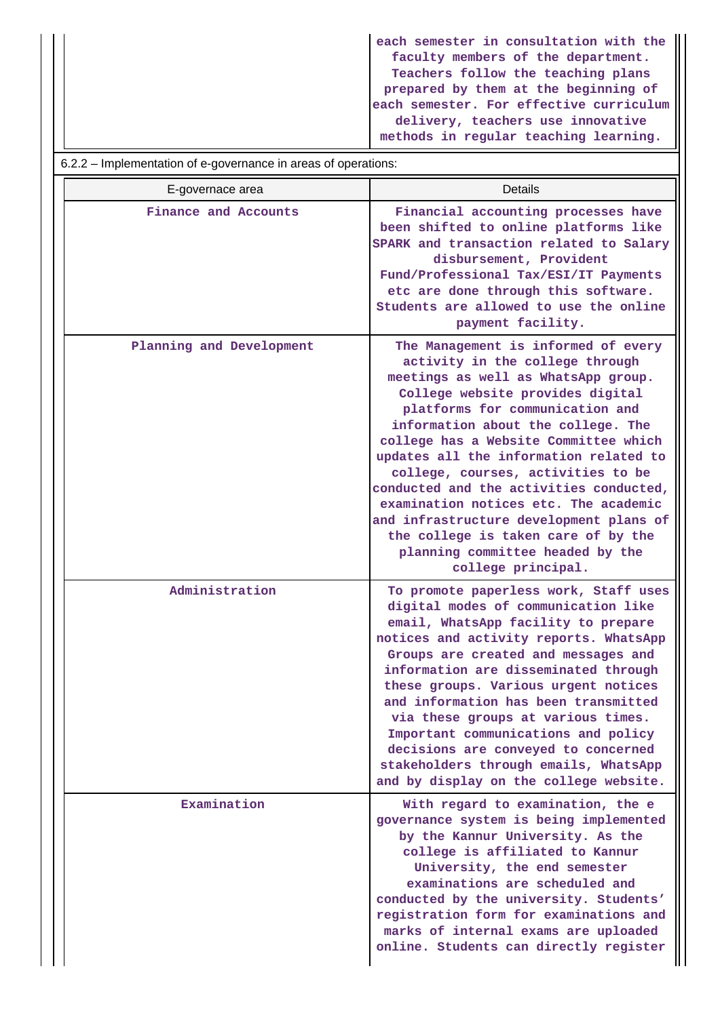| each semester in consultation with the  |
|-----------------------------------------|
| faculty members of the department.      |
| Teachers follow the teaching plans      |
| prepared by them at the beginning of    |
| each semester. For effective curriculum |
| delivery, teachers use innovative       |
| methods in regular teaching learning.   |

6.2.2 – Implementation of e-governance in areas of operations:

| E-governace area         | Details                                                                                                                                                                                                                                                                                                                                                                                                                                                                                                                                                                             |
|--------------------------|-------------------------------------------------------------------------------------------------------------------------------------------------------------------------------------------------------------------------------------------------------------------------------------------------------------------------------------------------------------------------------------------------------------------------------------------------------------------------------------------------------------------------------------------------------------------------------------|
| Finance and Accounts     | Financial accounting processes have<br>been shifted to online platforms like<br>SPARK and transaction related to Salary<br>disbursement, Provident<br>Fund/Professional Tax/ESI/IT Payments<br>etc are done through this software.<br>Students are allowed to use the online<br>payment facility.                                                                                                                                                                                                                                                                                   |
| Planning and Development | The Management is informed of every<br>activity in the college through<br>meetings as well as WhatsApp group.<br>College website provides digital<br>platforms for communication and<br>information about the college. The<br>college has a Website Committee which<br>updates all the information related to<br>college, courses, activities to be<br>conducted and the activities conducted,<br>examination notices etc. The academic<br>and infrastructure development plans of<br>the college is taken care of by the<br>planning committee headed by the<br>college principal. |
| Administration           | To promote paperless work, Staff uses<br>digital modes of communication like<br>email, WhatsApp facility to prepare<br>notices and activity reports. WhatsApp<br>Groups are created and messages and<br>information are disseminated through<br>these groups. Various urgent notices<br>and information has been transmitted<br>via these groups at various times.<br>Important communications and policy<br>decisions are conveyed to concerned<br>stakeholders through emails, WhatsApp<br>and by display on the college website.                                                 |
| Examination              | With regard to examination, the e<br>governance system is being implemented<br>by the Kannur University. As the<br>college is affiliated to Kannur<br>University, the end semester<br>examinations are scheduled and<br>conducted by the university. Students'<br>registration form for examinations and<br>marks of internal exams are uploaded<br>online. Students can directly register                                                                                                                                                                                          |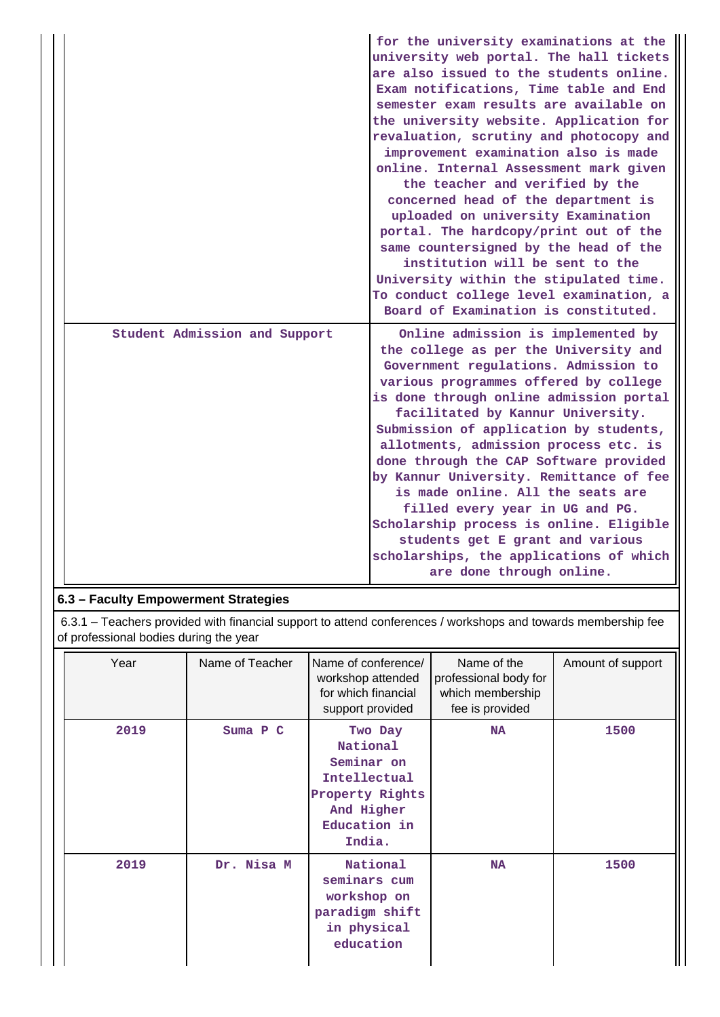|                               | for the university examinations at the<br>university web portal. The hall tickets<br>are also issued to the students online.<br>Exam notifications, Time table and End<br>semester exam results are available on<br>the university website. Application for<br>revaluation, scrutiny and photocopy and<br>improvement examination also is made<br>online. Internal Assessment mark given<br>the teacher and verified by the<br>concerned head of the department is<br>uploaded on university Examination<br>portal. The hardcopy/print out of the<br>same countersigned by the head of the<br>institution will be sent to the<br>University within the stipulated time.<br>To conduct college level examination, a<br>Board of Examination is constituted. |
|-------------------------------|------------------------------------------------------------------------------------------------------------------------------------------------------------------------------------------------------------------------------------------------------------------------------------------------------------------------------------------------------------------------------------------------------------------------------------------------------------------------------------------------------------------------------------------------------------------------------------------------------------------------------------------------------------------------------------------------------------------------------------------------------------|
| Student Admission and Support | Online admission is implemented by<br>the college as per the University and<br>Government regulations. Admission to<br>various programmes offered by college<br>is done through online admission portal<br>facilitated by Kannur University.<br>Submission of application by students,<br>allotments, admission process etc. is<br>done through the CAP Software provided<br>by Kannur University. Remittance of fee<br>is made online. All the seats are<br>filled every year in UG and PG.<br>Scholarship process is online. Eligible<br>students get E grant and various<br>scholarships, the applications of which<br>are done through online.                                                                                                         |

# **6.3 – Faculty Empowerment Strategies**

 6.3.1 – Teachers provided with financial support to attend conferences / workshops and towards membership fee of professional bodies during the year

| Year | Name of Teacher | Name of conference/<br>workshop attended<br>for which financial<br>support provided                          | Name of the<br>professional body for<br>which membership<br>fee is provided | Amount of support |
|------|-----------------|--------------------------------------------------------------------------------------------------------------|-----------------------------------------------------------------------------|-------------------|
| 2019 | Suma P C        | Two Day<br>National<br>Seminar on<br>Intellectual<br>Property Rights<br>And Higher<br>Education in<br>India. | <b>NA</b>                                                                   | 1500              |
| 2019 | Dr. Nisa M      | National<br>seminars cum<br>workshop on<br>paradigm shift<br>in physical<br>education                        | <b>NA</b>                                                                   | 1500              |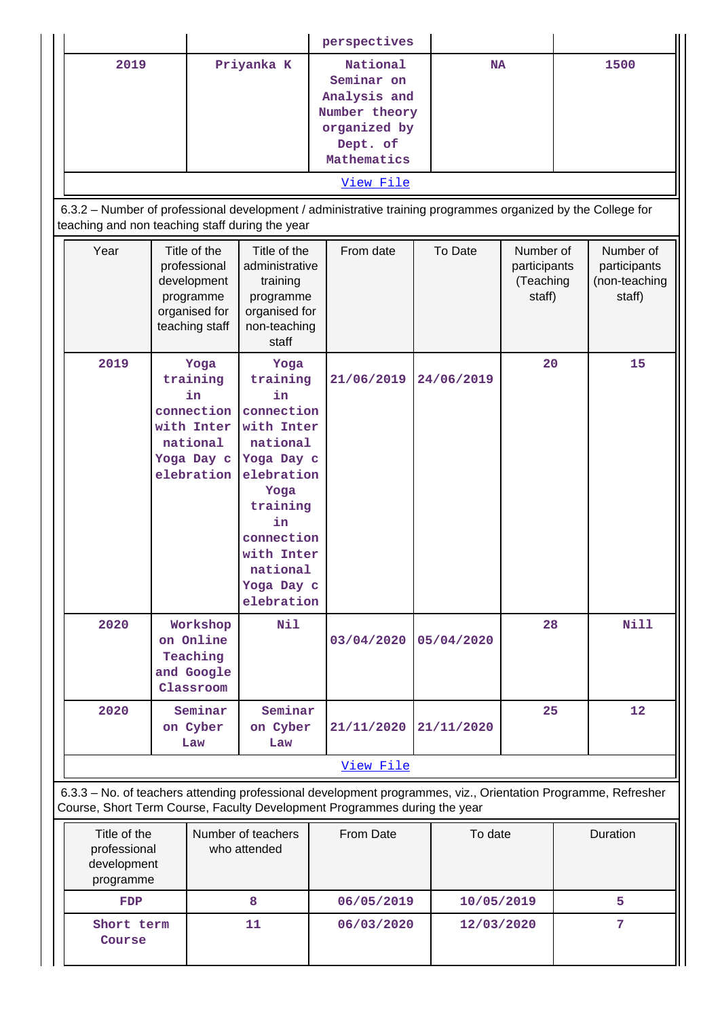|                                                                                                                                                                                            |  |                                                                                             |                                                                                                                                                                                          | perspectives                                                                                                                                                                                                                    |            |                                                  |                                                      |
|--------------------------------------------------------------------------------------------------------------------------------------------------------------------------------------------|--|---------------------------------------------------------------------------------------------|------------------------------------------------------------------------------------------------------------------------------------------------------------------------------------------|---------------------------------------------------------------------------------------------------------------------------------------------------------------------------------------------------------------------------------|------------|--------------------------------------------------|------------------------------------------------------|
| 2019                                                                                                                                                                                       |  |                                                                                             | Priyanka K                                                                                                                                                                               | National<br>Seminar on<br>Analysis and<br>Number theory<br>organized by<br>Dept. of<br>Mathematics<br>View File<br>6.3.2 - Number of professional development / administrative training programmes organized by the College for | <b>NA</b>  |                                                  | 1500                                                 |
| teaching and non teaching staff during the year                                                                                                                                            |  |                                                                                             |                                                                                                                                                                                          |                                                                                                                                                                                                                                 |            |                                                  |                                                      |
| Year                                                                                                                                                                                       |  | Title of the<br>professional<br>development<br>programme<br>organised for<br>teaching staff | Title of the<br>administrative<br>training<br>programme<br>organised for<br>non-teaching<br>staff                                                                                        | From date                                                                                                                                                                                                                       | To Date    | Number of<br>participants<br>(Teaching<br>staff) | Number of<br>participants<br>(non-teaching<br>staff) |
| 2019                                                                                                                                                                                       |  | Yoga<br>training<br>in<br>connection<br>with Inter<br>national<br>Yoga Day c<br>elebration  | Yoga<br>training<br>in<br>connection<br>with Inter<br>national<br>Yoga Day c<br>elebration<br>Yoga<br>training<br>in<br>connection<br>with Inter<br>national<br>Yoga Day c<br>elebration | 21/06/2019                                                                                                                                                                                                                      | 24/06/2019 | 20                                               | 15                                                   |
| 2020                                                                                                                                                                                       |  | Workshop<br>on Online<br>Teaching<br>and Google<br>Classroom                                | Nil                                                                                                                                                                                      | 03/04/2020                                                                                                                                                                                                                      | 05/04/2020 | 28                                               | <b>Nill</b>                                          |
| 2020                                                                                                                                                                                       |  | Seminar<br>on Cyber<br>Law                                                                  | Seminar<br>on Cyber<br>Law                                                                                                                                                               | 21/11/2020                                                                                                                                                                                                                      | 21/11/2020 | 25                                               | 12                                                   |
|                                                                                                                                                                                            |  |                                                                                             |                                                                                                                                                                                          | View File                                                                                                                                                                                                                       |            |                                                  |                                                      |
| 6.3.3 - No. of teachers attending professional development programmes, viz., Orientation Programme, Refresher<br>Course, Short Term Course, Faculty Development Programmes during the year |  |                                                                                             |                                                                                                                                                                                          |                                                                                                                                                                                                                                 |            |                                                  |                                                      |

| Title of the<br>professional<br>development<br>programme | Number of teachers<br>who attended | From Date  | To date    | Duration |
|----------------------------------------------------------|------------------------------------|------------|------------|----------|
| <b>FDP</b>                                               |                                    | 06/05/2019 | 10/05/2019 |          |
| Short term<br>Course                                     | 11                                 | 06/03/2020 | 12/03/2020 |          |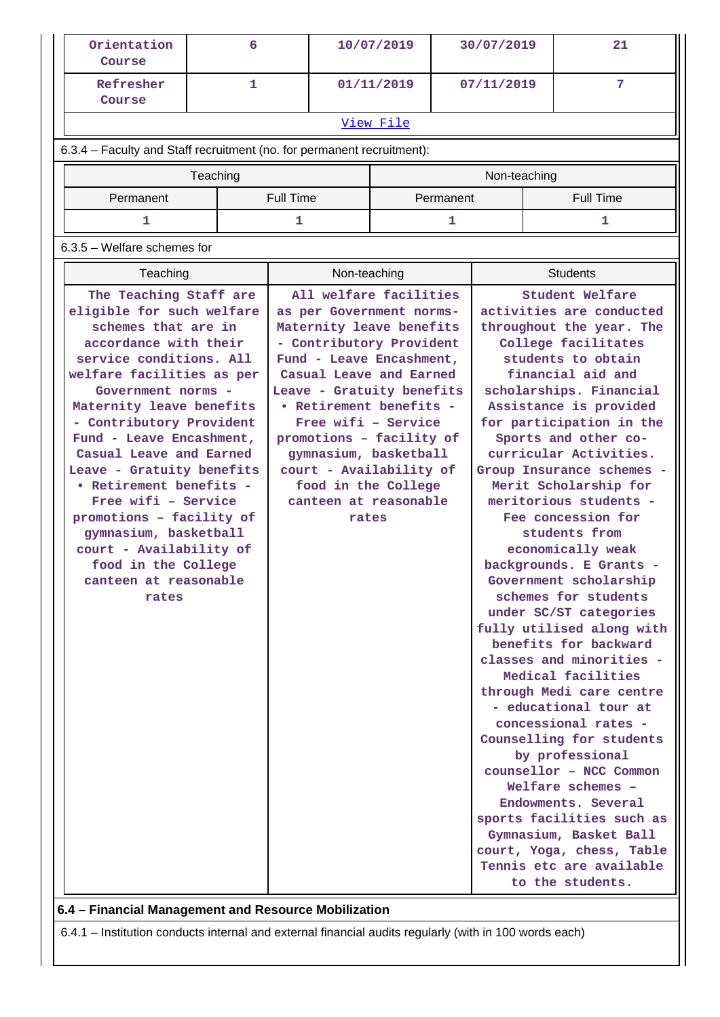| Orientation<br>Course                                |                                                                                                                                                                                                                                                                                                                                                                                                                                                                                                                                                                                                                                                                                                                                                                                                                                                                                                                                                                                             | 6 |       |              | 10/07/2019 | 30/07/2019 |            |                                                                                                                                                                                                                                                                                                                                                                                                                                                                                                                                                                                                                                                                                                                                                                                                                                                                                                                                                                                | 21               |
|------------------------------------------------------|---------------------------------------------------------------------------------------------------------------------------------------------------------------------------------------------------------------------------------------------------------------------------------------------------------------------------------------------------------------------------------------------------------------------------------------------------------------------------------------------------------------------------------------------------------------------------------------------------------------------------------------------------------------------------------------------------------------------------------------------------------------------------------------------------------------------------------------------------------------------------------------------------------------------------------------------------------------------------------------------|---|-------|--------------|------------|------------|------------|--------------------------------------------------------------------------------------------------------------------------------------------------------------------------------------------------------------------------------------------------------------------------------------------------------------------------------------------------------------------------------------------------------------------------------------------------------------------------------------------------------------------------------------------------------------------------------------------------------------------------------------------------------------------------------------------------------------------------------------------------------------------------------------------------------------------------------------------------------------------------------------------------------------------------------------------------------------------------------|------------------|
| Refresher<br>Course                                  |                                                                                                                                                                                                                                                                                                                                                                                                                                                                                                                                                                                                                                                                                                                                                                                                                                                                                                                                                                                             | 1 |       |              | 01/11/2019 |            | 07/11/2019 |                                                                                                                                                                                                                                                                                                                                                                                                                                                                                                                                                                                                                                                                                                                                                                                                                                                                                                                                                                                | 7                |
|                                                      | View File                                                                                                                                                                                                                                                                                                                                                                                                                                                                                                                                                                                                                                                                                                                                                                                                                                                                                                                                                                                   |   |       |              |            |            |            |                                                                                                                                                                                                                                                                                                                                                                                                                                                                                                                                                                                                                                                                                                                                                                                                                                                                                                                                                                                |                  |
|                                                      | 6.3.4 - Faculty and Staff recruitment (no. for permanent recruitment):                                                                                                                                                                                                                                                                                                                                                                                                                                                                                                                                                                                                                                                                                                                                                                                                                                                                                                                      |   |       |              |            |            |            |                                                                                                                                                                                                                                                                                                                                                                                                                                                                                                                                                                                                                                                                                                                                                                                                                                                                                                                                                                                |                  |
| Teaching<br>Non-teaching                             |                                                                                                                                                                                                                                                                                                                                                                                                                                                                                                                                                                                                                                                                                                                                                                                                                                                                                                                                                                                             |   |       |              |            |            |            |                                                                                                                                                                                                                                                                                                                                                                                                                                                                                                                                                                                                                                                                                                                                                                                                                                                                                                                                                                                |                  |
|                                                      |                                                                                                                                                                                                                                                                                                                                                                                                                                                                                                                                                                                                                                                                                                                                                                                                                                                                                                                                                                                             |   |       |              |            | Permanent  |            |                                                                                                                                                                                                                                                                                                                                                                                                                                                                                                                                                                                                                                                                                                                                                                                                                                                                                                                                                                                | <b>Full Time</b> |
|                                                      |                                                                                                                                                                                                                                                                                                                                                                                                                                                                                                                                                                                                                                                                                                                                                                                                                                                                                                                                                                                             |   |       |              |            | 1          |            |                                                                                                                                                                                                                                                                                                                                                                                                                                                                                                                                                                                                                                                                                                                                                                                                                                                                                                                                                                                | 1                |
|                                                      |                                                                                                                                                                                                                                                                                                                                                                                                                                                                                                                                                                                                                                                                                                                                                                                                                                                                                                                                                                                             |   |       |              |            |            |            |                                                                                                                                                                                                                                                                                                                                                                                                                                                                                                                                                                                                                                                                                                                                                                                                                                                                                                                                                                                |                  |
|                                                      |                                                                                                                                                                                                                                                                                                                                                                                                                                                                                                                                                                                                                                                                                                                                                                                                                                                                                                                                                                                             |   |       |              |            |            |            |                                                                                                                                                                                                                                                                                                                                                                                                                                                                                                                                                                                                                                                                                                                                                                                                                                                                                                                                                                                |                  |
|                                                      |                                                                                                                                                                                                                                                                                                                                                                                                                                                                                                                                                                                                                                                                                                                                                                                                                                                                                                                                                                                             |   |       | Non-teaching |            |            |            |                                                                                                                                                                                                                                                                                                                                                                                                                                                                                                                                                                                                                                                                                                                                                                                                                                                                                                                                                                                | <b>Students</b>  |
| rates                                                | <b>Full Time</b><br>Permanent<br>1<br>1<br>$6.3.5$ – Welfare schemes for<br>Teaching<br>The Teaching Staff are<br>All welfare facilities<br>eligible for such welfare<br>as per Government norms-<br>schemes that are in<br>Maternity leave benefits<br>accordance with their<br>- Contributory Provident<br>service conditions. All<br>Fund - Leave Encashment,<br>welfare facilities as per<br>Casual Leave and Earned<br>Leave - Gratuity benefits<br>Government norms -<br>Maternity leave benefits<br>• Retirement benefits -<br>Free wifi - Service<br>- Contributory Provident<br>promotions - facility of<br>Fund - Leave Encashment,<br>Casual Leave and Earned<br>gymnasium, basketball<br>Leave - Gratuity benefits<br>court - Availability of<br>• Retirement benefits -<br>food in the College<br>Free wifi - Service<br>canteen at reasonable<br>promotions - facility of<br>gymnasium, basketball<br>court - Availability of<br>food in the College<br>canteen at reasonable |   | rates |              |            |            |            | Student Welfare<br>activities are conducted<br>throughout the year. The<br>College facilitates<br>students to obtain<br>financial aid and<br>scholarships. Financial<br>Assistance is provided<br>for participation in the<br>Sports and other co-<br>curricular Activities.<br>Group Insurance schemes -<br>Merit Scholarship for<br>meritorious students -<br>Fee concession for<br>students from<br>economically weak<br>backgrounds. E Grants -<br>Government scholarship<br>schemes for students<br>under SC/ST categories<br>fully utilised along with<br>benefits for backward<br>classes and minorities -<br>Medical facilities<br>through Medi care centre<br>- educational tour at<br>concessional rates -<br>Counselling for students<br>by professional<br>counsellor - NCC Common<br>Welfare schemes -<br>Endowments. Several<br>sports facilities such as<br>Gymnasium, Basket Ball<br>court, Yoga, chess, Table<br>Tennis etc are available<br>to the students. |                  |
| 6.4 - Financial Management and Resource Mobilization |                                                                                                                                                                                                                                                                                                                                                                                                                                                                                                                                                                                                                                                                                                                                                                                                                                                                                                                                                                                             |   |       |              |            |            |            |                                                                                                                                                                                                                                                                                                                                                                                                                                                                                                                                                                                                                                                                                                                                                                                                                                                                                                                                                                                |                  |

6.4.1 – Institution conducts internal and external financial audits regularly (with in 100 words each)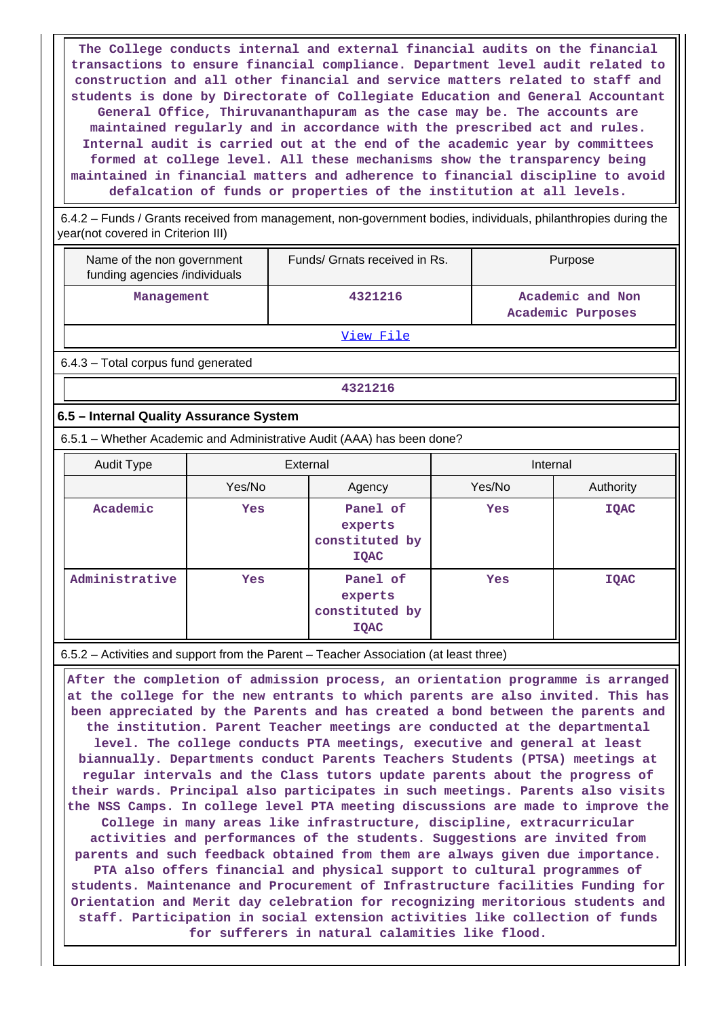**The College conducts internal and external financial audits on the financial transactions to ensure financial compliance. Department level audit related to construction and all other financial and service matters related to staff and students is done by Directorate of Collegiate Education and General Accountant General Office, Thiruvananthapuram as the case may be. The accounts are maintained regularly and in accordance with the prescribed act and rules. Internal audit is carried out at the end of the academic year by committees formed at college level. All these mechanisms show the transparency being maintained in financial matters and adherence to financial discipline to avoid defalcation of funds or properties of the institution at all levels.**

 6.4.2 – Funds / Grants received from management, non-government bodies, individuals, philanthropies during the year(not covered in Criterion III)

| Name of the non government<br>funding agencies /individuals | Funds/ Grnats received in Rs. | Purpose                               |
|-------------------------------------------------------------|-------------------------------|---------------------------------------|
| Management                                                  | 4321216                       | Academic and Non<br>Academic Purposes |
|                                                             | View File                     |                                       |

6.4.3 – Total corpus fund generated

**4321216**

### **6.5 – Internal Quality Assurance System**

6.5.1 – Whether Academic and Administrative Audit (AAA) has been done?

| Audit Type     | External   |                                                      | Internal |             |  |
|----------------|------------|------------------------------------------------------|----------|-------------|--|
|                | Yes/No     | Agency                                               | Yes/No   | Authority   |  |
| Academic       | <b>Yes</b> | Panel of<br>experts<br>constituted by<br><b>IQAC</b> | Yes      | <b>IQAC</b> |  |
| Administrative | <b>Yes</b> | Panel of<br>experts<br>constituted by<br><b>IQAC</b> | Yes      | <b>IQAC</b> |  |

6.5.2 – Activities and support from the Parent – Teacher Association (at least three)

 **After the completion of admission process, an orientation programme is arranged at the college for the new entrants to which parents are also invited. This has been appreciated by the Parents and has created a bond between the parents and the institution. Parent Teacher meetings are conducted at the departmental level. The college conducts PTA meetings, executive and general at least biannually. Departments conduct Parents Teachers Students (PTSA) meetings at regular intervals and the Class tutors update parents about the progress of their wards. Principal also participates in such meetings. Parents also visits the NSS Camps. In college level PTA meeting discussions are made to improve the College in many areas like infrastructure, discipline, extracurricular activities and performances of the students. Suggestions are invited from parents and such feedback obtained from them are always given due importance. PTA also offers financial and physical support to cultural programmes of students. Maintenance and Procurement of Infrastructure facilities Funding for Orientation and Merit day celebration for recognizing meritorious students and staff. Participation in social extension activities like collection of funds for sufferers in natural calamities like flood.**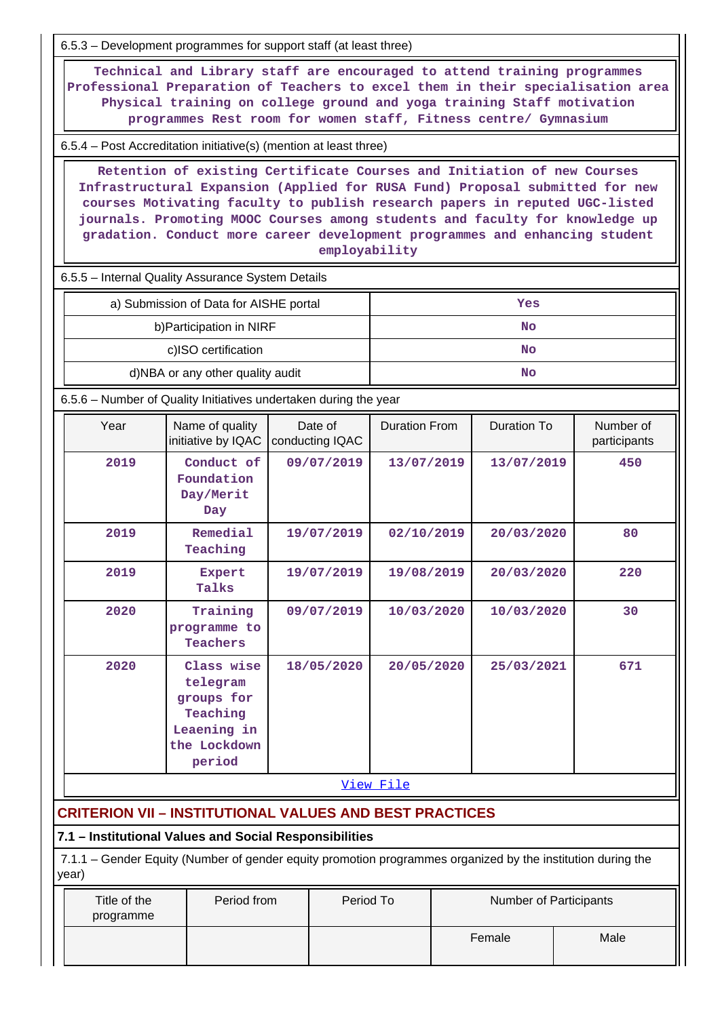6.5.3 – Development programmes for support staff (at least three)

 **Technical and Library staff are encouraged to attend training programmes Professional Preparation of Teachers to excel them in their specialisation area Physical training on college ground and yoga training Staff motivation programmes Rest room for women staff, Fitness centre/ Gymnasium**

6.5.4 – Post Accreditation initiative(s) (mention at least three)

 **Retention of existing Certificate Courses and Initiation of new Courses Infrastructural Expansion (Applied for RUSA Fund) Proposal submitted for new courses Motivating faculty to publish research papers in reputed UGC-listed journals. Promoting MOOC Courses among students and faculty for knowledge up gradation. Conduct more career development programmes and enhancing student employability**

6.5.5 – Internal Quality Assurance System Details

| a) Submission of Data for AISHE portal | Yes |
|----------------------------------------|-----|
| b) Participation in NIRF               | No  |
| c)ISO certification                    | No  |
| d)NBA or any other quality audit       | No  |

6.5.6 – Number of Quality Initiatives undertaken during the year

| Year      | Name of quality<br>initiative by IQAC                                                     | Date of<br>conducting IQAC | <b>Duration From</b> | Duration To | Number of<br>participants |  |
|-----------|-------------------------------------------------------------------------------------------|----------------------------|----------------------|-------------|---------------------------|--|
| 2019      | Conduct of<br>Foundation<br>Day/Merit<br>Day                                              | 09/07/2019                 | 13/07/2019           | 13/07/2019  | 450                       |  |
| 2019      | Remedial<br>Teaching                                                                      | 19/07/2019                 | 02/10/2019           | 20/03/2020  | 80                        |  |
| 2019      | Expert<br>Talks                                                                           | 19/07/2019                 | 19/08/2019           | 20/03/2020  | 220                       |  |
| 2020      | Training<br>programme to<br>Teachers                                                      | 09/07/2019                 | 10/03/2020           | 10/03/2020  | 30                        |  |
| 2020      | Class wise<br>telegram<br>groups for<br>Teaching<br>Leaening in<br>the Lockdown<br>period | 18/05/2020                 | 20/05/2020           | 25/03/2021  | 671                       |  |
| View File |                                                                                           |                            |                      |             |                           |  |

# **CRITERION VII – INSTITUTIONAL VALUES AND BEST PRACTICES**

#### **7.1 – Institutional Values and Social Responsibilities**

 7.1.1 – Gender Equity (Number of gender equity promotion programmes organized by the institution during the year)

| Title of the<br>programme | Period from | Period To | <b>Number of Participants</b> |      |
|---------------------------|-------------|-----------|-------------------------------|------|
|                           |             |           | Female                        | Male |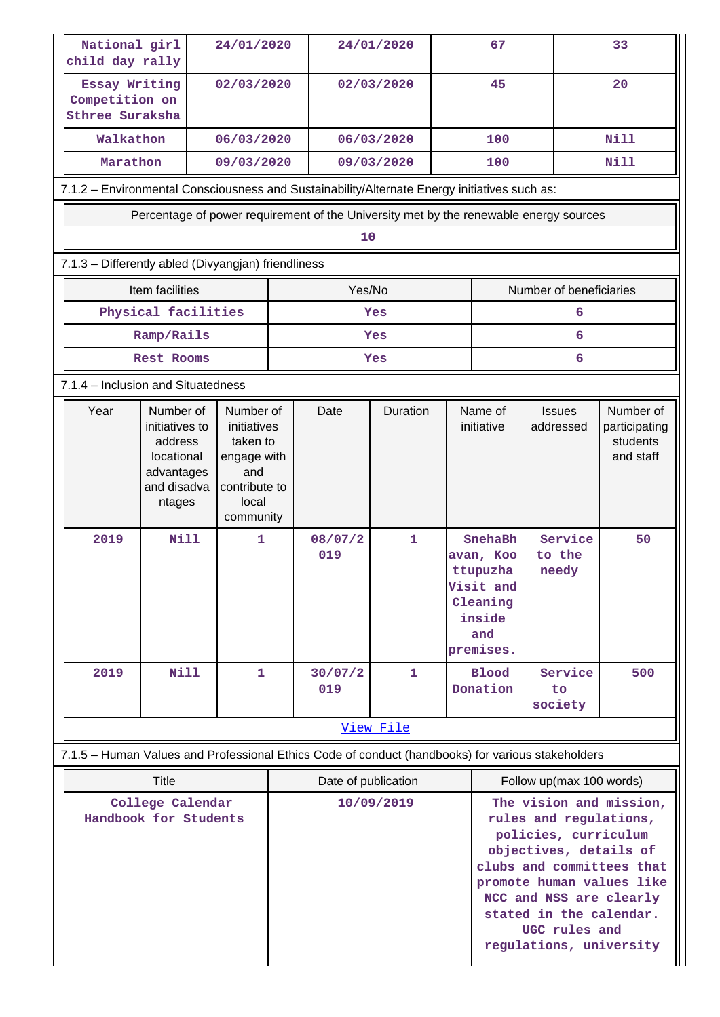| National girl<br>child day rally                                                                  |                                                                                             | 24/01/2020                                                                                        |  |                     | 24/01/2020   |    | 67                                                                                      |                                                                                                                                                                                                                                                                 | 33                                                  |
|---------------------------------------------------------------------------------------------------|---------------------------------------------------------------------------------------------|---------------------------------------------------------------------------------------------------|--|---------------------|--------------|----|-----------------------------------------------------------------------------------------|-----------------------------------------------------------------------------------------------------------------------------------------------------------------------------------------------------------------------------------------------------------------|-----------------------------------------------------|
| Essay Writing<br>Competition on<br>Sthree Suraksha                                                |                                                                                             | 02/03/2020                                                                                        |  |                     | 02/03/2020   | 45 |                                                                                         |                                                                                                                                                                                                                                                                 | 20                                                  |
| Walkathon                                                                                         |                                                                                             | 06/03/2020                                                                                        |  |                     | 06/03/2020   |    | 100                                                                                     |                                                                                                                                                                                                                                                                 | <b>Nill</b>                                         |
| Marathon                                                                                          |                                                                                             | 09/03/2020                                                                                        |  |                     | 09/03/2020   |    | 100                                                                                     |                                                                                                                                                                                                                                                                 | <b>Nill</b>                                         |
| 7.1.2 - Environmental Consciousness and Sustainability/Alternate Energy initiatives such as:      |                                                                                             |                                                                                                   |  |                     |              |    |                                                                                         |                                                                                                                                                                                                                                                                 |                                                     |
| Percentage of power requirement of the University met by the renewable energy sources             |                                                                                             |                                                                                                   |  |                     |              |    |                                                                                         |                                                                                                                                                                                                                                                                 |                                                     |
|                                                                                                   |                                                                                             |                                                                                                   |  | 10                  |              |    |                                                                                         |                                                                                                                                                                                                                                                                 |                                                     |
| 7.1.3 - Differently abled (Divyangjan) friendliness                                               |                                                                                             |                                                                                                   |  |                     |              |    |                                                                                         |                                                                                                                                                                                                                                                                 |                                                     |
|                                                                                                   | Item facilities                                                                             |                                                                                                   |  | Yes/No              |              |    |                                                                                         | Number of beneficiaries                                                                                                                                                                                                                                         |                                                     |
|                                                                                                   | Physical facilities                                                                         |                                                                                                   |  |                     | Yes          |    |                                                                                         | 6                                                                                                                                                                                                                                                               |                                                     |
|                                                                                                   | Ramp/Rails                                                                                  |                                                                                                   |  |                     | Yes          |    |                                                                                         | 6                                                                                                                                                                                                                                                               |                                                     |
|                                                                                                   | <b>Rest Rooms</b>                                                                           |                                                                                                   |  |                     | Yes          |    |                                                                                         | 6                                                                                                                                                                                                                                                               |                                                     |
| 7.1.4 - Inclusion and Situatedness                                                                |                                                                                             |                                                                                                   |  |                     |              |    |                                                                                         |                                                                                                                                                                                                                                                                 |                                                     |
| Year                                                                                              | Number of<br>initiatives to<br>address<br>locational<br>advantages<br>and disadva<br>ntages | Number of<br>initiatives<br>taken to<br>engage with<br>and<br>contribute to<br>local<br>community |  | Date                | Duration     |    | Name of<br><b>Issues</b><br>initiative<br>addressed                                     |                                                                                                                                                                                                                                                                 | Number of<br>participating<br>students<br>and staff |
| 2019                                                                                              | <b>Nill</b>                                                                                 | $\mathbf{1}$                                                                                      |  | 08/07/2<br>019      | $\mathbf{1}$ |    | SnehaBh<br>avan, Koo<br>ttupuzha<br>Visit and<br>Cleaning<br>inside<br>and<br>premises. | Service<br>to the<br>needy                                                                                                                                                                                                                                      | 50                                                  |
| 2019                                                                                              | Nill                                                                                        | 1                                                                                                 |  | 30/07/2<br>019      | 1            |    | <b>Blood</b><br>Donation                                                                | Service<br>to                                                                                                                                                                                                                                                   | 500                                                 |
|                                                                                                   |                                                                                             |                                                                                                   |  |                     |              |    |                                                                                         | society                                                                                                                                                                                                                                                         |                                                     |
|                                                                                                   |                                                                                             |                                                                                                   |  |                     | View File    |    |                                                                                         |                                                                                                                                                                                                                                                                 |                                                     |
| 7.1.5 - Human Values and Professional Ethics Code of conduct (handbooks) for various stakeholders |                                                                                             |                                                                                                   |  |                     |              |    |                                                                                         |                                                                                                                                                                                                                                                                 |                                                     |
|                                                                                                   | <b>Title</b>                                                                                |                                                                                                   |  | Date of publication |              |    | Follow up(max 100 words)                                                                |                                                                                                                                                                                                                                                                 |                                                     |
| College Calendar<br>Handbook for Students                                                         |                                                                                             |                                                                                                   |  |                     | 10/09/2019   |    |                                                                                         | The vision and mission,<br>rules and regulations,<br>policies, curriculum<br>objectives, details of<br>clubs and committees that<br>promote human values like<br>NCC and NSS are clearly<br>stated in the calendar.<br>UGC rules and<br>regulations, university |                                                     |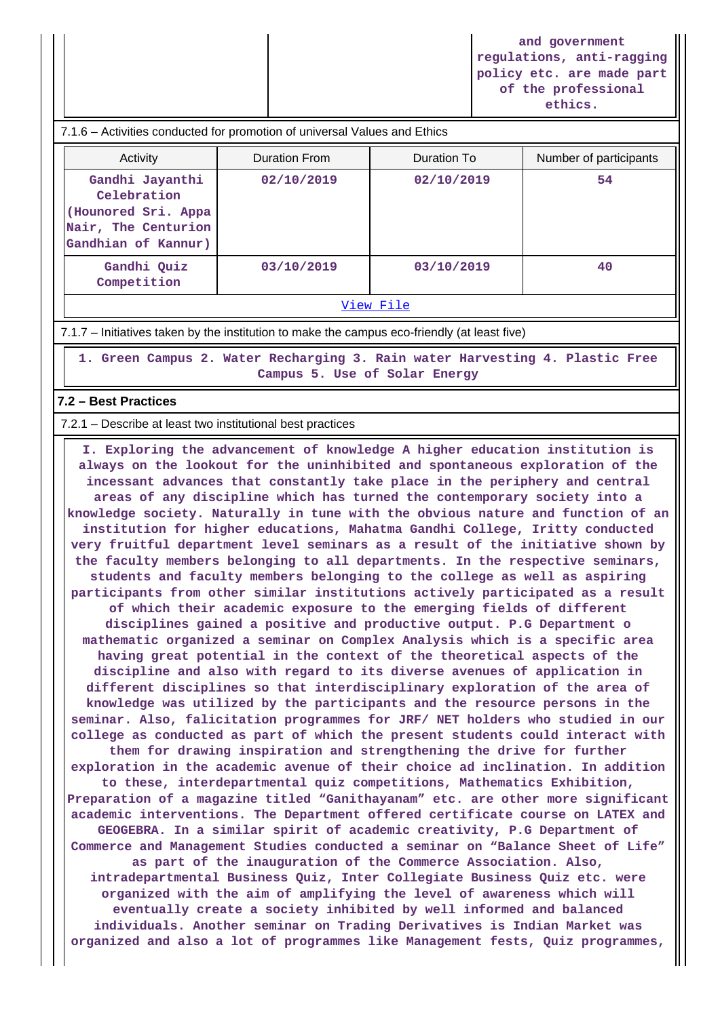**and government regulations, anti-ragging policy etc. are made part of the professional ethics.**

| 7.1.6 – Activities conducted for promotion of universal Values and Ethics                            |                      |             |                        |  |  |  |  |
|------------------------------------------------------------------------------------------------------|----------------------|-------------|------------------------|--|--|--|--|
| Activity                                                                                             | <b>Duration From</b> | Duration To | Number of participants |  |  |  |  |
| Gandhi Jayanthi<br>Celebration<br>(Hounored Sri. Appa)<br>Nair, The Centurion<br>Gandhian of Kannur) | 02/10/2019           | 02/10/2019  | 54                     |  |  |  |  |
| Gandhi Quiz<br>Competition                                                                           | 03/10/2019           | 03/10/2019  | 40                     |  |  |  |  |
| View File                                                                                            |                      |             |                        |  |  |  |  |

#### 7.1.7 – Initiatives taken by the institution to make the campus eco-friendly (at least five)

 **1. Green Campus 2. Water Recharging 3. Rain water Harvesting 4. Plastic Free Campus 5. Use of Solar Energy**

#### **7.2 – Best Practices**

7.2.1 – Describe at least two institutional best practices

 **I. Exploring the advancement of knowledge A higher education institution is always on the lookout for the uninhibited and spontaneous exploration of the incessant advances that constantly take place in the periphery and central areas of any discipline which has turned the contemporary society into a knowledge society. Naturally in tune with the obvious nature and function of an institution for higher educations, Mahatma Gandhi College, Iritty conducted very fruitful department level seminars as a result of the initiative shown by the faculty members belonging to all departments. In the respective seminars, students and faculty members belonging to the college as well as aspiring participants from other similar institutions actively participated as a result of which their academic exposure to the emerging fields of different disciplines gained a positive and productive output. P.G Department o mathematic organized a seminar on Complex Analysis which is a specific area having great potential in the context of the theoretical aspects of the discipline and also with regard to its diverse avenues of application in different disciplines so that interdisciplinary exploration of the area of knowledge was utilized by the participants and the resource persons in the seminar. Also, falicitation programmes for JRF/ NET holders who studied in our college as conducted as part of which the present students could interact with them for drawing inspiration and strengthening the drive for further exploration in the academic avenue of their choice ad inclination. In addition to these, interdepartmental quiz competitions, Mathematics Exhibition, Preparation of a magazine titled "Ganithayanam" etc. are other more significant academic interventions. The Department offered certificate course on LATEX and GEOGEBRA. In a similar spirit of academic creativity, P.G Department of Commerce and Management Studies conducted a seminar on "Balance Sheet of Life" as part of the inauguration of the Commerce Association. Also, intradepartmental Business Quiz, Inter Collegiate Business Quiz etc. were organized with the aim of amplifying the level of awareness which will eventually create a society inhibited by well informed and balanced individuals. Another seminar on Trading Derivatives is Indian Market was organized and also a lot of programmes like Management fests, Quiz programmes,**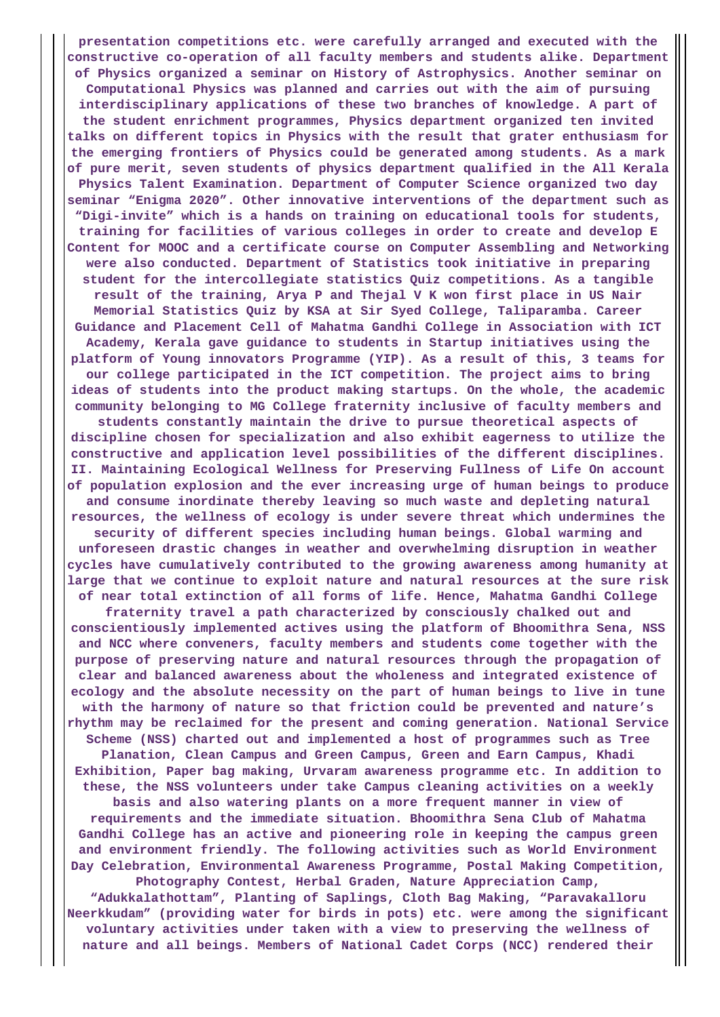**presentation competitions etc. were carefully arranged and executed with the constructive co-operation of all faculty members and students alike. Department of Physics organized a seminar on History of Astrophysics. Another seminar on Computational Physics was planned and carries out with the aim of pursuing interdisciplinary applications of these two branches of knowledge. A part of the student enrichment programmes, Physics department organized ten invited talks on different topics in Physics with the result that grater enthusiasm for the emerging frontiers of Physics could be generated among students. As a mark of pure merit, seven students of physics department qualified in the All Kerala Physics Talent Examination. Department of Computer Science organized two day seminar "Enigma 2020". Other innovative interventions of the department such as "Digi-invite" which is a hands on training on educational tools for students, training for facilities of various colleges in order to create and develop E Content for MOOC and a certificate course on Computer Assembling and Networking were also conducted. Department of Statistics took initiative in preparing student for the intercollegiate statistics Quiz competitions. As a tangible result of the training, Arya P and Thejal V K won first place in US Nair Memorial Statistics Quiz by KSA at Sir Syed College, Taliparamba. Career Guidance and Placement Cell of Mahatma Gandhi College in Association with ICT Academy, Kerala gave guidance to students in Startup initiatives using the platform of Young innovators Programme (YIP). As a result of this, 3 teams for our college participated in the ICT competition. The project aims to bring ideas of students into the product making startups. On the whole, the academic community belonging to MG College fraternity inclusive of faculty members and students constantly maintain the drive to pursue theoretical aspects of discipline chosen for specialization and also exhibit eagerness to utilize the constructive and application level possibilities of the different disciplines. II. Maintaining Ecological Wellness for Preserving Fullness of Life On account of population explosion and the ever increasing urge of human beings to produce and consume inordinate thereby leaving so much waste and depleting natural resources, the wellness of ecology is under severe threat which undermines the security of different species including human beings. Global warming and unforeseen drastic changes in weather and overwhelming disruption in weather cycles have cumulatively contributed to the growing awareness among humanity at large that we continue to exploit nature and natural resources at the sure risk of near total extinction of all forms of life. Hence, Mahatma Gandhi College fraternity travel a path characterized by consciously chalked out and conscientiously implemented actives using the platform of Bhoomithra Sena, NSS and NCC where conveners, faculty members and students come together with the purpose of preserving nature and natural resources through the propagation of clear and balanced awareness about the wholeness and integrated existence of ecology and the absolute necessity on the part of human beings to live in tune with the harmony of nature so that friction could be prevented and nature's rhythm may be reclaimed for the present and coming generation. National Service Scheme (NSS) charted out and implemented a host of programmes such as Tree Planation, Clean Campus and Green Campus, Green and Earn Campus, Khadi Exhibition, Paper bag making, Urvaram awareness programme etc. In addition to these, the NSS volunteers under take Campus cleaning activities on a weekly basis and also watering plants on a more frequent manner in view of requirements and the immediate situation. Bhoomithra Sena Club of Mahatma Gandhi College has an active and pioneering role in keeping the campus green and environment friendly. The following activities such as World Environment Day Celebration, Environmental Awareness Programme, Postal Making Competition, Photography Contest, Herbal Graden, Nature Appreciation Camp, "Adukkalathottam", Planting of Saplings, Cloth Bag Making, "Paravakalloru Neerkkudam" (providing water for birds in pots) etc. were among the significant**

**voluntary activities under taken with a view to preserving the wellness of nature and all beings. Members of National Cadet Corps (NCC) rendered their**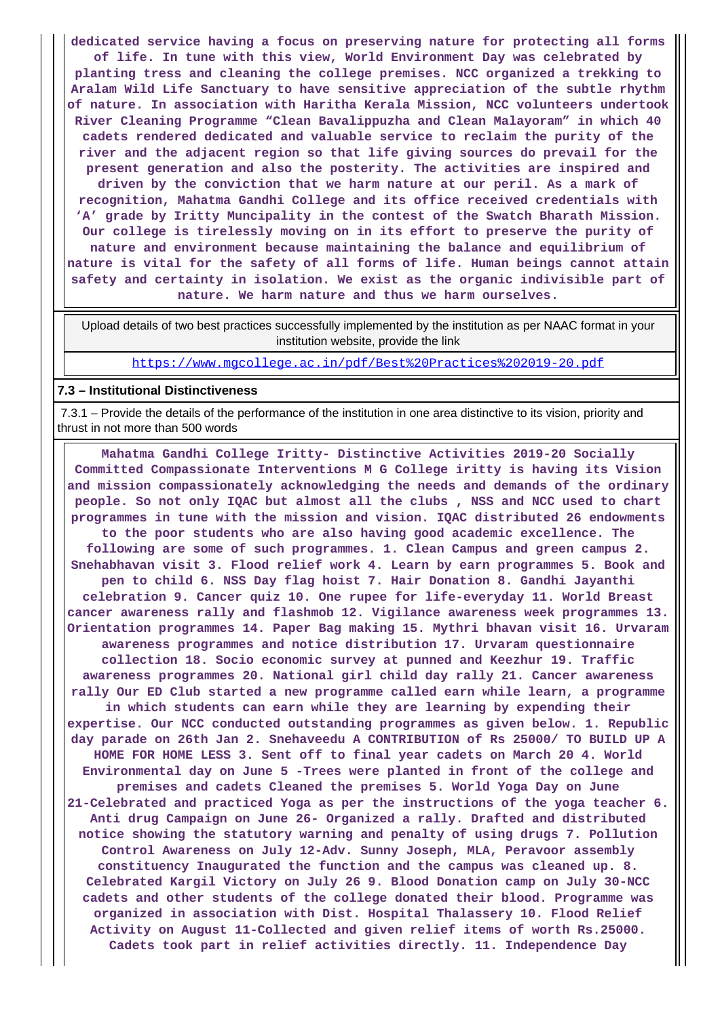**dedicated service having a focus on preserving nature for protecting all forms of life. In tune with this view, World Environment Day was celebrated by planting tress and cleaning the college premises. NCC organized a trekking to Aralam Wild Life Sanctuary to have sensitive appreciation of the subtle rhythm of nature. In association with Haritha Kerala Mission, NCC volunteers undertook River Cleaning Programme "Clean Bavalippuzha and Clean Malayoram" in which 40 cadets rendered dedicated and valuable service to reclaim the purity of the river and the adjacent region so that life giving sources do prevail for the present generation and also the posterity. The activities are inspired and driven by the conviction that we harm nature at our peril. As a mark of recognition, Mahatma Gandhi College and its office received credentials with 'A' grade by Iritty Muncipality in the contest of the Swatch Bharath Mission. Our college is tirelessly moving on in its effort to preserve the purity of nature and environment because maintaining the balance and equilibrium of nature is vital for the safety of all forms of life. Human beings cannot attain safety and certainty in isolation. We exist as the organic indivisible part of nature. We harm nature and thus we harm ourselves.**

 Upload details of two best practices successfully implemented by the institution as per NAAC format in your institution website, provide the link

<https://www.mgcollege.ac.in/pdf/Best%20Practices%202019-20.pdf>

#### **7.3 – Institutional Distinctiveness**

 7.3.1 – Provide the details of the performance of the institution in one area distinctive to its vision, priority and thrust in not more than 500 words

 **Mahatma Gandhi College Iritty- Distinctive Activities 2019-20 Socially Committed Compassionate Interventions M G College iritty is having its Vision and mission compassionately acknowledging the needs and demands of the ordinary people. So not only IQAC but almost all the clubs , NSS and NCC used to chart programmes in tune with the mission and vision. IQAC distributed 26 endowments to the poor students who are also having good academic excellence. The following are some of such programmes. 1. Clean Campus and green campus 2. Snehabhavan visit 3. Flood relief work 4. Learn by earn programmes 5. Book and pen to child 6. NSS Day flag hoist 7. Hair Donation 8. Gandhi Jayanthi celebration 9. Cancer quiz 10. One rupee for life-everyday 11. World Breast cancer awareness rally and flashmob 12. Vigilance awareness week programmes 13. Orientation programmes 14. Paper Bag making 15. Mythri bhavan visit 16. Urvaram awareness programmes and notice distribution 17. Urvaram questionnaire collection 18. Socio economic survey at punned and Keezhur 19. Traffic awareness programmes 20. National girl child day rally 21. Cancer awareness rally Our ED Club started a new programme called earn while learn, a programme in which students can earn while they are learning by expending their expertise. Our NCC conducted outstanding programmes as given below. 1. Republic day parade on 26th Jan 2. Snehaveedu A CONTRIBUTION of Rs 25000/ TO BUILD UP A HOME FOR HOME LESS 3. Sent off to final year cadets on March 20 4. World Environmental day on June 5 -Trees were planted in front of the college and premises and cadets Cleaned the premises 5. World Yoga Day on June 21-Celebrated and practiced Yoga as per the instructions of the yoga teacher 6. Anti drug Campaign on June 26- Organized a rally. Drafted and distributed notice showing the statutory warning and penalty of using drugs 7. Pollution Control Awareness on July 12-Adv. Sunny Joseph, MLA, Peravoor assembly constituency Inaugurated the function and the campus was cleaned up. 8. Celebrated Kargil Victory on July 26 9. Blood Donation camp on July 30-NCC cadets and other students of the college donated their blood. Programme was organized in association with Dist. Hospital Thalassery 10. Flood Relief Activity on August 11-Collected and given relief items of worth Rs.25000. Cadets took part in relief activities directly. 11. Independence Day**